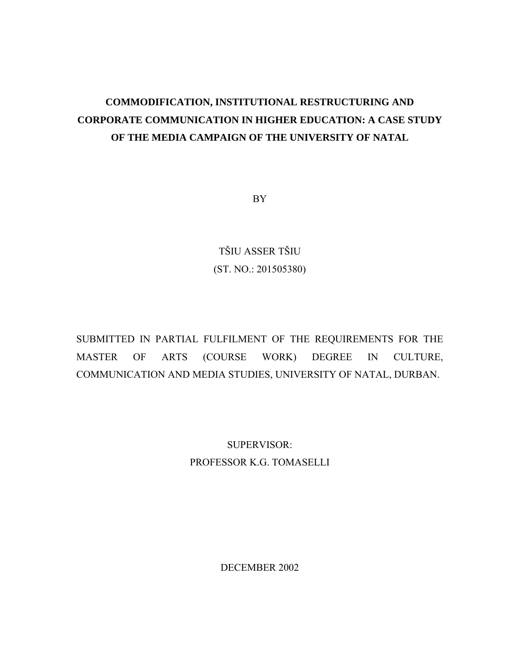# **COMMODIFICATION, INSTITUTIONAL RESTRUCTURING AND CORPORATE COMMUNICATION IN HIGHER EDUCATION: A CASE STUDY OF THE MEDIA CAMPAIGN OF THE UNIVERSITY OF NATAL**

BY

TŠIU ASSER TŠIU (ST. NO.: 201505380)

SUBMITTED IN PARTIAL FULFILMENT OF THE REQUIREMENTS FOR THE MASTER OF ARTS (COURSE WORK) DEGREE IN CULTURE, COMMUNICATION AND MEDIA STUDIES, UNIVERSITY OF NATAL, DURBAN.

> SUPERVISOR: PROFESSOR K.G. TOMASELLI

> > <span id="page-0-0"></span>DECEMBER 2002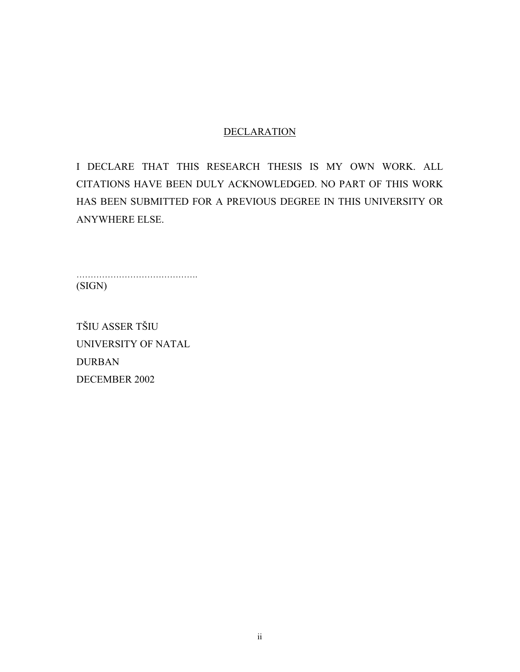## **DECLARATION**

I DECLARE THAT THIS RESEARCH THESIS IS MY OWN WORK. ALL CITATIONS HAVE BEEN DULY ACKNOWLEDGED. NO PART OF THIS WORK HAS BEEN SUBMITTED FOR A PREVIOUS DEGREE IN THIS UNIVERSITY OR ANYWHERE ELSE.

…………………………………………… (SIGN)

TŠIU ASSER TŠIU UNIVERSITY OF NATAL DURBAN DECEMBER 2002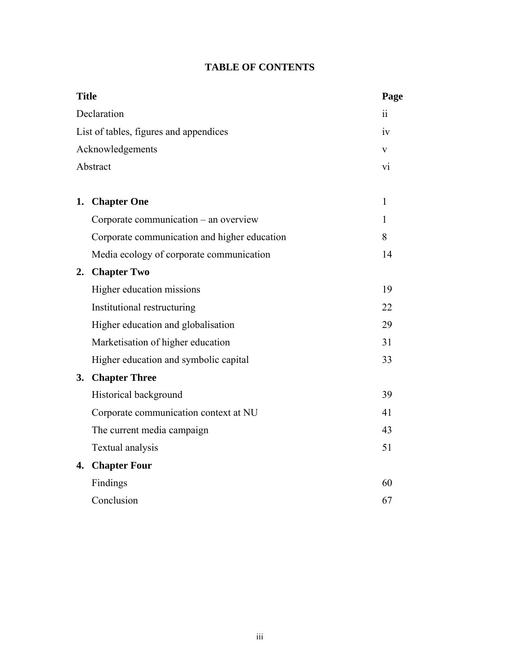|  | <b>TABLE OF CONTENTS</b> |
|--|--------------------------|
|--|--------------------------|

| <b>Title</b> |                                              | Page           |
|--------------|----------------------------------------------|----------------|
|              | Declaration                                  | 11             |
|              | List of tables, figures and appendices       | iv             |
|              | Acknowledgements                             | V              |
|              | Abstract                                     | V <sub>1</sub> |
|              |                                              | $\mathbf{1}$   |
|              | 1. Chapter One                               |                |
|              | Corporate communication – an overview        | 1              |
|              | Corporate communication and higher education | 8              |
|              | Media ecology of corporate communication     | 14             |
| 2.           | <b>Chapter Two</b>                           |                |
|              | Higher education missions                    | 19             |
|              | Institutional restructuring                  | 22             |
|              | Higher education and globalisation           | 29             |
|              | Marketisation of higher education            | 31             |
|              | Higher education and symbolic capital        | 33             |
|              | 3. Chapter Three                             |                |
|              | Historical background                        | 39             |
|              | Corporate communication context at NU        | 41             |
|              | The current media campaign                   | 43             |
|              | Textual analysis                             | 51             |
|              | 4. Chapter Four                              |                |
|              | Findings                                     | 60             |
|              | Conclusion                                   | 67             |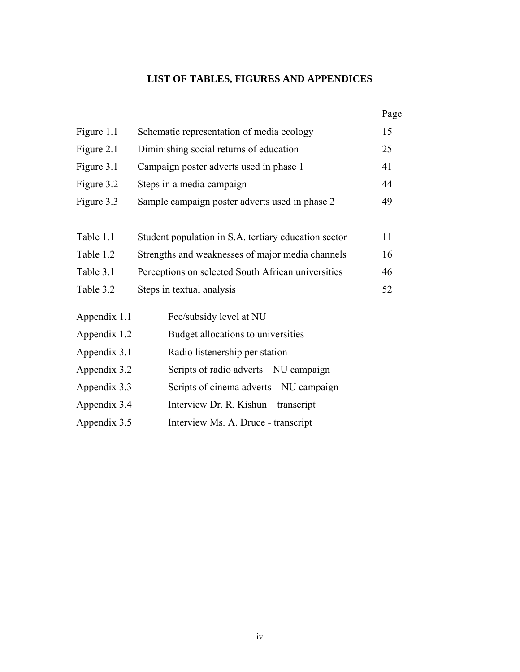# **LIST OF TABLES, FIGURES AND APPENDICES**

|              |                                                      | Page |  |  |  |  |
|--------------|------------------------------------------------------|------|--|--|--|--|
| Figure 1.1   | Schematic representation of media ecology            | 15   |  |  |  |  |
| Figure 2.1   | Diminishing social returns of education              |      |  |  |  |  |
| Figure 3.1   | Campaign poster adverts used in phase 1              |      |  |  |  |  |
| Figure 3.2   | Steps in a media campaign                            |      |  |  |  |  |
| Figure 3.3   | Sample campaign poster adverts used in phase 2       |      |  |  |  |  |
|              |                                                      |      |  |  |  |  |
| Table 1.1    | Student population in S.A. tertiary education sector | 11   |  |  |  |  |
| Table 1.2    | Strengths and weaknesses of major media channels     | 16   |  |  |  |  |
| Table 3.1    | Perceptions on selected South African universities   | 46   |  |  |  |  |
| Table 3.2    | Steps in textual analysis                            | 52   |  |  |  |  |
| Appendix 1.1 | Fee/subsidy level at NU                              |      |  |  |  |  |
| Appendix 1.2 | Budget allocations to universities                   |      |  |  |  |  |
| Appendix 3.1 | Radio listenership per station                       |      |  |  |  |  |
| Appendix 3.2 | Scripts of radio adverts – NU campaign               |      |  |  |  |  |
| Appendix 3.3 | Scripts of cinema adverts – NU campaign              |      |  |  |  |  |
| Appendix 3.4 | Interview Dr. R. Kishun – transcript                 |      |  |  |  |  |
| Appendix 3.5 | Interview Ms. A. Druce - transcript                  |      |  |  |  |  |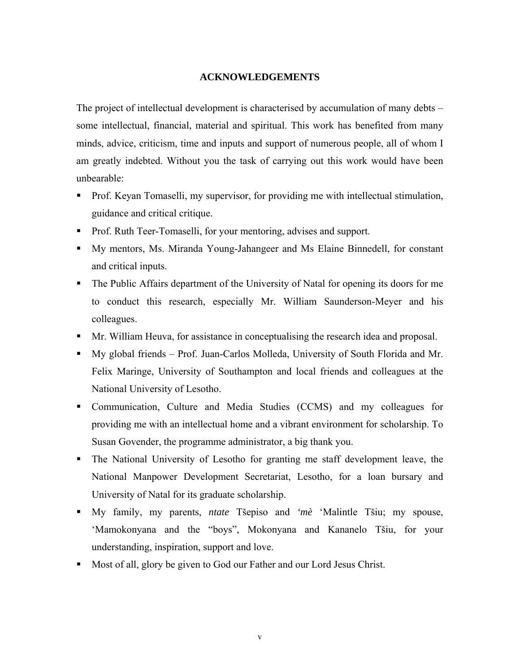#### **ACKNOWLEDGEMENTS**

The project of intellectual development is characterised by accumulation of many debts – some intellectual, financial, material and spiritual. This work has benefited from many minds, advice, criticism, time and inputs and support of numerous people, all of whom I am greatly indebted. Without you the task of carrying out this work would have been unbearable:

- **Prof. Keyan Tomaselli, my supervisor, for providing me with intellectual stimulation,** guidance and critical critique.
- Prof. Ruth Teer-Tomaselli, for your mentoring, advises and support.
- My mentors, Ms. Miranda Young-Jahangeer and Ms Elaine Binnedell, for constant and critical inputs.
- The Public Affairs department of the University of Natal for opening its doors for me to conduct this research, especially Mr. William Saunderson-Meyer and his colleagues.
- Mr. William Heuva, for assistance in conceptualising the research idea and proposal.
- My global friends Prof. Juan-Carlos Molleda, University of South Florida and Mr. Felix Maringe, University of Southampton and local friends and colleagues at the National University of Lesotho.
- Communication, Culture and Media Studies (CCMS) and my colleagues for providing me with an intellectual home and a vibrant environment for scholarship. To Susan Govender, the programme administrator, a big thank you.
- The National University of Lesotho for granting me staff development leave, the National Manpower Development Secretariat, Lesotho, for a loan bursary and University of Natal for its graduate scholarship.
- My family, my parents, *ntate* Tšepiso and *'mè* 'Malintle Tšiu; my spouse, 'Mamokonyana and the "boys", Mokonyana and Kananelo Tšiu, for your understanding, inspiration, support and love.
- Most of all, glory be given to God our Father and our Lord Jesus Christ.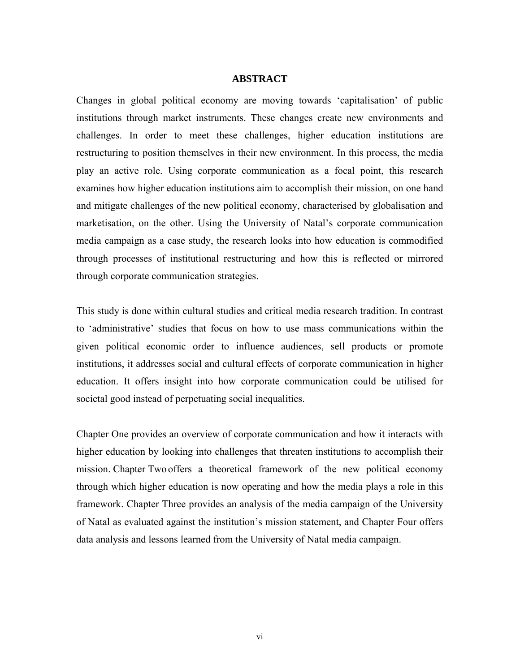#### **ABSTRACT**

Changes in global political economy are moving towards 'capitalisation' of public institutions through market instruments. These changes create new environments and challenges. In order to meet these challenges, higher education institutions are restructuring to position themselves in their new environment. In this process, the media play an active role. Using corporate communication as a focal point, this research examines how higher education institutions aim to accomplish their mission, on one hand and mitigate challenges of the new political economy, characterised by globalisation and marketisation, on the other. Using the University of Natal's corporate communication media campaign as a case study, the research looks into how education is commodified through processes of institutional restructuring and how this is reflected or mirrored through corporate communication strategies.

This study is done within cultural studies and critical media research tradition. In contrast to 'administrative' studies that focus on how to use mass communications within the given political economic order to influence audiences, sell products or promote institutions, it addresses social and cultural effects of corporate communication in higher education. It offers insight into how corporate communication could be utilised for societal good instead of perpetuating social inequalities.

Chapter One provides an overview of corporate communication and how it interacts with higher education by looking into challenges that threaten institutions to accomplish their mission. Chapter Two offers a theoretical framework of the new political economy through which higher education is now operating and how the media plays a role in this framework. Chapter Three provides an analysis of the media campaign of the University of Natal as evaluated against the institution's mission statement, and Chapter Four offers data analysis and lessons learned from the University of Natal media campaign.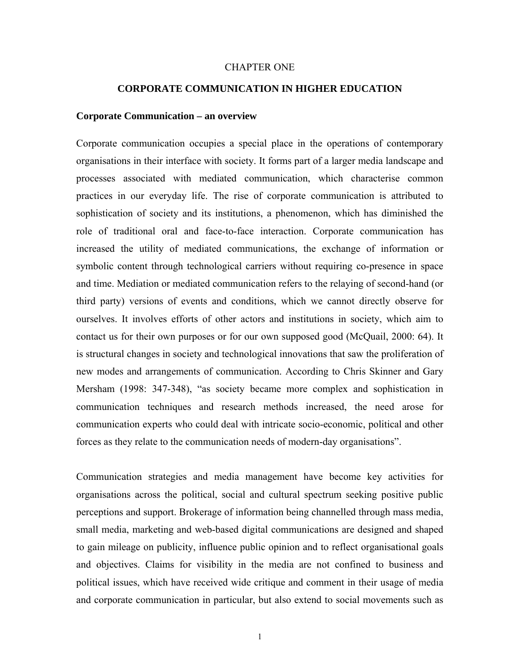#### CHAPTER ONE

#### **CORPORATE COMMUNICATION IN HIGHER EDUCATION**

#### **Corporate Communication – an overview**

Corporate communication occupies a special place in the operations of contemporary organisations in their interface with society. It forms part of a larger media landscape and processes associated with mediated communication, which characterise common practices in our everyday life. The rise of corporate communication is attributed to sophistication of society and its institutions, a phenomenon, which has diminished the role of traditional oral and face-to-face interaction. Corporate communication has increased the utility of mediated communications, the exchange of information or symbolic content through technological carriers without requiring co-presence in space and time. Mediation or mediated communication refers to the relaying of second-hand (or third party) versions of events and conditions, which we cannot directly observe for ourselves. It involves efforts of other actors and institutions in society, which aim to contact us for their own purposes or for our own supposed good (McQuail, 2000: 64). It is structural changes in society and technological innovations that saw the proliferation of new modes and arrangements of communication. According to Chris Skinner and Gary Mersham (1998: 347-348), "as society became more complex and sophistication in communication techniques and research methods increased, the need arose for communication experts who could deal with intricate socio-economic, political and other forces as they relate to the communication needs of modern-day organisations".

Communication strategies and media management have become key activities for organisations across the political, social and cultural spectrum seeking positive public perceptions and support. Brokerage of information being channelled through mass media, small media, marketing and web-based digital communications are designed and shaped to gain mileage on publicity, influence public opinion and to reflect organisational goals and objectives. Claims for visibility in the media are not confined to business and political issues, which have received wide critique and comment in their usage of media and corporate communication in particular, but also extend to social movements such as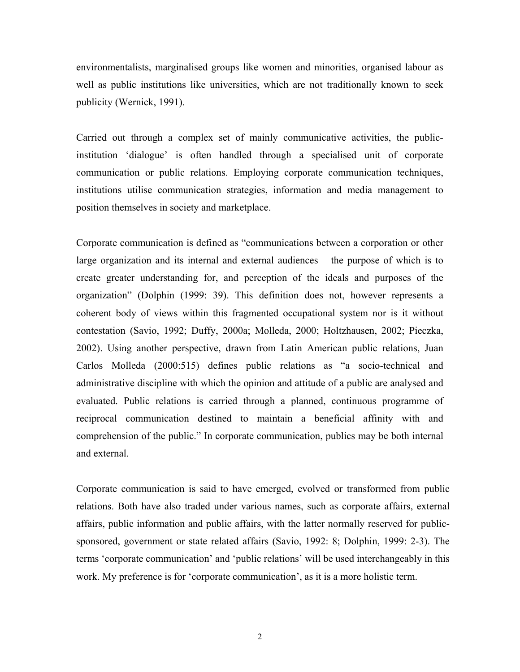environmentalists, marginalised groups like women and minorities, organised labour as well as public institutions like universities, which are not traditionally known to seek publicity (Wernick, 1991).

Carried out through a complex set of mainly communicative activities, the publicinstitution 'dialogue' is often handled through a specialised unit of corporate communication or public relations. Employing corporate communication techniques, institutions utilise communication strategies, information and media management to position themselves in society and marketplace.

Corporate communication is defined as "communications between a corporation or other large organization and its internal and external audiences – the purpose of which is to create greater understanding for, and perception of the ideals and purposes of the organization" (Dolphin (1999: 39). This definition does not, however represents a coherent body of views within this fragmented occupational system nor is it without contestation (Savio, 1992; Duffy, 2000a; Molleda, 2000; Holtzhausen, 2002; Pieczka, 2002). Using another perspective, drawn from Latin American public relations, Juan Carlos Molleda (2000:515) defines public relations as "a socio-technical and administrative discipline with which the opinion and attitude of a public are analysed and evaluated. Public relations is carried through a planned, continuous programme of reciprocal communication destined to maintain a beneficial affinity with and comprehension of the public." In corporate communication, publics may be both internal and external.

Corporate communication is said to have emerged, evolved or transformed from public relations. Both have also traded under various names, such as corporate affairs, external affairs, public information and public affairs, with the latter normally reserved for publicsponsored, government or state related affairs (Savio, 1992: 8; Dolphin, 1999: 2-3). The terms 'corporate communication' and 'public relations' will be used interchangeably in this work. My preference is for 'corporate communication', as it is a more holistic term.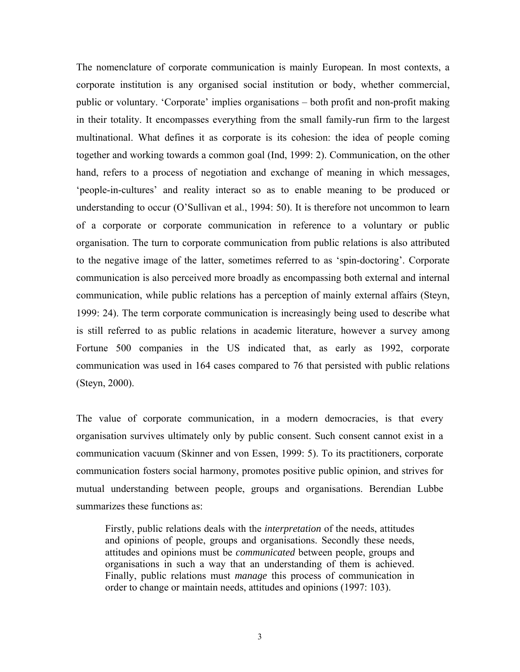The nomenclature of corporate communication is mainly European. In most contexts, a corporate institution is any organised social institution or body, whether commercial, public or voluntary. 'Corporate' implies organisations – both profit and non-profit making in their totality. It encompasses everything from the small family-run firm to the largest multinational. What defines it as corporate is its cohesion: the idea of people coming together and working towards a common goal (Ind, 1999: 2). Communication, on the other hand, refers to a process of negotiation and exchange of meaning in which messages, 'people-in-cultures' and reality interact so as to enable meaning to be produced or understanding to occur (O'Sullivan et al., 1994: 50). It is therefore not uncommon to learn of a corporate or corporate communication in reference to a voluntary or public organisation. The turn to corporate communication from public relations is also attributed to the negative image of the latter, sometimes referred to as 'spin-doctoring'. Corporate communication is also perceived more broadly as encompassing both external and internal communication, while public relations has a perception of mainly external affairs (Steyn, 1999: 24). The term corporate communication is increasingly being used to describe what is still referred to as public relations in academic literature, however a survey among Fortune 500 companies in the US indicated that, as early as 1992, corporate communication was used in 164 cases compared to 76 that persisted with public relations (Steyn, 2000).

The value of corporate communication, in a modern democracies, is that every organisation survives ultimately only by public consent. Such consent cannot exist in a communication vacuum (Skinner and von Essen, 1999: 5). To its practitioners, corporate communication fosters social harmony, promotes positive public opinion, and strives for mutual understanding between people, groups and organisations. Berendian Lubbe summarizes these functions as:

Firstly, public relations deals with the *interpretation* of the needs, attitudes and opinions of people, groups and organisations. Secondly these needs, attitudes and opinions must be *communicated* between people, groups and organisations in such a way that an understanding of them is achieved. Finally, public relations must *manage* this process of communication in order to change or maintain needs, attitudes and opinions (1997: 103).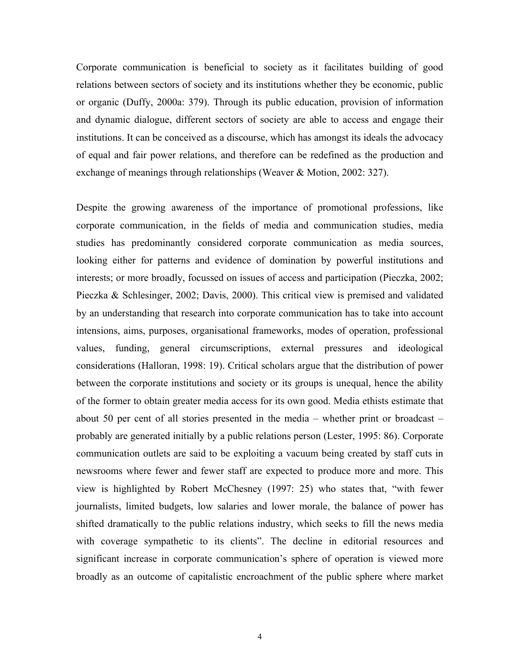Corporate communication is beneficial to society as it facilitates building of good relations between sectors of society and its institutions whether they be economic, public or organic (Duffy, 2000a: 379). Through its public education, provision of information and dynamic dialogue, different sectors of society are able to access and engage their institutions. It can be conceived as a discourse, which has amongst its ideals the advocacy of equal and fair power relations, and therefore can be redefined as the production and exchange of meanings through relationships (Weaver & Motion, 2002: 327).

Despite the growing awareness of the importance of promotional professions, like corporate communication, in the fields of media and communication studies, media studies has predominantly considered corporate communication as media sources, looking either for patterns and evidence of domination by powerful institutions and interests; or more broadly, focussed on issues of access and participation (Pieczka, 2002; Pieczka & Schlesinger, 2002; Davis, 2000). This critical view is premised and validated by an understanding that research into corporate communication has to take into account intensions, aims, purposes, organisational frameworks, modes of operation, professional values, funding, general circumscriptions, external pressures and ideological considerations (Halloran, 1998: 19). Critical scholars argue that the distribution of power between the corporate institutions and society or its groups is unequal, hence the ability of the former to obtain greater media access for its own good. Media ethists estimate that about 50 per cent of all stories presented in the media – whether print or broadcast – probably are generated initially by a public relations person (Lester, 1995: 86). Corporate communication outlets are said to be exploiting a vacuum being created by staff cuts in newsrooms where fewer and fewer staff are expected to produce more and more. This view is highlighted by Robert McChesney (1997: 25) who states that, "with fewer journalists, limited budgets, low salaries and lower morale, the balance of power has shifted dramatically to the public relations industry, which seeks to fill the news media with coverage sympathetic to its clients". The decline in editorial resources and significant increase in corporate communication's sphere of operation is viewed more broadly as an outcome of capitalistic encroachment of the public sphere where market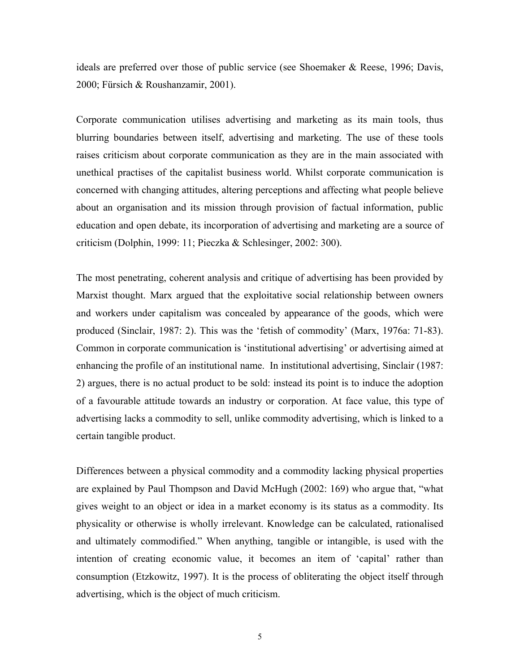ideals are preferred over those of public service (see Shoemaker & Reese, 1996; Davis, 2000; Fürsich & Roushanzamir, 2001).

Corporate communication utilises advertising and marketing as its main tools, thus blurring boundaries between itself, advertising and marketing. The use of these tools raises criticism about corporate communication as they are in the main associated with unethical practises of the capitalist business world. Whilst corporate communication is concerned with changing attitudes, altering perceptions and affecting what people believe about an organisation and its mission through provision of factual information, public education and open debate, its incorporation of advertising and marketing are a source of criticism (Dolphin, 1999: 11; Pieczka & Schlesinger, 2002: 300).

The most penetrating, coherent analysis and critique of advertising has been provided by Marxist thought. Marx argued that the exploitative social relationship between owners and workers under capitalism was concealed by appearance of the goods, which were produced (Sinclair, 1987: 2). This was the 'fetish of commodity' (Marx, 1976a: 71-83). Common in corporate communication is 'institutional advertising' or advertising aimed at enhancing the profile of an institutional name. In institutional advertising, Sinclair (1987: 2) argues, there is no actual product to be sold: instead its point is to induce the adoption of a favourable attitude towards an industry or corporation. At face value, this type of advertising lacks a commodity to sell, unlike commodity advertising, which is linked to a certain tangible product.

Differences between a physical commodity and a commodity lacking physical properties are explained by Paul Thompson and David McHugh (2002: 169) who argue that, "what gives weight to an object or idea in a market economy is its status as a commodity. Its physicality or otherwise is wholly irrelevant. Knowledge can be calculated, rationalised and ultimately commodified." When anything, tangible or intangible, is used with the intention of creating economic value, it becomes an item of 'capital' rather than consumption (Etzkowitz, 1997). It is the process of obliterating the object itself through advertising, which is the object of much criticism.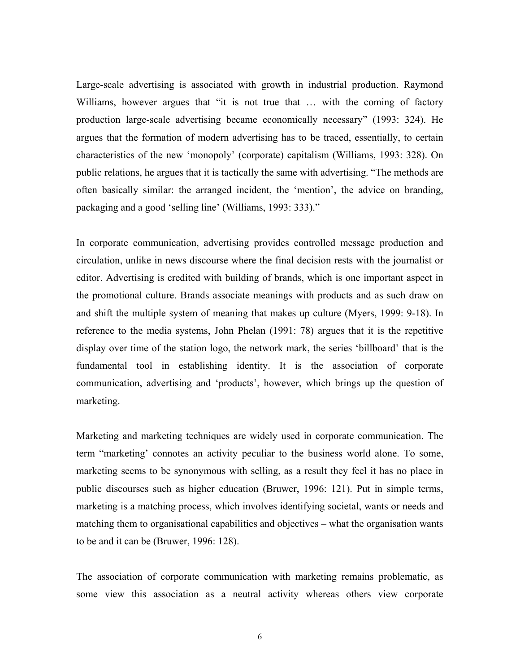Large-scale advertising is associated with growth in industrial production. Raymond Williams, however argues that "it is not true that ... with the coming of factory production large-scale advertising became economically necessary" (1993: 324). He argues that the formation of modern advertising has to be traced, essentially, to certain characteristics of the new 'monopoly' (corporate) capitalism (Williams, 1993: 328). On public relations, he argues that it is tactically the same with advertising. "The methods are often basically similar: the arranged incident, the 'mention', the advice on branding, packaging and a good 'selling line' (Williams, 1993: 333)."

In corporate communication, advertising provides controlled message production and circulation, unlike in news discourse where the final decision rests with the journalist or editor. Advertising is credited with building of brands, which is one important aspect in the promotional culture. Brands associate meanings with products and as such draw on and shift the multiple system of meaning that makes up culture (Myers, 1999: 9-18). In reference to the media systems, John Phelan (1991: 78) argues that it is the repetitive display over time of the station logo, the network mark, the series 'billboard' that is the fundamental tool in establishing identity. It is the association of corporate communication, advertising and 'products', however, which brings up the question of marketing.

Marketing and marketing techniques are widely used in corporate communication. The term "marketing' connotes an activity peculiar to the business world alone. To some, marketing seems to be synonymous with selling, as a result they feel it has no place in public discourses such as higher education (Bruwer, 1996: 121). Put in simple terms, marketing is a matching process, which involves identifying societal, wants or needs and matching them to organisational capabilities and objectives – what the organisation wants to be and it can be (Bruwer, 1996: 128).

The association of corporate communication with marketing remains problematic, as some view this association as a neutral activity whereas others view corporate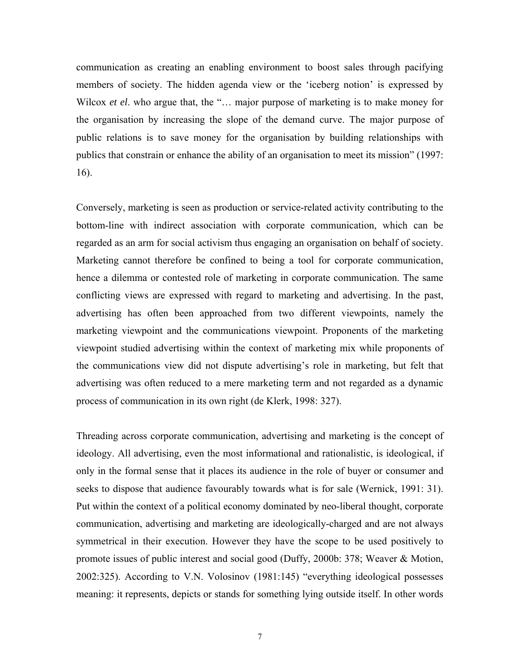communication as creating an enabling environment to boost sales through pacifying members of society. The hidden agenda view or the 'iceberg notion' is expressed by Wilcox *et el.* who argue that, the "... major purpose of marketing is to make money for the organisation by increasing the slope of the demand curve. The major purpose of public relations is to save money for the organisation by building relationships with publics that constrain or enhance the ability of an organisation to meet its mission" (1997: 16).

Conversely, marketing is seen as production or service-related activity contributing to the bottom-line with indirect association with corporate communication, which can be regarded as an arm for social activism thus engaging an organisation on behalf of society. Marketing cannot therefore be confined to being a tool for corporate communication, hence a dilemma or contested role of marketing in corporate communication. The same conflicting views are expressed with regard to marketing and advertising. In the past, advertising has often been approached from two different viewpoints, namely the marketing viewpoint and the communications viewpoint. Proponents of the marketing viewpoint studied advertising within the context of marketing mix while proponents of the communications view did not dispute advertising's role in marketing, but felt that advertising was often reduced to a mere marketing term and not regarded as a dynamic process of communication in its own right (de Klerk, 1998: 327).

Threading across corporate communication, advertising and marketing is the concept of ideology. All advertising, even the most informational and rationalistic, is ideological, if only in the formal sense that it places its audience in the role of buyer or consumer and seeks to dispose that audience favourably towards what is for sale (Wernick, 1991: 31). Put within the context of a political economy dominated by neo-liberal thought, corporate communication, advertising and marketing are ideologically-charged and are not always symmetrical in their execution. However they have the scope to be used positively to promote issues of public interest and social good (Duffy, 2000b: 378; Weaver & Motion, 2002:325). According to V.N. Volosinov (1981:145) "everything ideological possesses meaning: it represents, depicts or stands for something lying outside itself. In other words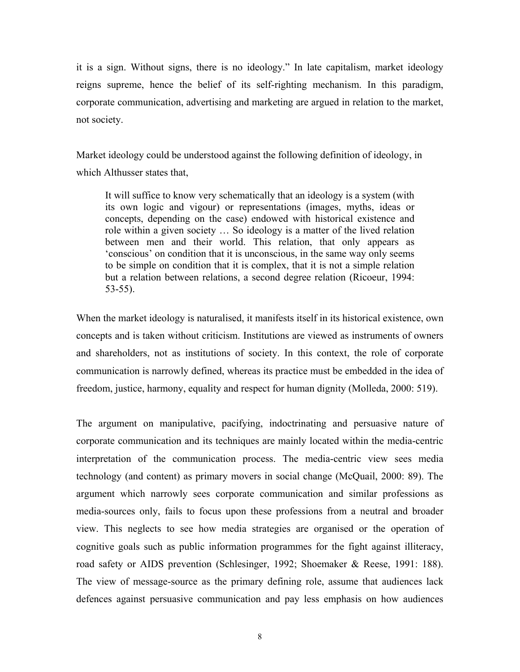it is a sign. Without signs, there is no ideology." In late capitalism, market ideology reigns supreme, hence the belief of its self-righting mechanism. In this paradigm, corporate communication, advertising and marketing are argued in relation to the market, not society.

Market ideology could be understood against the following definition of ideology, in which Althusser states that,

It will suffice to know very schematically that an ideology is a system (with its own logic and vigour) or representations (images, myths, ideas or concepts, depending on the case) endowed with historical existence and role within a given society … So ideology is a matter of the lived relation between men and their world. This relation, that only appears as 'conscious' on condition that it is unconscious, in the same way only seems to be simple on condition that it is complex, that it is not a simple relation but a relation between relations, a second degree relation (Ricoeur, 1994: 53-55).

When the market ideology is naturalised, it manifests itself in its historical existence, own concepts and is taken without criticism. Institutions are viewed as instruments of owners and shareholders, not as institutions of society. In this context, the role of corporate communication is narrowly defined, whereas its practice must be embedded in the idea of freedom, justice, harmony, equality and respect for human dignity (Molleda, 2000: 519).

The argument on manipulative, pacifying, indoctrinating and persuasive nature of corporate communication and its techniques are mainly located within the media-centric interpretation of the communication process. The media-centric view sees media technology (and content) as primary movers in social change (McQuail, 2000: 89). The argument which narrowly sees corporate communication and similar professions as media-sources only, fails to focus upon these professions from a neutral and broader view. This neglects to see how media strategies are organised or the operation of cognitive goals such as public information programmes for the fight against illiteracy, road safety or AIDS prevention (Schlesinger, 1992; Shoemaker & Reese, 1991: 188). The view of message-source as the primary defining role, assume that audiences lack defences against persuasive communication and pay less emphasis on how audiences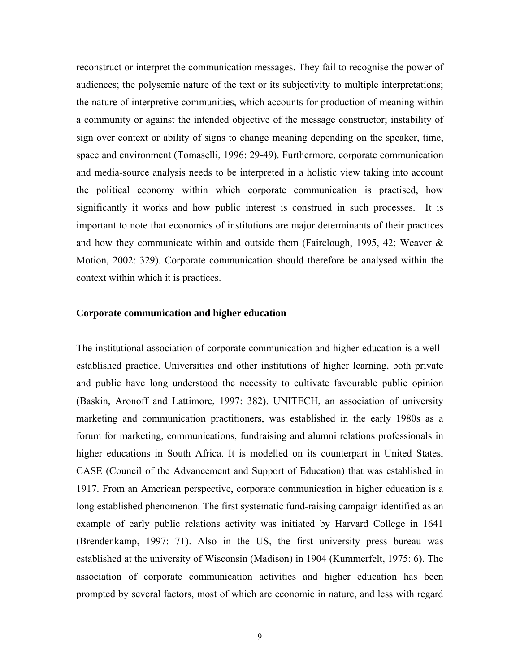reconstruct or interpret the communication messages. They fail to recognise the power of audiences; the polysemic nature of the text or its subjectivity to multiple interpretations; the nature of interpretive communities, which accounts for production of meaning within a community or against the intended objective of the message constructor; instability of sign over context or ability of signs to change meaning depending on the speaker, time, space and environment (Tomaselli, 1996: 29-49). Furthermore, corporate communication and media-source analysis needs to be interpreted in a holistic view taking into account the political economy within which corporate communication is practised, how significantly it works and how public interest is construed in such processes. It is important to note that economics of institutions are major determinants of their practices and how they communicate within and outside them (Fairclough, 1995, 42; Weaver & Motion, 2002: 329). Corporate communication should therefore be analysed within the context within which it is practices.

#### **Corporate communication and higher education**

The institutional association of corporate communication and higher education is a wellestablished practice. Universities and other institutions of higher learning, both private and public have long understood the necessity to cultivate favourable public opinion (Baskin, Aronoff and Lattimore, 1997: 382). UNITECH, an association of university marketing and communication practitioners, was established in the early 1980s as a forum for marketing, communications, fundraising and alumni relations professionals in higher educations in South Africa. It is modelled on its counterpart in United States, CASE (Council of the Advancement and Support of Education) that was established in 1917. From an American perspective, corporate communication in higher education is a long established phenomenon. The first systematic fund-raising campaign identified as an example of early public relations activity was initiated by Harvard College in 1641 (Brendenkamp, 1997: 71). Also in the US, the first university press bureau was established at the university of Wisconsin (Madison) in 1904 (Kummerfelt, 1975: 6). The association of corporate communication activities and higher education has been prompted by several factors, most of which are economic in nature, and less with regard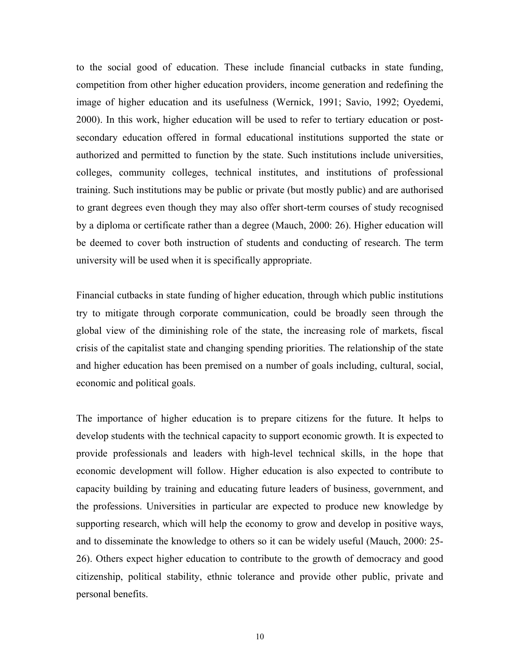to the social good of education. These include financial cutbacks in state funding, competition from other higher education providers, income generation and redefining the image of higher education and its usefulness (Wernick, 1991; Savio, 1992; Oyedemi, 2000). In this work, higher education will be used to refer to tertiary education or postsecondary education offered in formal educational institutions supported the state or authorized and permitted to function by the state. Such institutions include universities, colleges, community colleges, technical institutes, and institutions of professional training. Such institutions may be public or private (but mostly public) and are authorised to grant degrees even though they may also offer short-term courses of study recognised by a diploma or certificate rather than a degree (Mauch, 2000: 26). Higher education will be deemed to cover both instruction of students and conducting of research. The term university will be used when it is specifically appropriate.

Financial cutbacks in state funding of higher education, through which public institutions try to mitigate through corporate communication, could be broadly seen through the global view of the diminishing role of the state, the increasing role of markets, fiscal crisis of the capitalist state and changing spending priorities. The relationship of the state and higher education has been premised on a number of goals including, cultural, social, economic and political goals.

The importance of higher education is to prepare citizens for the future. It helps to develop students with the technical capacity to support economic growth. It is expected to provide professionals and leaders with high-level technical skills, in the hope that economic development will follow. Higher education is also expected to contribute to capacity building by training and educating future leaders of business, government, and the professions. Universities in particular are expected to produce new knowledge by supporting research, which will help the economy to grow and develop in positive ways, and to disseminate the knowledge to others so it can be widely useful (Mauch, 2000: 25- 26). Others expect higher education to contribute to the growth of democracy and good citizenship, political stability, ethnic tolerance and provide other public, private and personal benefits.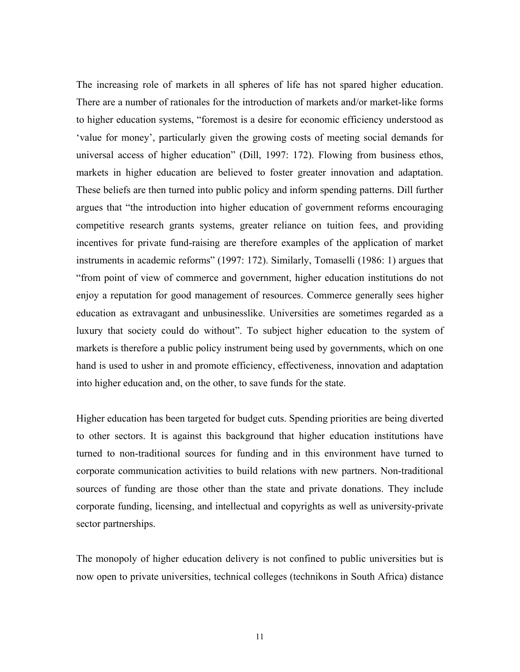The increasing role of markets in all spheres of life has not spared higher education. There are a number of rationales for the introduction of markets and/or market-like forms to higher education systems, "foremost is a desire for economic efficiency understood as 'value for money', particularly given the growing costs of meeting social demands for universal access of higher education" (Dill, 1997: 172). Flowing from business ethos, markets in higher education are believed to foster greater innovation and adaptation. These beliefs are then turned into public policy and inform spending patterns. Dill further argues that "the introduction into higher education of government reforms encouraging competitive research grants systems, greater reliance on tuition fees, and providing incentives for private fund-raising are therefore examples of the application of market instruments in academic reforms" (1997: 172). Similarly, Tomaselli (1986: 1) argues that "from point of view of commerce and government, higher education institutions do not enjoy a reputation for good management of resources. Commerce generally sees higher education as extravagant and unbusinesslike. Universities are sometimes regarded as a luxury that society could do without". To subject higher education to the system of markets is therefore a public policy instrument being used by governments, which on one hand is used to usher in and promote efficiency, effectiveness, innovation and adaptation into higher education and, on the other, to save funds for the state.

Higher education has been targeted for budget cuts. Spending priorities are being diverted to other sectors. It is against this background that higher education institutions have turned to non-traditional sources for funding and in this environment have turned to corporate communication activities to build relations with new partners. Non-traditional sources of funding are those other than the state and private donations. They include corporate funding, licensing, and intellectual and copyrights as well as university-private sector partnerships.

The monopoly of higher education delivery is not confined to public universities but is now open to private universities, technical colleges (technikons in South Africa) distance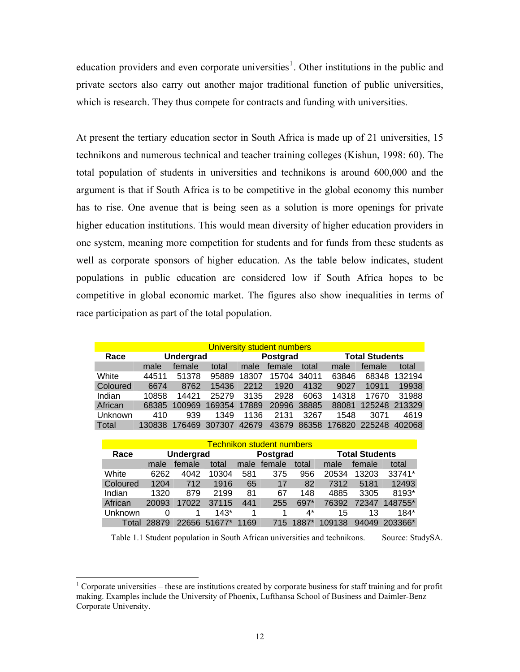education providers and even corporate universities<sup>[1](#page-0-0)</sup>. Other institutions in the public and private sectors also carry out another major traditional function of public universities, which is research. They thus compete for contracts and funding with universities.

At present the tertiary education sector in South Africa is made up of 21 universities, 15 technikons and numerous technical and teacher training colleges (Kishun, 1998: 60). The total population of students in universities and technikons is around 600,000 and the argument is that if South Africa is to be competitive in the global economy this number has to rise. One avenue that is being seen as a solution is more openings for private higher education institutions. This would mean diversity of higher education providers in one system, meaning more competition for students and for funds from these students as well as corporate sponsors of higher education. As the table below indicates, student populations in public education are considered low if South Africa hopes to be competitive in global economic market. The figures also show inequalities in terms of race participation as part of the total population.

| University student numbers |                  |        |        |          |        |             |                       |        |        |
|----------------------------|------------------|--------|--------|----------|--------|-------------|-----------------------|--------|--------|
| Race                       | <b>Undergrad</b> |        |        | Postgrad |        |             | <b>Total Students</b> |        |        |
|                            | male             | female | total  | male     | female | total       | male                  | female | total  |
| White                      | 44511            | 51378  | 95889  | 18307    |        | 15704 34011 | 63846                 | 68348  | 132194 |
| Coloured                   | 6674             | 8762   | 15436  | 2212     | 1920   | 4132        | 9027                  | 10911  | 19938  |
| Indian                     | 10858            | 14421  | 25279  | 3135     | 2928   | 6063        | 14318                 | 17670  | 31988  |
| African                    | 68385            | 100969 | 169354 | 17889    |        | 20996 38885 | 88081                 | 125248 | 213329 |
| Unknown                    | 410              | 939    | 1349   | 1136     | 2131   | 3267        | 1548                  | 3071   | 4619   |
| Total                      | 130838           | 176469 | 307307 | 42679    | 43679  | 86358       | 176820                | 225248 | 402068 |

| <b>Technikon student numbers</b> |                  |        |        |          |        |       |                       |        |         |
|----------------------------------|------------------|--------|--------|----------|--------|-------|-----------------------|--------|---------|
| Race                             | <b>Undergrad</b> |        |        | Postgrad |        |       | <b>Total Students</b> |        |         |
|                                  | male             | female | total  | male     | female | total | male                  | female | total   |
| White                            | 6262             | 4042   | 10304  | 581      | 375    | 956   | 20534                 | 13203  | 33741*  |
| Coloured                         | 1204             | 712    | 1916   | 65       | 17     | 82    | 7312                  | 5181   | 12493   |
| Indian                           | 1320             | 879    | 2199   | 81       | 67     | 148   | 4885                  | 3305   | 8193*   |
| African                          | 20093            | 17022  | 37115  | 441      | 255    | 697*  | 76392                 | 72347  | 148755* |
| Unknown                          | 0                |        | $143*$ |          |        | $4^*$ | 15                    | 13     | 184*    |
| Total                            | 28879            | 22656  | 51677* | 1169     | 715    | 1887* | 109138                | 94049  | 203366* |

Table 1.1 Student population in South African universities and technikons. Source: StudySA.

l

<span id="page-17-0"></span> $1$  Corporate universities – these are institutions created by corporate business for staff training and for profit making. Examples include the University of Phoenix, Lufthansa School of Business and Daimler-Benz Corporate University.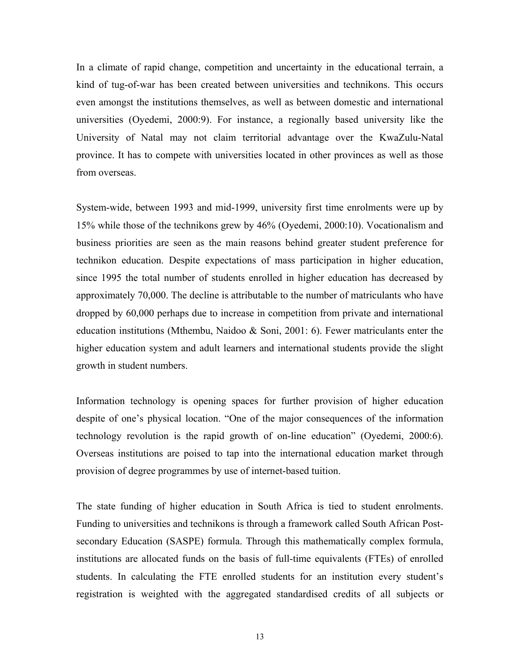In a climate of rapid change, competition and uncertainty in the educational terrain, a kind of tug-of-war has been created between universities and technikons. This occurs even amongst the institutions themselves, as well as between domestic and international universities (Oyedemi, 2000:9). For instance, a regionally based university like the University of Natal may not claim territorial advantage over the KwaZulu-Natal province. It has to compete with universities located in other provinces as well as those from overseas.

System-wide, between 1993 and mid-1999, university first time enrolments were up by 15% while those of the technikons grew by 46% (Oyedemi, 2000:10). Vocationalism and business priorities are seen as the main reasons behind greater student preference for technikon education. Despite expectations of mass participation in higher education, since 1995 the total number of students enrolled in higher education has decreased by approximately 70,000. The decline is attributable to the number of matriculants who have dropped by 60,000 perhaps due to increase in competition from private and international education institutions (Mthembu, Naidoo & Soni, 2001: 6). Fewer matriculants enter the higher education system and adult learners and international students provide the slight growth in student numbers.

Information technology is opening spaces for further provision of higher education despite of one's physical location. "One of the major consequences of the information technology revolution is the rapid growth of on-line education" (Oyedemi, 2000:6). Overseas institutions are poised to tap into the international education market through provision of degree programmes by use of internet-based tuition.

The state funding of higher education in South Africa is tied to student enrolments. Funding to universities and technikons is through a framework called South African Postsecondary Education (SASPE) formula. Through this mathematically complex formula, institutions are allocated funds on the basis of full-time equivalents (FTEs) of enrolled students. In calculating the FTE enrolled students for an institution every student's registration is weighted with the aggregated standardised credits of all subjects or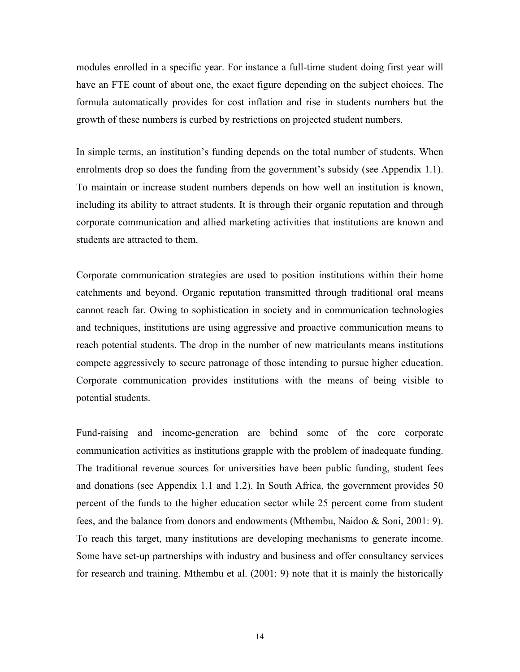modules enrolled in a specific year. For instance a full-time student doing first year will have an FTE count of about one, the exact figure depending on the subject choices. The formula automatically provides for cost inflation and rise in students numbers but the growth of these numbers is curbed by restrictions on projected student numbers.

In simple terms, an institution's funding depends on the total number of students. When enrolments drop so does the funding from the government's subsidy (see Appendix 1.1). To maintain or increase student numbers depends on how well an institution is known, including its ability to attract students. It is through their organic reputation and through corporate communication and allied marketing activities that institutions are known and students are attracted to them.

Corporate communication strategies are used to position institutions within their home catchments and beyond. Organic reputation transmitted through traditional oral means cannot reach far. Owing to sophistication in society and in communication technologies and techniques, institutions are using aggressive and proactive communication means to reach potential students. The drop in the number of new matriculants means institutions compete aggressively to secure patronage of those intending to pursue higher education. Corporate communication provides institutions with the means of being visible to potential students.

Fund-raising and income-generation are behind some of the core corporate communication activities as institutions grapple with the problem of inadequate funding. The traditional revenue sources for universities have been public funding, student fees and donations (see Appendix 1.1 and 1.2). In South Africa, the government provides 50 percent of the funds to the higher education sector while 25 percent come from student fees, and the balance from donors and endowments (Mthembu, Naidoo & Soni, 2001: 9). To reach this target, many institutions are developing mechanisms to generate income. Some have set-up partnerships with industry and business and offer consultancy services for research and training. Mthembu et al. (2001: 9) note that it is mainly the historically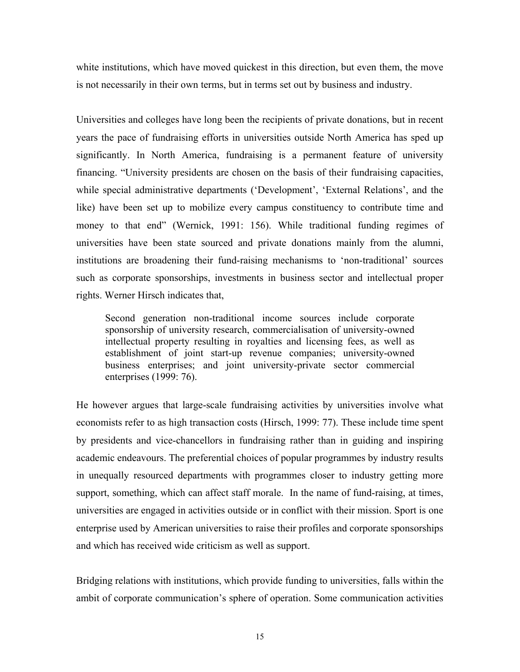white institutions, which have moved quickest in this direction, but even them, the move is not necessarily in their own terms, but in terms set out by business and industry.

Universities and colleges have long been the recipients of private donations, but in recent years the pace of fundraising efforts in universities outside North America has sped up significantly. In North America, fundraising is a permanent feature of university financing. "University presidents are chosen on the basis of their fundraising capacities, while special administrative departments ('Development', 'External Relations', and the like) have been set up to mobilize every campus constituency to contribute time and money to that end" (Wernick, 1991: 156). While traditional funding regimes of universities have been state sourced and private donations mainly from the alumni, institutions are broadening their fund-raising mechanisms to 'non-traditional' sources such as corporate sponsorships, investments in business sector and intellectual proper rights. Werner Hirsch indicates that,

Second generation non-traditional income sources include corporate sponsorship of university research, commercialisation of university-owned intellectual property resulting in royalties and licensing fees, as well as establishment of joint start-up revenue companies; university-owned business enterprises; and joint university-private sector commercial enterprises (1999: 76).

He however argues that large-scale fundraising activities by universities involve what economists refer to as high transaction costs (Hirsch, 1999: 77). These include time spent by presidents and vice-chancellors in fundraising rather than in guiding and inspiring academic endeavours. The preferential choices of popular programmes by industry results in unequally resourced departments with programmes closer to industry getting more support, something, which can affect staff morale. In the name of fund-raising, at times, universities are engaged in activities outside or in conflict with their mission. Sport is one enterprise used by American universities to raise their profiles and corporate sponsorships and which has received wide criticism as well as support.

Bridging relations with institutions, which provide funding to universities, falls within the ambit of corporate communication's sphere of operation. Some communication activities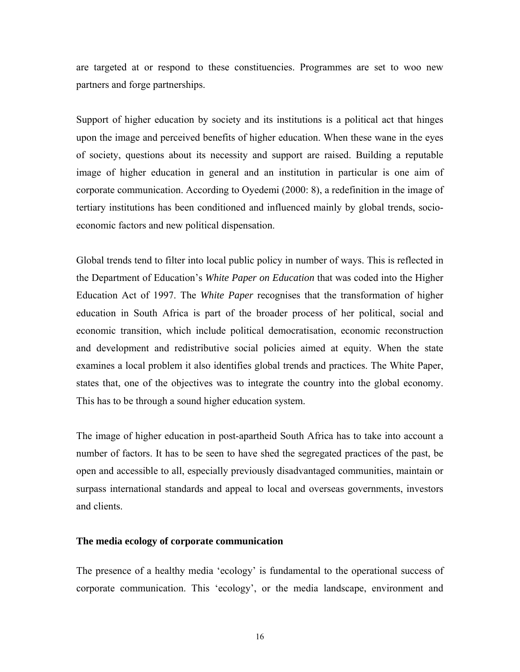are targeted at or respond to these constituencies. Programmes are set to woo new partners and forge partnerships.

Support of higher education by society and its institutions is a political act that hinges upon the image and perceived benefits of higher education. When these wane in the eyes of society, questions about its necessity and support are raised. Building a reputable image of higher education in general and an institution in particular is one aim of corporate communication. According to Oyedemi (2000: 8), a redefinition in the image of tertiary institutions has been conditioned and influenced mainly by global trends, socioeconomic factors and new political dispensation.

Global trends tend to filter into local public policy in number of ways. This is reflected in the Department of Education's *White Paper on Education* that was coded into the Higher Education Act of 1997. The *White Paper* recognises that the transformation of higher education in South Africa is part of the broader process of her political, social and economic transition, which include political democratisation, economic reconstruction and development and redistributive social policies aimed at equity. When the state examines a local problem it also identifies global trends and practices. The White Paper, states that, one of the objectives was to integrate the country into the global economy. This has to be through a sound higher education system.

The image of higher education in post-apartheid South Africa has to take into account a number of factors. It has to be seen to have shed the segregated practices of the past, be open and accessible to all, especially previously disadvantaged communities, maintain or surpass international standards and appeal to local and overseas governments, investors and clients.

#### **The media ecology of corporate communication**

The presence of a healthy media 'ecology' is fundamental to the operational success of corporate communication. This 'ecology', or the media landscape, environment and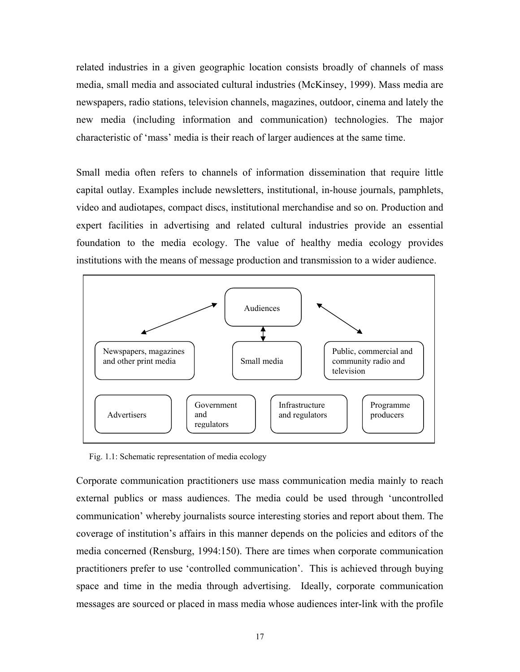related industries in a given geographic location consists broadly of channels of mass media, small media and associated cultural industries (McKinsey, 1999). Mass media are newspapers, radio stations, television channels, magazines, outdoor, cinema and lately the new media (including information and communication) technologies. The major characteristic of 'mass' media is their reach of larger audiences at the same time.

Small media often refers to channels of information dissemination that require little capital outlay. Examples include newsletters, institutional, in-house journals, pamphlets, video and audiotapes, compact discs, institutional merchandise and so on. Production and expert facilities in advertising and related cultural industries provide an essential foundation to the media ecology. The value of healthy media ecology provides institutions with the means of message production and transmission to a wider audience.



Fig. 1.1: Schematic representation of media ecology

Corporate communication practitioners use mass communication media mainly to reach external publics or mass audiences. The media could be used through 'uncontrolled communication' whereby journalists source interesting stories and report about them. The coverage of institution's affairs in this manner depends on the policies and editors of the media concerned (Rensburg, 1994:150). There are times when corporate communication practitioners prefer to use 'controlled communication'. This is achieved through buying space and time in the media through advertising. Ideally, corporate communication messages are sourced or placed in mass media whose audiences inter-link with the profile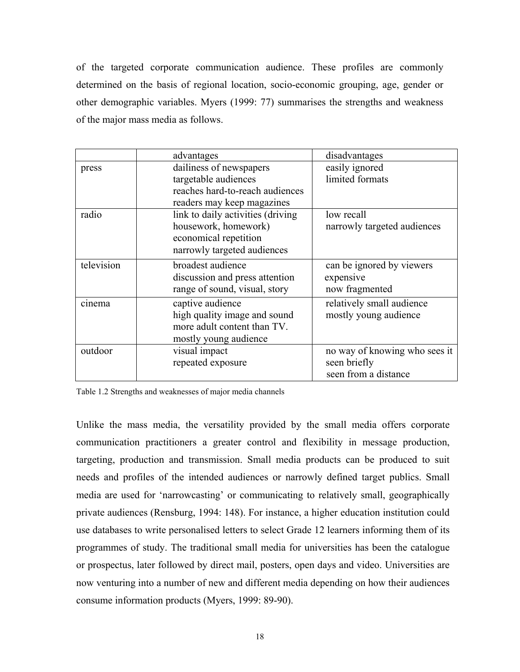of the targeted corporate communication audience. These profiles are commonly determined on the basis of regional location, socio-economic grouping, age, gender or other demographic variables. Myers (1999: 77) summarises the strengths and weakness of the major mass media as follows.

|            | advantages                         | disadvantages                 |
|------------|------------------------------------|-------------------------------|
| press      | dailiness of newspapers            | easily ignored                |
|            | targetable audiences               | limited formats               |
|            | reaches hard-to-reach audiences    |                               |
|            | readers may keep magazines         |                               |
| radio      | link to daily activities (driving) | low recall                    |
|            | housework, homework)               | narrowly targeted audiences   |
|            | economical repetition              |                               |
|            | narrowly targeted audiences        |                               |
| television | broadest audience                  | can be ignored by viewers     |
|            | discussion and press attention     | expensive                     |
|            | range of sound, visual, story      | now fragmented                |
| cinema     | captive audience                   | relatively small audience     |
|            | high quality image and sound       | mostly young audience         |
|            | more adult content than TV.        |                               |
|            | mostly young audience              |                               |
| outdoor    | visual impact                      | no way of knowing who sees it |
|            | repeated exposure                  | seen briefly                  |
|            |                                    | seen from a distance          |

Table 1.2 Strengths and weaknesses of major media channels

Unlike the mass media, the versatility provided by the small media offers corporate communication practitioners a greater control and flexibility in message production, targeting, production and transmission. Small media products can be produced to suit needs and profiles of the intended audiences or narrowly defined target publics. Small media are used for 'narrowcasting' or communicating to relatively small, geographically private audiences (Rensburg, 1994: 148). For instance, a higher education institution could use databases to write personalised letters to select Grade 12 learners informing them of its programmes of study. The traditional small media for universities has been the catalogue or prospectus, later followed by direct mail, posters, open days and video. Universities are now venturing into a number of new and different media depending on how their audiences consume information products (Myers, 1999: 89-90).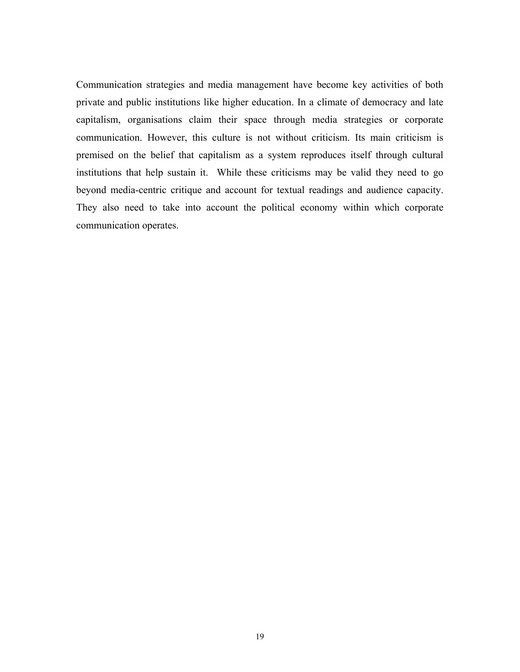Communication strategies and media management have become key activities of both private and public institutions like higher education. In a climate of democracy and late capitalism, organisations claim their space through media strategies or corporate communication. However, this culture is not without criticism. Its main criticism is premised on the belief that capitalism as a system reproduces itself through cultural institutions that help sustain it. While these criticisms may be valid they need to go beyond media-centric critique and account for textual readings and audience capacity. They also need to take into account the political economy within which corporate communication operates.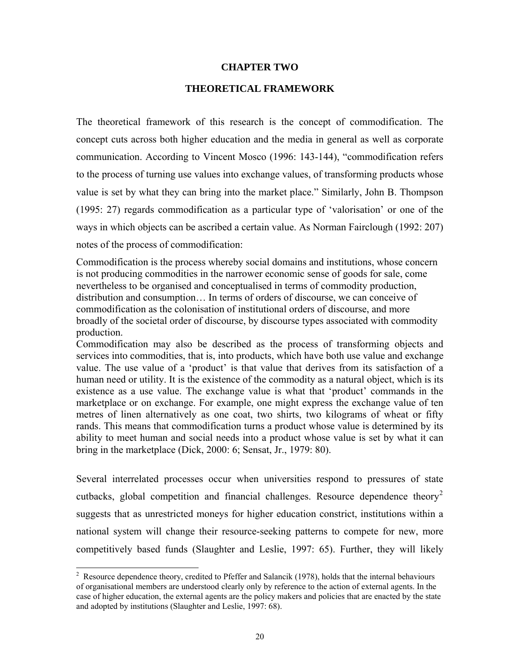#### **CHAPTER TWO**

#### **THEORETICAL FRAMEWORK**

The theoretical framework of this research is the concept of commodification. The concept cuts across both higher education and the media in general as well as corporate communication. According to Vincent Mosco (1996: 143-144), "commodification refers to the process of turning use values into exchange values, of transforming products whose value is set by what they can bring into the market place." Similarly, John B. Thompson (1995: 27) regards commodification as a particular type of 'valorisation' or one of the ways in which objects can be ascribed a certain value. As Norman Fairclough (1992: 207) notes of the process of commodification:

Commodification is the process whereby social domains and institutions, whose concern is not producing commodities in the narrower economic sense of goods for sale, come nevertheless to be organised and conceptualised in terms of commodity production, distribution and consumption… In terms of orders of discourse, we can conceive of commodification as the colonisation of institutional orders of discourse, and more broadly of the societal order of discourse, by discourse types associated with commodity production.

Commodification may also be described as the process of transforming objects and services into commodities, that is, into products, which have both use value and exchange value. The use value of a 'product' is that value that derives from its satisfaction of a human need or utility. It is the existence of the commodity as a natural object, which is its existence as a use value. The exchange value is what that 'product' commands in the marketplace or on exchange. For example, one might express the exchange value of ten metres of linen alternatively as one coat, two shirts, two kilograms of wheat or fifty rands. This means that commodification turns a product whose value is determined by its ability to meet human and social needs into a product whose value is set by what it can bring in the marketplace (Dick, 2000: 6; Sensat, Jr., 1979: 80).

Several interrelated processes occur when universities respond to pressures of state cutbacks, global competition and financial challenges. Resource dependence theory<sup>[2](#page-17-0)</sup> suggests that as unrestricted moneys for higher education constrict, institutions within a national system will change their resource-seeking patterns to compete for new, more competitively based funds (Slaughter and Leslie, 1997: 65). Further, they will likely

<span id="page-25-0"></span>l

<sup>&</sup>lt;sup>2</sup> Resource dependence theory, credited to Pfeffer and Salancik (1978), holds that the internal behaviours of organisational members are understood clearly only by reference to the action of external agents. In the case of higher education, the external agents are the policy makers and policies that are enacted by the state and adopted by institutions (Slaughter and Leslie, 1997: 68).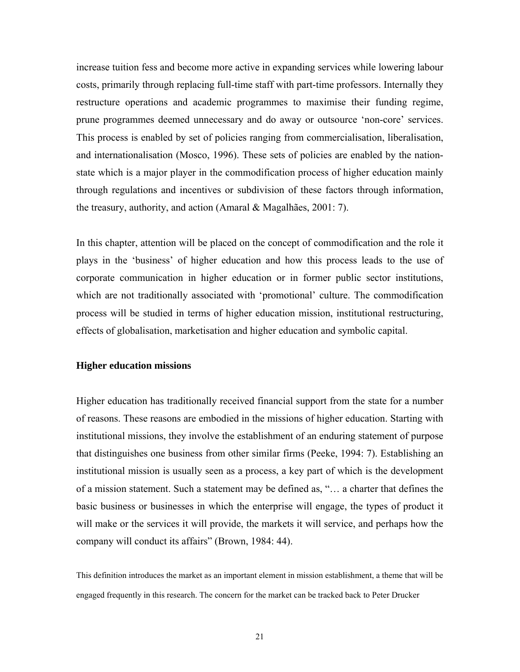increase tuition fess and become more active in expanding services while lowering labour costs, primarily through replacing full-time staff with part-time professors. Internally they restructure operations and academic programmes to maximise their funding regime, prune programmes deemed unnecessary and do away or outsource 'non-core' services. This process is enabled by set of policies ranging from commercialisation, liberalisation, and internationalisation (Mosco, 1996). These sets of policies are enabled by the nationstate which is a major player in the commodification process of higher education mainly through regulations and incentives or subdivision of these factors through information, the treasury, authority, and action (Amaral & Magalhães, 2001: 7).

In this chapter, attention will be placed on the concept of commodification and the role it plays in the 'business' of higher education and how this process leads to the use of corporate communication in higher education or in former public sector institutions, which are not traditionally associated with 'promotional' culture. The commodification process will be studied in terms of higher education mission, institutional restructuring, effects of globalisation, marketisation and higher education and symbolic capital.

#### **Higher education missions**

Higher education has traditionally received financial support from the state for a number of reasons. These reasons are embodied in the missions of higher education. Starting with institutional missions, they involve the establishment of an enduring statement of purpose that distinguishes one business from other similar firms (Peeke, 1994: 7). Establishing an institutional mission is usually seen as a process, a key part of which is the development of a mission statement. Such a statement may be defined as, "… a charter that defines the basic business or businesses in which the enterprise will engage, the types of product it will make or the services it will provide, the markets it will service, and perhaps how the company will conduct its affairs" (Brown, 1984: 44).

This definition introduces the market as an important element in mission establishment, a theme that will be engaged frequently in this research. The concern for the market can be tracked back to Peter Drucker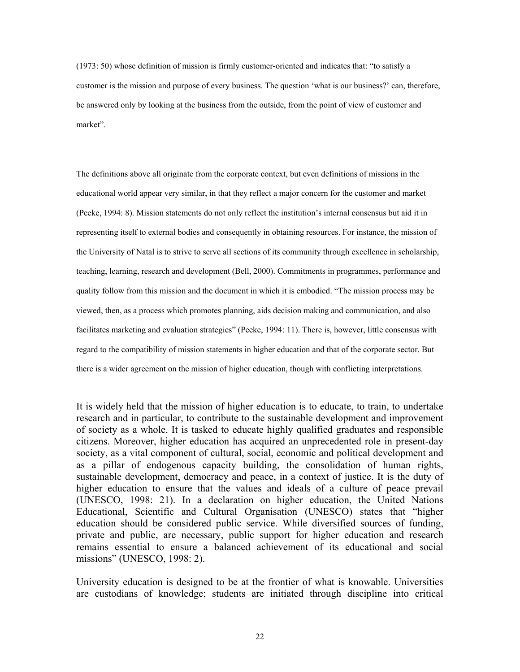(1973: 50) whose definition of mission is firmly customer-oriented and indicates that: "to satisfy a customer is the mission and purpose of every business. The question 'what is our business?' can, therefore, be answered only by looking at the business from the outside, from the point of view of customer and market".

The definitions above all originate from the corporate context, but even definitions of missions in the educational world appear very similar, in that they reflect a major concern for the customer and market (Peeke, 1994: 8). Mission statements do not only reflect the institution's internal consensus but aid it in representing itself to external bodies and consequently in obtaining resources. For instance, the mission of the University of Natal is to strive to serve all sections of its community through excellence in scholarship, teaching, learning, research and development (Bell, 2000). Commitments in programmes, performance and quality follow from this mission and the document in which it is embodied. "The mission process may be viewed, then, as a process which promotes planning, aids decision making and communication, and also facilitates marketing and evaluation strategies" (Peeke, 1994: 11). There is, however, little consensus with regard to the compatibility of mission statements in higher education and that of the corporate sector. But there is a wider agreement on the mission of higher education, though with conflicting interpretations.

It is widely held that the mission of higher education is to educate, to train, to undertake research and in particular, to contribute to the sustainable development and improvement of society as a whole. It is tasked to educate highly qualified graduates and responsible citizens. Moreover, higher education has acquired an unprecedented role in present-day society, as a vital component of cultural, social, economic and political development and as a pillar of endogenous capacity building, the consolidation of human rights, sustainable development, democracy and peace, in a context of justice. It is the duty of higher education to ensure that the values and ideals of a culture of peace prevail (UNESCO, 1998: 21). In a declaration on higher education, the United Nations Educational, Scientific and Cultural Organisation (UNESCO) states that "higher education should be considered public service. While diversified sources of funding, private and public, are necessary, public support for higher education and research remains essential to ensure a balanced achievement of its educational and social missions" (UNESCO, 1998: 2).

University education is designed to be at the frontier of what is knowable. Universities are custodians of knowledge; students are initiated through discipline into critical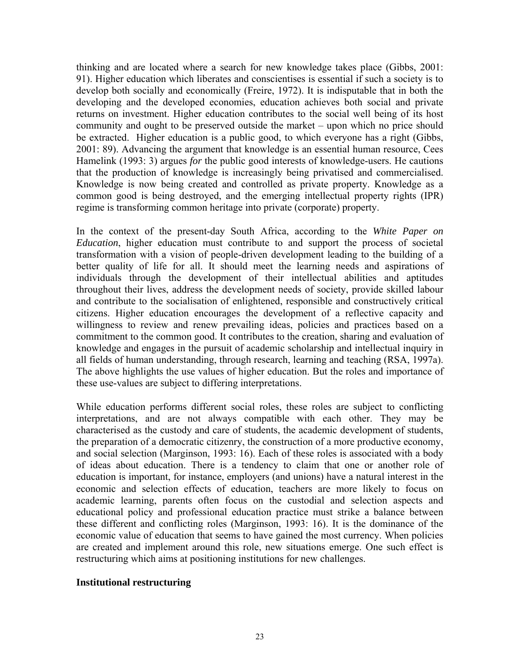thinking and are located where a search for new knowledge takes place (Gibbs, 2001: 91). Higher education which liberates and conscientises is essential if such a society is to develop both socially and economically (Freire, 1972). It is indisputable that in both the developing and the developed economies, education achieves both social and private returns on investment. Higher education contributes to the social well being of its host community and ought to be preserved outside the market – upon which no price should be extracted. Higher education is a public good, to which everyone has a right (Gibbs, 2001: 89). Advancing the argument that knowledge is an essential human resource, Cees Hamelink (1993: 3) argues *for* the public good interests of knowledge-users. He cautions that the production of knowledge is increasingly being privatised and commercialised. Knowledge is now being created and controlled as private property. Knowledge as a common good is being destroyed, and the emerging intellectual property rights (IPR) regime is transforming common heritage into private (corporate) property.

In the context of the present-day South Africa, according to the *White Paper on Education*, higher education must contribute to and support the process of societal transformation with a vision of people-driven development leading to the building of a better quality of life for all. It should meet the learning needs and aspirations of individuals through the development of their intellectual abilities and aptitudes throughout their lives, address the development needs of society, provide skilled labour and contribute to the socialisation of enlightened, responsible and constructively critical citizens. Higher education encourages the development of a reflective capacity and willingness to review and renew prevailing ideas, policies and practices based on a commitment to the common good. It contributes to the creation, sharing and evaluation of knowledge and engages in the pursuit of academic scholarship and intellectual inquiry in all fields of human understanding, through research, learning and teaching (RSA, 1997a). The above highlights the use values of higher education. But the roles and importance of these use-values are subject to differing interpretations.

While education performs different social roles, these roles are subject to conflicting interpretations, and are not always compatible with each other. They may be characterised as the custody and care of students, the academic development of students, the preparation of a democratic citizenry, the construction of a more productive economy, and social selection (Marginson, 1993: 16). Each of these roles is associated with a body of ideas about education. There is a tendency to claim that one or another role of education is important, for instance, employers (and unions) have a natural interest in the economic and selection effects of education, teachers are more likely to focus on academic learning, parents often focus on the custodial and selection aspects and educational policy and professional education practice must strike a balance between these different and conflicting roles (Marginson, 1993: 16). It is the dominance of the economic value of education that seems to have gained the most currency. When policies are created and implement around this role, new situations emerge. One such effect is restructuring which aims at positioning institutions for new challenges.

### **Institutional restructuring**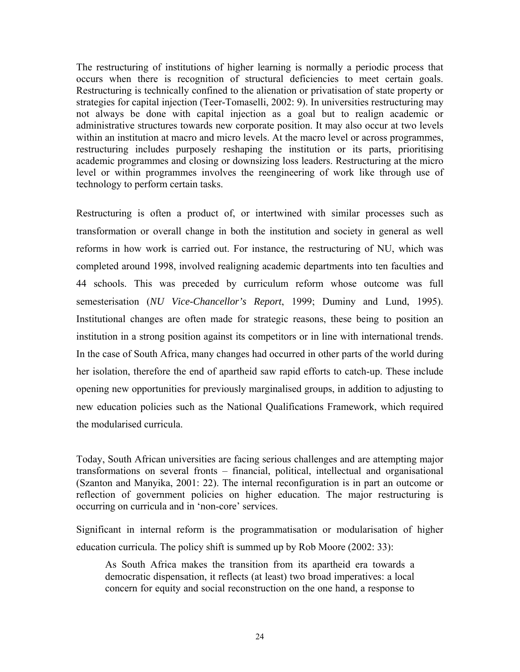The restructuring of institutions of higher learning is normally a periodic process that occurs when there is recognition of structural deficiencies to meet certain goals. Restructuring is technically confined to the alienation or privatisation of state property or strategies for capital injection (Teer-Tomaselli, 2002: 9). In universities restructuring may not always be done with capital injection as a goal but to realign academic or administrative structures towards new corporate position. It may also occur at two levels within an institution at macro and micro levels. At the macro level or across programmes, restructuring includes purposely reshaping the institution or its parts, prioritising academic programmes and closing or downsizing loss leaders. Restructuring at the micro level or within programmes involves the reengineering of work like through use of technology to perform certain tasks.

Restructuring is often a product of, or intertwined with similar processes such as transformation or overall change in both the institution and society in general as well reforms in how work is carried out. For instance, the restructuring of NU, which was completed around 1998, involved realigning academic departments into ten faculties and 44 schools. This was preceded by curriculum reform whose outcome was full semesterisation (*NU Vice-Chancellor's Report*, 1999; Duminy and Lund, 1995). Institutional changes are often made for strategic reasons, these being to position an institution in a strong position against its competitors or in line with international trends. In the case of South Africa, many changes had occurred in other parts of the world during her isolation, therefore the end of apartheid saw rapid efforts to catch-up. These include opening new opportunities for previously marginalised groups, in addition to adjusting to new education policies such as the National Qualifications Framework, which required the modularised curricula.

Today, South African universities are facing serious challenges and are attempting major transformations on several fronts – financial, political, intellectual and organisational (Szanton and Manyika, 2001: 22). The internal reconfiguration is in part an outcome or reflection of government policies on higher education. The major restructuring is occurring on curricula and in 'non-core' services.

Significant in internal reform is the programmatisation or modularisation of higher education curricula. The policy shift is summed up by Rob Moore (2002: 33):

As South Africa makes the transition from its apartheid era towards a democratic dispensation, it reflects (at least) two broad imperatives: a local concern for equity and social reconstruction on the one hand, a response to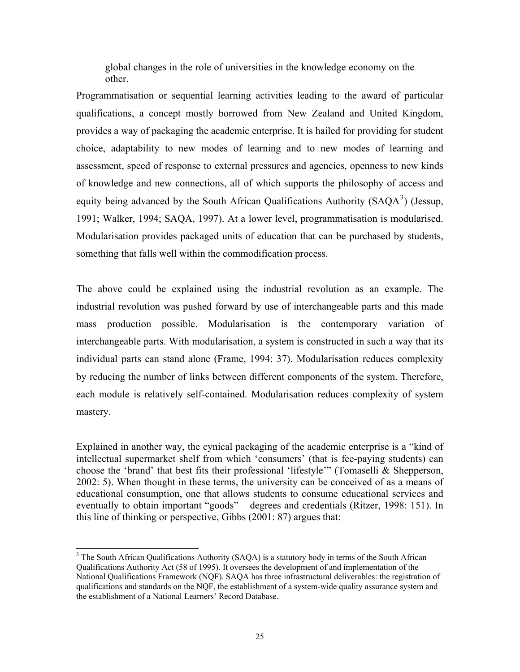global changes in the role of universities in the knowledge economy on the other.

Programmatisation or sequential learning activities leading to the award of particular qualifications, a concept mostly borrowed from New Zealand and United Kingdom, provides a way of packaging the academic enterprise. It is hailed for providing for student choice, adaptability to new modes of learning and to new modes of learning and assessment, speed of response to external pressures and agencies, openness to new kinds of knowledge and new connections, all of which supports the philosophy of access and equity being advanced by the South African Qualifications Authority  $(SAQA<sup>3</sup>)$  $(SAQA<sup>3</sup>)$  $(SAQA<sup>3</sup>)$  (Jessup, 1991; Walker, 1994; SAQA, 1997). At a lower level, programmatisation is modularised. Modularisation provides packaged units of education that can be purchased by students, something that falls well within the commodification process.

The above could be explained using the industrial revolution as an example. The industrial revolution was pushed forward by use of interchangeable parts and this made mass production possible. Modularisation is the contemporary variation of interchangeable parts. With modularisation, a system is constructed in such a way that its individual parts can stand alone (Frame, 1994: 37). Modularisation reduces complexity by reducing the number of links between different components of the system. Therefore, each module is relatively self-contained. Modularisation reduces complexity of system mastery.

Explained in another way, the cynical packaging of the academic enterprise is a "kind of intellectual supermarket shelf from which 'consumers' (that is fee-paying students) can choose the 'brand' that best fits their professional 'lifestyle'" (Tomaselli & Shepperson, 2002: 5). When thought in these terms, the university can be conceived of as a means of educational consumption, one that allows students to consume educational services and eventually to obtain important "goods" – degrees and credentials (Ritzer, 1998: 151). In this line of thinking or perspective, Gibbs (2001: 87) argues that:

<span id="page-30-0"></span><sup>&</sup>lt;sup>3</sup> The South African Qualifications Authority (SAQA) is a statutory body in terms of the South African Qualifications Authority Act (58 of 1995). It oversees the development of and implementation of the National Qualifications Framework (NQF). SAQA has three infrastructural deliverables: the registration of qualifications and standards on the NQF, the establishment of a system-wide quality assurance system and the establishment of a National Learners' Record Database.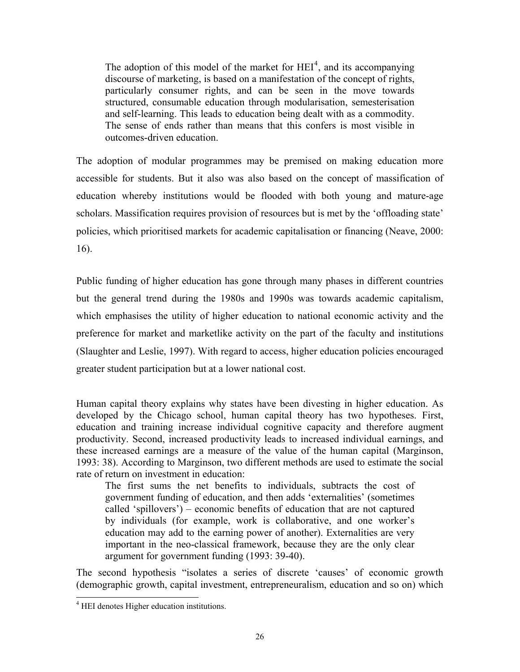The adoption of this model of the market for  $\text{HEI}^4$  $\text{HEI}^4$ , and its accompanying discourse of marketing, is based on a manifestation of the concept of rights, particularly consumer rights, and can be seen in the move towards structured, consumable education through modularisation, semesterisation and self-learning. This leads to education being dealt with as a commodity. The sense of ends rather than means that this confers is most visible in outcomes-driven education.

The adoption of modular programmes may be premised on making education more accessible for students. But it also was also based on the concept of massification of education whereby institutions would be flooded with both young and mature-age scholars. Massification requires provision of resources but is met by the 'offloading state' policies, which prioritised markets for academic capitalisation or financing (Neave, 2000: 16).

Public funding of higher education has gone through many phases in different countries but the general trend during the 1980s and 1990s was towards academic capitalism, which emphasises the utility of higher education to national economic activity and the preference for market and marketlike activity on the part of the faculty and institutions (Slaughter and Leslie, 1997). With regard to access, higher education policies encouraged greater student participation but at a lower national cost.

Human capital theory explains why states have been divesting in higher education. As developed by the Chicago school, human capital theory has two hypotheses. First, education and training increase individual cognitive capacity and therefore augment productivity. Second, increased productivity leads to increased individual earnings, and these increased earnings are a measure of the value of the human capital (Marginson, 1993: 38). According to Marginson, two different methods are used to estimate the social rate of return on investment in education:

The first sums the net benefits to individuals, subtracts the cost of government funding of education, and then adds 'externalities' (sometimes called 'spillovers') – economic benefits of education that are not captured by individuals (for example, work is collaborative, and one worker's education may add to the earning power of another). Externalities are very important in the neo-classical framework, because they are the only clear argument for government funding (1993: 39-40).

<span id="page-31-0"></span>The second hypothesis "isolates a series of discrete 'causes' of economic growth (demographic growth, capital investment, entrepreneuralism, education and so on) which

l

<sup>&</sup>lt;sup>4</sup> HEI denotes Higher education institutions.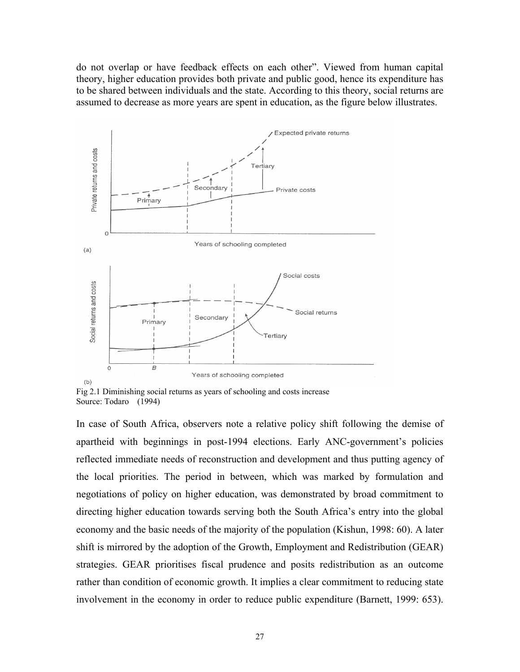do not overlap or have feedback effects on each other". Viewed from human capital theory, higher education provides both private and public good, hence its expenditure has to be shared between individuals and the state. According to this theory, social returns are assumed to decrease as more years are spent in education, as the figure below illustrates.



Fig 2.1 Diminishing social returns as years of schooling and costs increase Source: Todaro (1994)

In case of South Africa, observers note a relative policy shift following the demise of apartheid with beginnings in post-1994 elections. Early ANC-government's policies reflected immediate needs of reconstruction and development and thus putting agency of the local priorities. The period in between, which was marked by formulation and negotiations of policy on higher education, was demonstrated by broad commitment to directing higher education towards serving both the South Africa's entry into the global economy and the basic needs of the majority of the population (Kishun, 1998: 60). A later shift is mirrored by the adoption of the Growth, Employment and Redistribution (GEAR) strategies. GEAR prioritises fiscal prudence and posits redistribution as an outcome rather than condition of economic growth. It implies a clear commitment to reducing state involvement in the economy in order to reduce public expenditure (Barnett, 1999: 653).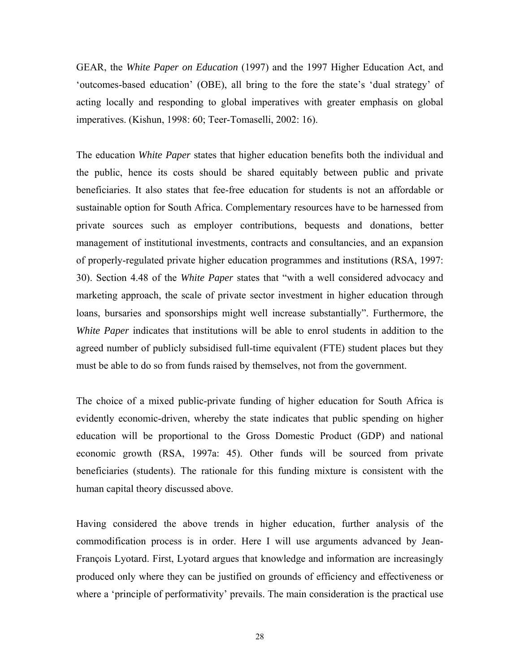GEAR, the *White Paper on Education* (1997) and the 1997 Higher Education Act, and 'outcomes-based education' (OBE), all bring to the fore the state's 'dual strategy' of acting locally and responding to global imperatives with greater emphasis on global imperatives. (Kishun, 1998: 60; Teer-Tomaselli, 2002: 16).

The education *White Paper* states that higher education benefits both the individual and the public, hence its costs should be shared equitably between public and private beneficiaries. It also states that fee-free education for students is not an affordable or sustainable option for South Africa. Complementary resources have to be harnessed from private sources such as employer contributions, bequests and donations, better management of institutional investments, contracts and consultancies, and an expansion of properly-regulated private higher education programmes and institutions (RSA, 1997: 30). Section 4.48 of the *White Paper* states that "with a well considered advocacy and marketing approach, the scale of private sector investment in higher education through loans, bursaries and sponsorships might well increase substantially". Furthermore, the *White Paper* indicates that institutions will be able to enrol students in addition to the agreed number of publicly subsidised full-time equivalent (FTE) student places but they must be able to do so from funds raised by themselves, not from the government.

The choice of a mixed public-private funding of higher education for South Africa is evidently economic-driven, whereby the state indicates that public spending on higher education will be proportional to the Gross Domestic Product (GDP) and national economic growth (RSA, 1997a: 45). Other funds will be sourced from private beneficiaries (students). The rationale for this funding mixture is consistent with the human capital theory discussed above.

Having considered the above trends in higher education, further analysis of the commodification process is in order. Here I will use arguments advanced by Jean-François Lyotard. First, Lyotard argues that knowledge and information are increasingly produced only where they can be justified on grounds of efficiency and effectiveness or where a 'principle of performativity' prevails. The main consideration is the practical use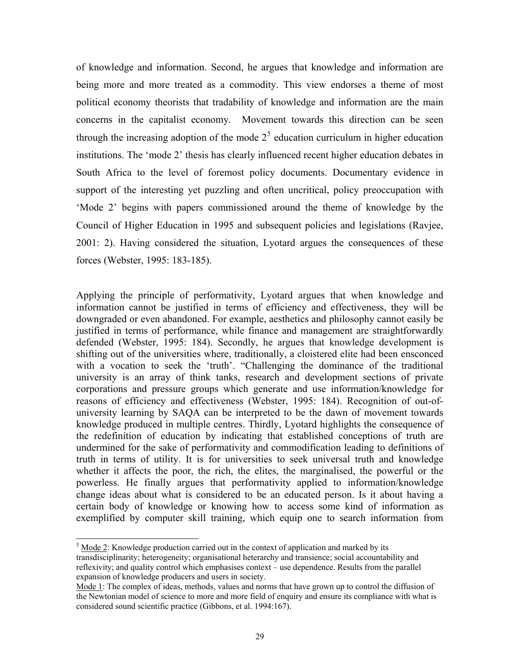of knowledge and information. Second, he argues that knowledge and information are being more and more treated as a commodity. This view endorses a theme of most political economy theorists that tradability of knowledge and information are the main concerns in the capitalist economy. Movement towards this direction can be seen through the increasing adoption of the mode  $2<sup>5</sup>$  $2<sup>5</sup>$  $2<sup>5</sup>$  education curriculum in higher education institutions. The 'mode 2' thesis has clearly influenced recent higher education debates in South Africa to the level of foremost policy documents. Documentary evidence in support of the interesting yet puzzling and often uncritical, policy preoccupation with 'Mode 2' begins with papers commissioned around the theme of knowledge by the Council of Higher Education in 1995 and subsequent policies and legislations (Ravjee, 2001: 2). Having considered the situation, Lyotard argues the consequences of these forces (Webster, 1995: 183-185).

Applying the principle of performativity, Lyotard argues that when knowledge and information cannot be justified in terms of efficiency and effectiveness, they will be downgraded or even abandoned. For example, aesthetics and philosophy cannot easily be justified in terms of performance, while finance and management are straightforwardly defended (Webster, 1995: 184). Secondly, he argues that knowledge development is shifting out of the universities where, traditionally, a cloistered elite had been ensconced with a vocation to seek the 'truth'. "Challenging the dominance of the traditional university is an array of think tanks, research and development sections of private corporations and pressure groups which generate and use information/knowledge for reasons of efficiency and effectiveness (Webster, 1995: 184). Recognition of out-ofuniversity learning by SAQA can be interpreted to be the dawn of movement towards knowledge produced in multiple centres. Thirdly, Lyotard highlights the consequence of the redefinition of education by indicating that established conceptions of truth are undermined for the sake of performativity and commodification leading to definitions of truth in terms of utility. It is for universities to seek universal truth and knowledge whether it affects the poor, the rich, the elites, the marginalised, the powerful or the powerless. He finally argues that performativity applied to information/knowledge change ideas about what is considered to be an educated person. Is it about having a certain body of knowledge or knowing how to access some kind of information as exemplified by computer skill training, which equip one to search information from

l

 $5 \text{ Mode } 2$ : Knowledge production carried out in the context of application and marked by its transdisciplinarity; heterogeneity; organisational heterarchy and transience; social accountability and reflexivity; and quality control which emphasises context – use dependence. Results from the parallel expansion of knowledge producers and users in society.

Mode 1: The complex of ideas, methods, values and norms that have grown up to control the diffusion of the Newtonian model of science to more and more field of enquiry and ensure its compliance with what is considered sound scientific practice (Gibbons, et al. 1994:167).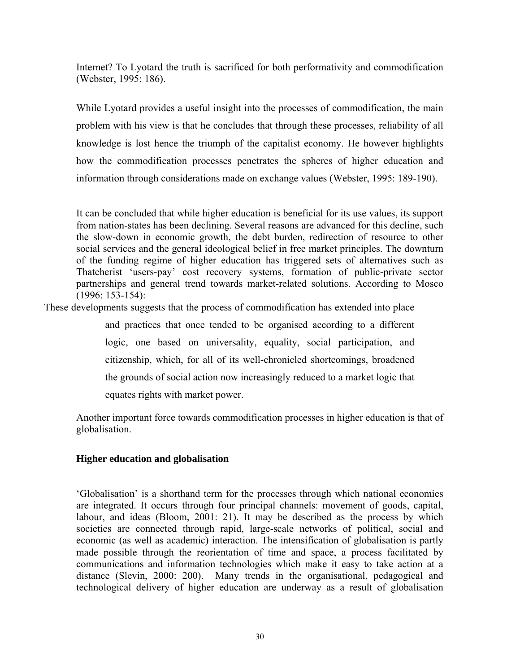Internet? To Lyotard the truth is sacrificed for both performativity and commodification (Webster, 1995: 186).

While Lyotard provides a useful insight into the processes of commodification, the main problem with his view is that he concludes that through these processes, reliability of all knowledge is lost hence the triumph of the capitalist economy. He however highlights how the commodification processes penetrates the spheres of higher education and information through considerations made on exchange values (Webster, 1995: 189-190).

It can be concluded that while higher education is beneficial for its use values, its support from nation-states has been declining. Several reasons are advanced for this decline, such the slow-down in economic growth, the debt burden, redirection of resource to other social services and the general ideological belief in free market principles. The downturn of the funding regime of higher education has triggered sets of alternatives such as Thatcherist 'users-pay' cost recovery systems, formation of public-private sector partnerships and general trend towards market-related solutions. According to Mosco (1996: 153-154):

These developments suggests that the process of commodification has extended into place

and practices that once tended to be organised according to a different logic, one based on universality, equality, social participation, and citizenship, which, for all of its well-chronicled shortcomings, broadened the grounds of social action now increasingly reduced to a market logic that equates rights with market power.

Another important force towards commodification processes in higher education is that of globalisation.

# **Higher education and globalisation**

'Globalisation' is a shorthand term for the processes through which national economies are integrated. It occurs through four principal channels: movement of goods, capital, labour, and ideas (Bloom, 2001: 21). It may be described as the process by which societies are connected through rapid, large-scale networks of political, social and economic (as well as academic) interaction. The intensification of globalisation is partly made possible through the reorientation of time and space, a process facilitated by communications and information technologies which make it easy to take action at a distance (Slevin, 2000: 200). Many trends in the organisational, pedagogical and technological delivery of higher education are underway as a result of globalisation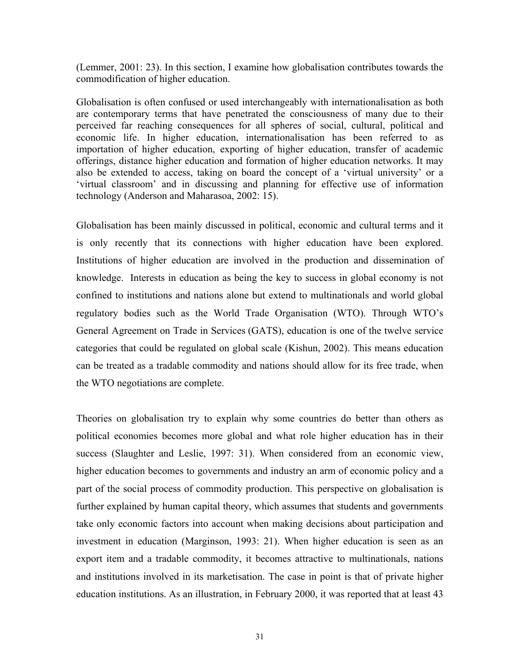(Lemmer, 2001: 23). In this section, I examine how globalisation contributes towards the commodification of higher education.

Globalisation is often confused or used interchangeably with internationalisation as both are contemporary terms that have penetrated the consciousness of many due to their perceived far reaching consequences for all spheres of social, cultural, political and economic life. In higher education, internationalisation has been referred to as importation of higher education, exporting of higher education, transfer of academic offerings, distance higher education and formation of higher education networks. It may also be extended to access, taking on board the concept of a 'virtual university' or a 'virtual classroom' and in discussing and planning for effective use of information technology (Anderson and Maharasoa, 2002: 15).

Globalisation has been mainly discussed in political, economic and cultural terms and it is only recently that its connections with higher education have been explored. Institutions of higher education are involved in the production and dissemination of knowledge. Interests in education as being the key to success in global economy is not confined to institutions and nations alone but extend to multinationals and world global regulatory bodies such as the World Trade Organisation (WTO). Through WTO's General Agreement on Trade in Services (GATS), education is one of the twelve service categories that could be regulated on global scale (Kishun, 2002). This means education can be treated as a tradable commodity and nations should allow for its free trade, when the WTO negotiations are complete.

Theories on globalisation try to explain why some countries do better than others as political economies becomes more global and what role higher education has in their success (Slaughter and Leslie, 1997: 31). When considered from an economic view, higher education becomes to governments and industry an arm of economic policy and a part of the social process of commodity production. This perspective on globalisation is further explained by human capital theory, which assumes that students and governments take only economic factors into account when making decisions about participation and investment in education (Marginson, 1993: 21). When higher education is seen as an export item and a tradable commodity, it becomes attractive to multinationals, nations and institutions involved in its marketisation. The case in point is that of private higher education institutions. As an illustration, in February 2000, it was reported that at least 43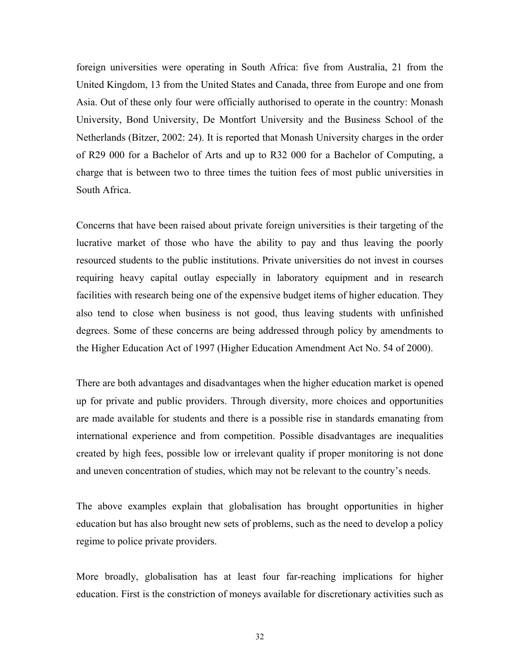foreign universities were operating in South Africa: five from Australia, 21 from the United Kingdom, 13 from the United States and Canada, three from Europe and one from Asia. Out of these only four were officially authorised to operate in the country: Monash University, Bond University, De Montfort University and the Business School of the Netherlands (Bitzer, 2002: 24). It is reported that Monash University charges in the order of R29 000 for a Bachelor of Arts and up to R32 000 for a Bachelor of Computing, a charge that is between two to three times the tuition fees of most public universities in South Africa.

Concerns that have been raised about private foreign universities is their targeting of the lucrative market of those who have the ability to pay and thus leaving the poorly resourced students to the public institutions. Private universities do not invest in courses requiring heavy capital outlay especially in laboratory equipment and in research facilities with research being one of the expensive budget items of higher education. They also tend to close when business is not good, thus leaving students with unfinished degrees. Some of these concerns are being addressed through policy by amendments to the Higher Education Act of 1997 (Higher Education Amendment Act No. 54 of 2000).

There are both advantages and disadvantages when the higher education market is opened up for private and public providers. Through diversity, more choices and opportunities are made available for students and there is a possible rise in standards emanating from international experience and from competition. Possible disadvantages are inequalities created by high fees, possible low or irrelevant quality if proper monitoring is not done and uneven concentration of studies, which may not be relevant to the country's needs.

The above examples explain that globalisation has brought opportunities in higher education but has also brought new sets of problems, such as the need to develop a policy regime to police private providers.

More broadly, globalisation has at least four far-reaching implications for higher education. First is the constriction of moneys available for discretionary activities such as

32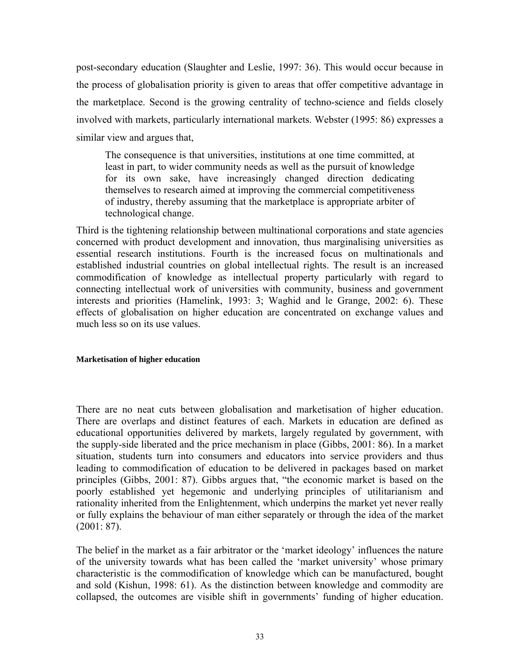post-secondary education (Slaughter and Leslie, 1997: 36). This would occur because in the process of globalisation priority is given to areas that offer competitive advantage in the marketplace. Second is the growing centrality of techno-science and fields closely involved with markets, particularly international markets. Webster (1995: 86) expresses a similar view and argues that,

The consequence is that universities, institutions at one time committed, at least in part, to wider community needs as well as the pursuit of knowledge for its own sake, have increasingly changed direction dedicating themselves to research aimed at improving the commercial competitiveness of industry, thereby assuming that the marketplace is appropriate arbiter of technological change.

Third is the tightening relationship between multinational corporations and state agencies concerned with product development and innovation, thus marginalising universities as essential research institutions. Fourth is the increased focus on multinationals and established industrial countries on global intellectual rights. The result is an increased commodification of knowledge as intellectual property particularly with regard to connecting intellectual work of universities with community, business and government interests and priorities (Hamelink, 1993: 3; Waghid and le Grange, 2002: 6). These effects of globalisation on higher education are concentrated on exchange values and much less so on its use values.

## **Marketisation of higher education**

There are no neat cuts between globalisation and marketisation of higher education. There are overlaps and distinct features of each. Markets in education are defined as educational opportunities delivered by markets, largely regulated by government, with the supply-side liberated and the price mechanism in place (Gibbs, 2001: 86). In a market situation, students turn into consumers and educators into service providers and thus leading to commodification of education to be delivered in packages based on market principles (Gibbs, 2001: 87). Gibbs argues that, "the economic market is based on the poorly established yet hegemonic and underlying principles of utilitarianism and rationality inherited from the Enlightenment, which underpins the market yet never really or fully explains the behaviour of man either separately or through the idea of the market (2001: 87).

The belief in the market as a fair arbitrator or the 'market ideology' influences the nature of the university towards what has been called the 'market university' whose primary characteristic is the commodification of knowledge which can be manufactured, bought and sold (Kishun, 1998: 61). As the distinction between knowledge and commodity are collapsed, the outcomes are visible shift in governments' funding of higher education.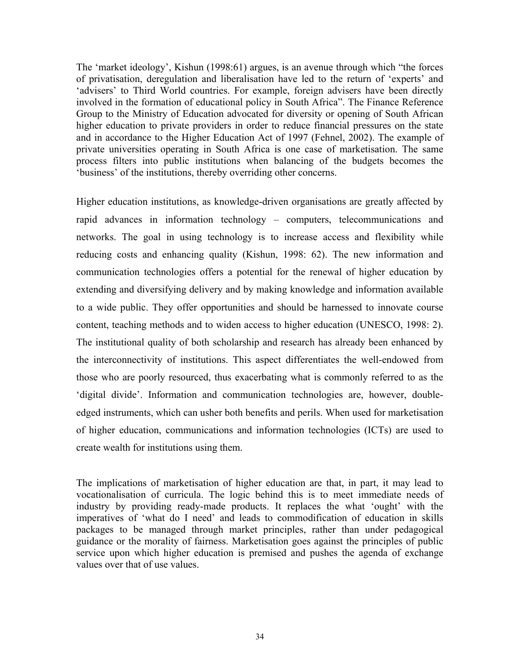The 'market ideology', Kishun (1998:61) argues, is an avenue through which "the forces of privatisation, deregulation and liberalisation have led to the return of 'experts' and 'advisers' to Third World countries. For example, foreign advisers have been directly involved in the formation of educational policy in South Africa". The Finance Reference Group to the Ministry of Education advocated for diversity or opening of South African higher education to private providers in order to reduce financial pressures on the state and in accordance to the Higher Education Act of 1997 (Fehnel, 2002). The example of private universities operating in South Africa is one case of marketisation. The same process filters into public institutions when balancing of the budgets becomes the 'business' of the institutions, thereby overriding other concerns.

Higher education institutions, as knowledge-driven organisations are greatly affected by rapid advances in information technology – computers, telecommunications and networks. The goal in using technology is to increase access and flexibility while reducing costs and enhancing quality (Kishun, 1998: 62). The new information and communication technologies offers a potential for the renewal of higher education by extending and diversifying delivery and by making knowledge and information available to a wide public. They offer opportunities and should be harnessed to innovate course content, teaching methods and to widen access to higher education (UNESCO, 1998: 2). The institutional quality of both scholarship and research has already been enhanced by the interconnectivity of institutions. This aspect differentiates the well-endowed from those who are poorly resourced, thus exacerbating what is commonly referred to as the 'digital divide'. Information and communication technologies are, however, doubleedged instruments, which can usher both benefits and perils. When used for marketisation of higher education, communications and information technologies (ICTs) are used to create wealth for institutions using them.

The implications of marketisation of higher education are that, in part, it may lead to vocationalisation of curricula. The logic behind this is to meet immediate needs of industry by providing ready-made products. It replaces the what 'ought' with the imperatives of 'what do I need' and leads to commodification of education in skills packages to be managed through market principles, rather than under pedagogical guidance or the morality of fairness. Marketisation goes against the principles of public service upon which higher education is premised and pushes the agenda of exchange values over that of use values.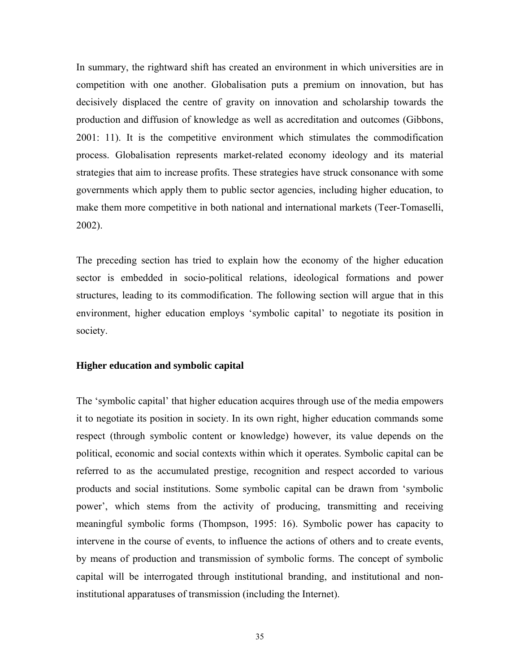In summary, the rightward shift has created an environment in which universities are in competition with one another. Globalisation puts a premium on innovation, but has decisively displaced the centre of gravity on innovation and scholarship towards the production and diffusion of knowledge as well as accreditation and outcomes (Gibbons, 2001: 11). It is the competitive environment which stimulates the commodification process. Globalisation represents market-related economy ideology and its material strategies that aim to increase profits. These strategies have struck consonance with some governments which apply them to public sector agencies, including higher education, to make them more competitive in both national and international markets (Teer-Tomaselli, 2002).

The preceding section has tried to explain how the economy of the higher education sector is embedded in socio-political relations, ideological formations and power structures, leading to its commodification. The following section will argue that in this environment, higher education employs 'symbolic capital' to negotiate its position in society.

## **Higher education and symbolic capital**

The 'symbolic capital' that higher education acquires through use of the media empowers it to negotiate its position in society. In its own right, higher education commands some respect (through symbolic content or knowledge) however, its value depends on the political, economic and social contexts within which it operates. Symbolic capital can be referred to as the accumulated prestige, recognition and respect accorded to various products and social institutions. Some symbolic capital can be drawn from 'symbolic power', which stems from the activity of producing, transmitting and receiving meaningful symbolic forms (Thompson, 1995: 16). Symbolic power has capacity to intervene in the course of events, to influence the actions of others and to create events, by means of production and transmission of symbolic forms. The concept of symbolic capital will be interrogated through institutional branding, and institutional and noninstitutional apparatuses of transmission (including the Internet).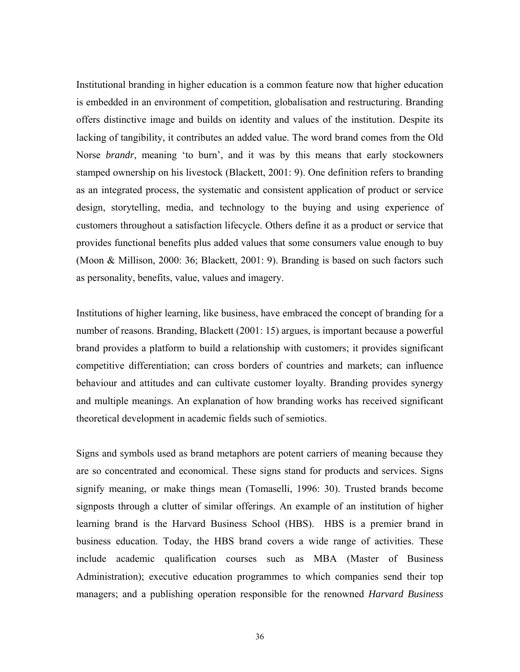Institutional branding in higher education is a common feature now that higher education is embedded in an environment of competition, globalisation and restructuring. Branding offers distinctive image and builds on identity and values of the institution. Despite its lacking of tangibility, it contributes an added value. The word brand comes from the Old Norse *brandr*, meaning 'to burn', and it was by this means that early stockowners stamped ownership on his livestock (Blackett, 2001: 9). One definition refers to branding as an integrated process, the systematic and consistent application of product or service design, storytelling, media, and technology to the buying and using experience of customers throughout a satisfaction lifecycle. Others define it as a product or service that provides functional benefits plus added values that some consumers value enough to buy (Moon & Millison, 2000: 36; Blackett, 2001: 9). Branding is based on such factors such as personality, benefits, value, values and imagery.

Institutions of higher learning, like business, have embraced the concept of branding for a number of reasons. Branding, Blackett (2001: 15) argues, is important because a powerful brand provides a platform to build a relationship with customers; it provides significant competitive differentiation; can cross borders of countries and markets; can influence behaviour and attitudes and can cultivate customer loyalty. Branding provides synergy and multiple meanings. An explanation of how branding works has received significant theoretical development in academic fields such of semiotics.

Signs and symbols used as brand metaphors are potent carriers of meaning because they are so concentrated and economical. These signs stand for products and services. Signs signify meaning, or make things mean (Tomaselli, 1996: 30). Trusted brands become signposts through a clutter of similar offerings. An example of an institution of higher learning brand is the Harvard Business School (HBS). HBS is a premier brand in business education. Today, the HBS brand covers a wide range of activities. These include academic qualification courses such as MBA (Master of Business Administration); executive education programmes to which companies send their top managers; and a publishing operation responsible for the renowned *Harvard Business*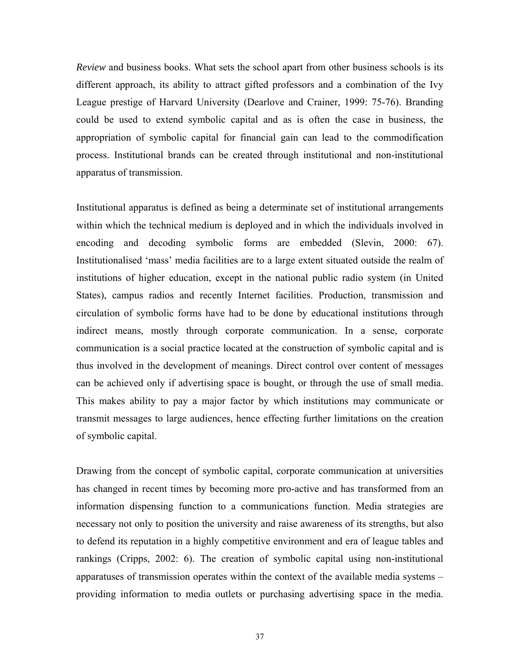*Review* and business books. What sets the school apart from other business schools is its different approach, its ability to attract gifted professors and a combination of the Ivy League prestige of Harvard University (Dearlove and Crainer, 1999: 75-76). Branding could be used to extend symbolic capital and as is often the case in business, the appropriation of symbolic capital for financial gain can lead to the commodification process. Institutional brands can be created through institutional and non-institutional apparatus of transmission.

Institutional apparatus is defined as being a determinate set of institutional arrangements within which the technical medium is deployed and in which the individuals involved in encoding and decoding symbolic forms are embedded (Slevin, 2000: 67). Institutionalised 'mass' media facilities are to a large extent situated outside the realm of institutions of higher education, except in the national public radio system (in United States), campus radios and recently Internet facilities. Production, transmission and circulation of symbolic forms have had to be done by educational institutions through indirect means, mostly through corporate communication. In a sense, corporate communication is a social practice located at the construction of symbolic capital and is thus involved in the development of meanings. Direct control over content of messages can be achieved only if advertising space is bought, or through the use of small media. This makes ability to pay a major factor by which institutions may communicate or transmit messages to large audiences, hence effecting further limitations on the creation of symbolic capital.

Drawing from the concept of symbolic capital, corporate communication at universities has changed in recent times by becoming more pro-active and has transformed from an information dispensing function to a communications function. Media strategies are necessary not only to position the university and raise awareness of its strengths, but also to defend its reputation in a highly competitive environment and era of league tables and rankings (Cripps, 2002: 6). The creation of symbolic capital using non-institutional apparatuses of transmission operates within the context of the available media systems – providing information to media outlets or purchasing advertising space in the media.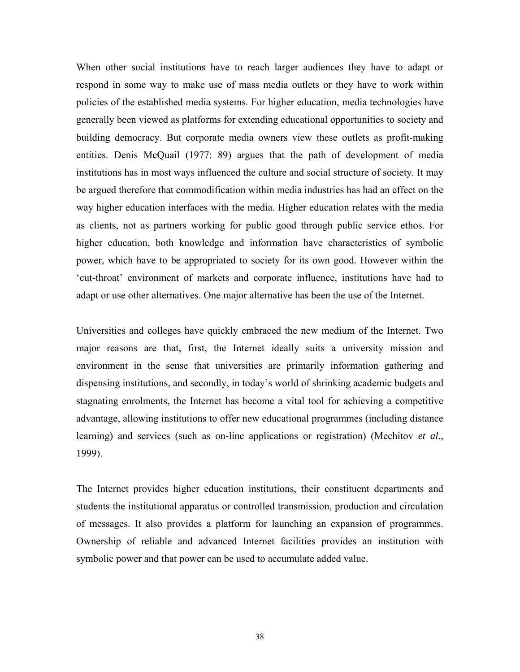When other social institutions have to reach larger audiences they have to adapt or respond in some way to make use of mass media outlets or they have to work within policies of the established media systems. For higher education, media technologies have generally been viewed as platforms for extending educational opportunities to society and building democracy. But corporate media owners view these outlets as profit-making entities. Denis McQuail (1977: 89) argues that the path of development of media institutions has in most ways influenced the culture and social structure of society. It may be argued therefore that commodification within media industries has had an effect on the way higher education interfaces with the media. Higher education relates with the media as clients, not as partners working for public good through public service ethos. For higher education, both knowledge and information have characteristics of symbolic power, which have to be appropriated to society for its own good. However within the 'cut-throat' environment of markets and corporate influence, institutions have had to adapt or use other alternatives. One major alternative has been the use of the Internet.

Universities and colleges have quickly embraced the new medium of the Internet. Two major reasons are that, first, the Internet ideally suits a university mission and environment in the sense that universities are primarily information gathering and dispensing institutions, and secondly, in today's world of shrinking academic budgets and stagnating enrolments, the Internet has become a vital tool for achieving a competitive advantage, allowing institutions to offer new educational programmes (including distance learning) and services (such as on-line applications or registration) (Mechitov *et al*., 1999).

The Internet provides higher education institutions, their constituent departments and students the institutional apparatus or controlled transmission, production and circulation of messages. It also provides a platform for launching an expansion of programmes. Ownership of reliable and advanced Internet facilities provides an institution with symbolic power and that power can be used to accumulate added value.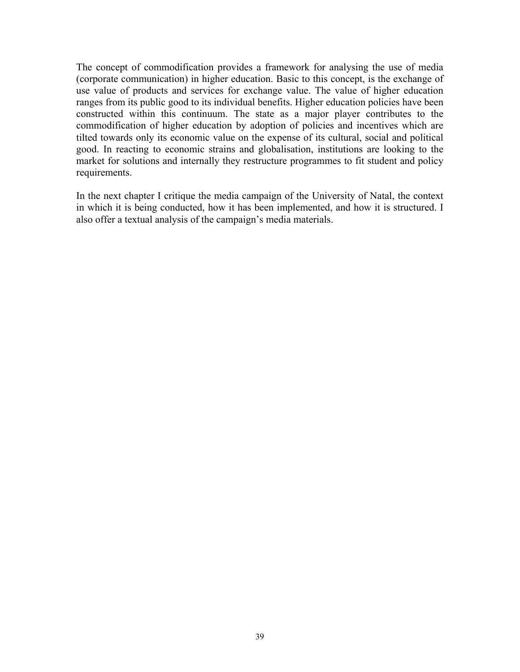The concept of commodification provides a framework for analysing the use of media (corporate communication) in higher education. Basic to this concept, is the exchange of use value of products and services for exchange value. The value of higher education ranges from its public good to its individual benefits. Higher education policies have been constructed within this continuum. The state as a major player contributes to the commodification of higher education by adoption of policies and incentives which are tilted towards only its economic value on the expense of its cultural, social and political good. In reacting to economic strains and globalisation, institutions are looking to the market for solutions and internally they restructure programmes to fit student and policy requirements.

In the next chapter I critique the media campaign of the University of Natal, the context in which it is being conducted, how it has been implemented, and how it is structured. I also offer a textual analysis of the campaign's media materials.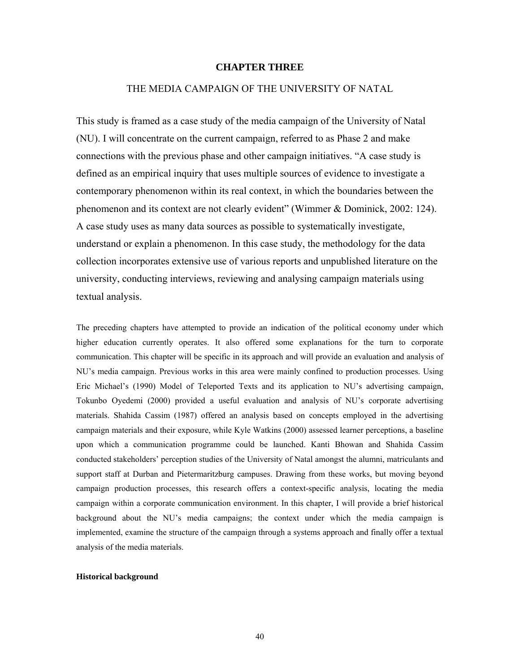### **CHAPTER THREE**

## THE MEDIA CAMPAIGN OF THE UNIVERSITY OF NATAL

This study is framed as a case study of the media campaign of the University of Natal (NU). I will concentrate on the current campaign, referred to as Phase 2 and make connections with the previous phase and other campaign initiatives. "A case study is defined as an empirical inquiry that uses multiple sources of evidence to investigate a contemporary phenomenon within its real context, in which the boundaries between the phenomenon and its context are not clearly evident" (Wimmer & Dominick, 2002: 124). A case study uses as many data sources as possible to systematically investigate, understand or explain a phenomenon. In this case study, the methodology for the data collection incorporates extensive use of various reports and unpublished literature on the university, conducting interviews, reviewing and analysing campaign materials using textual analysis.

The preceding chapters have attempted to provide an indication of the political economy under which higher education currently operates. It also offered some explanations for the turn to corporate communication. This chapter will be specific in its approach and will provide an evaluation and analysis of NU's media campaign. Previous works in this area were mainly confined to production processes. Using Eric Michael's (1990) Model of Teleported Texts and its application to NU's advertising campaign, Tokunbo Oyedemi (2000) provided a useful evaluation and analysis of NU's corporate advertising materials. Shahida Cassim (1987) offered an analysis based on concepts employed in the advertising campaign materials and their exposure, while Kyle Watkins (2000) assessed learner perceptions, a baseline upon which a communication programme could be launched. Kanti Bhowan and Shahida Cassim conducted stakeholders' perception studies of the University of Natal amongst the alumni, matriculants and support staff at Durban and Pietermaritzburg campuses. Drawing from these works, but moving beyond campaign production processes, this research offers a context-specific analysis, locating the media campaign within a corporate communication environment. In this chapter, I will provide a brief historical background about the NU's media campaigns; the context under which the media campaign is implemented, examine the structure of the campaign through a systems approach and finally offer a textual analysis of the media materials.

#### **Historical background**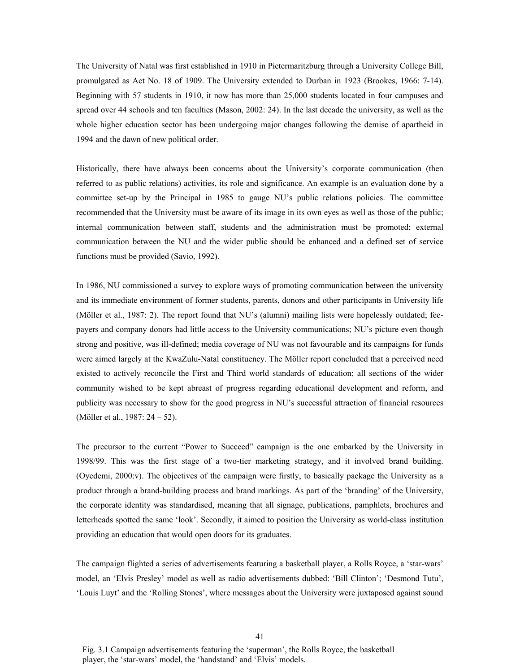The University of Natal was first established in 1910 in Pietermaritzburg through a University College Bill, promulgated as Act No. 18 of 1909. The University extended to Durban in 1923 (Brookes, 1966: 7-14). Beginning with 57 students in 1910, it now has more than 25,000 students located in four campuses and spread over 44 schools and ten faculties (Mason, 2002: 24). In the last decade the university, as well as the whole higher education sector has been undergoing major changes following the demise of apartheid in 1994 and the dawn of new political order.

Historically, there have always been concerns about the University's corporate communication (then referred to as public relations) activities, its role and significance. An example is an evaluation done by a committee set-up by the Principal in 1985 to gauge NU's public relations policies. The committee recommended that the University must be aware of its image in its own eyes as well as those of the public; internal communication between staff, students and the administration must be promoted; external communication between the NU and the wider public should be enhanced and a defined set of service functions must be provided (Savio, 1992).

In 1986, NU commissioned a survey to explore ways of promoting communication between the university and its immediate environment of former students, parents, donors and other participants in University life (Möller et al., 1987: 2). The report found that NU's (alumni) mailing lists were hopelessly outdated; feepayers and company donors had little access to the University communications; NU's picture even though strong and positive, was ill-defined; media coverage of NU was not favourable and its campaigns for funds were aimed largely at the KwaZulu-Natal constituency. The Möller report concluded that a perceived need existed to actively reconcile the First and Third world standards of education; all sections of the wider community wished to be kept abreast of progress regarding educational development and reform, and publicity was necessary to show for the good progress in NU's successful attraction of financial resources (Möller et al., 1987: 24 – 52).

The precursor to the current "Power to Succeed" campaign is the one embarked by the University in 1998/99. This was the first stage of a two-tier marketing strategy, and it involved brand building. (Oyedemi, 2000:v). The objectives of the campaign were firstly, to basically package the University as a product through a brand-building process and brand markings. As part of the 'branding' of the University, the corporate identity was standardised, meaning that all signage, publications, pamphlets, brochures and letterheads spotted the same 'look'. Secondly, it aimed to position the University as world-class institution providing an education that would open doors for its graduates.

The campaign flighted a series of advertisements featuring a basketball player, a Rolls Royce, a 'star-wars' model, an 'Elvis Presley' model as well as radio advertisements dubbed: 'Bill Clinton'; 'Desmond Tutu', 'Louis Luyt' and the 'Rolling Stones', where messages about the University were juxtaposed against sound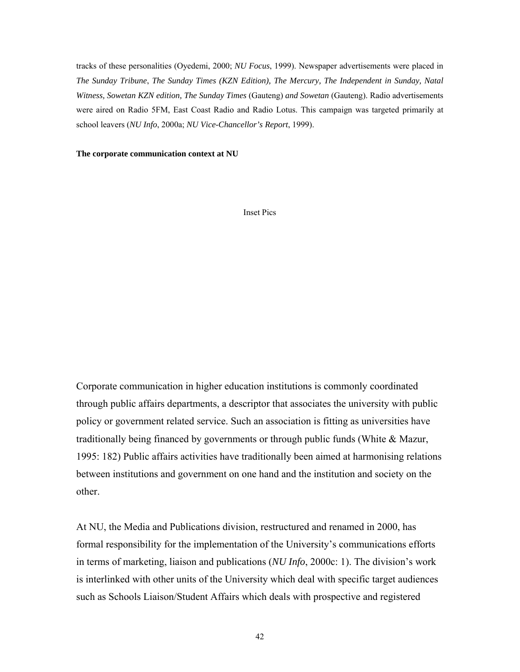tracks of these personalities (Oyedemi, 2000; *NU Focus*, 1999). Newspaper advertisements were placed in *The Sunday Tribune*, *The Sunday Times (KZN Edition), The Mercury, The Independent in Sunday, Natal Witness, Sowetan KZN edition, The Sunday Times* (Gauteng) *and Sowetan* (Gauteng). Radio advertisements were aired on Radio 5FM, East Coast Radio and Radio Lotus. This campaign was targeted primarily at school leavers (*NU Info*, 2000a; *NU Vice-Chancellor's Report*, 1999).

**The corporate communication context at NU** 

Inset Pics

Corporate communication in higher education institutions is commonly coordinated through public affairs departments, a descriptor that associates the university with public policy or government related service. Such an association is fitting as universities have traditionally being financed by governments or through public funds (White & Mazur, 1995: 182) Public affairs activities have traditionally been aimed at harmonising relations between institutions and government on one hand and the institution and society on the other.

At NU, the Media and Publications division, restructured and renamed in 2000, has formal responsibility for the implementation of the University's communications efforts in terms of marketing, liaison and publications (*NU Info*, 2000c: 1). The division's work is interlinked with other units of the University which deal with specific target audiences such as Schools Liaison/Student Affairs which deals with prospective and registered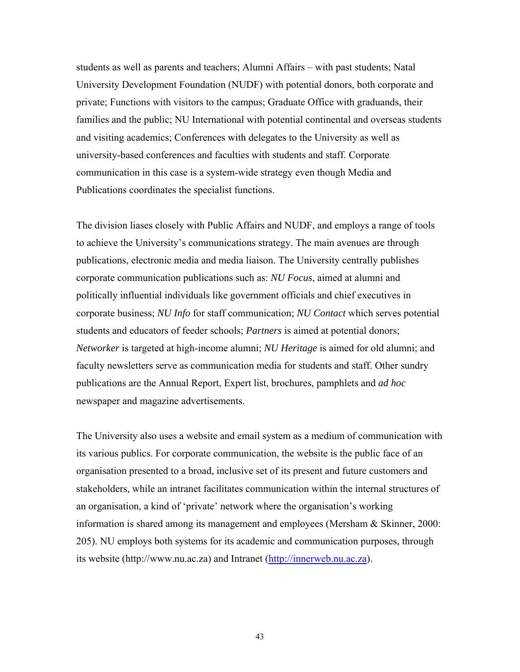students as well as parents and teachers; Alumni Affairs – with past students; Natal University Development Foundation (NUDF) with potential donors, both corporate and private; Functions with visitors to the campus; Graduate Office with graduands, their families and the public; NU International with potential continental and overseas students and visiting academics; Conferences with delegates to the University as well as university-based conferences and faculties with students and staff. Corporate communication in this case is a system-wide strategy even though Media and Publications coordinates the specialist functions.

The division liases closely with Public Affairs and NUDF, and employs a range of tools to achieve the University's communications strategy. The main avenues are through publications, electronic media and media liaison. The University centrally publishes corporate communication publications such as: *NU Focus*, aimed at alumni and politically influential individuals like government officials and chief executives in corporate business; *NU Info* for staff communication; *NU Contact* which serves potential students and educators of feeder schools; *Partners* is aimed at potential donors; *Networker* is targeted at high-income alumni; *NU Heritage* is aimed for old alumni; and faculty newsletters serve as communication media for students and staff. Other sundry publications are the Annual Report, Expert list, brochures, pamphlets and *ad hoc* newspaper and magazine advertisements.

The University also uses a website and email system as a medium of communication with its various publics. For corporate communication, the website is the public face of an organisation presented to a broad, inclusive set of its present and future customers and stakeholders, while an intranet facilitates communication within the internal structures of an organisation, a kind of 'private' network where the organisation's working information is shared among its management and employees (Mersham & Skinner, 2000: 205). NU employs both systems for its academic and communication purposes, through its website (http://www.nu.ac.za) and Intranet [\(http://innerweb.nu.ac.za](http://innerweb.nu.ac.za/)).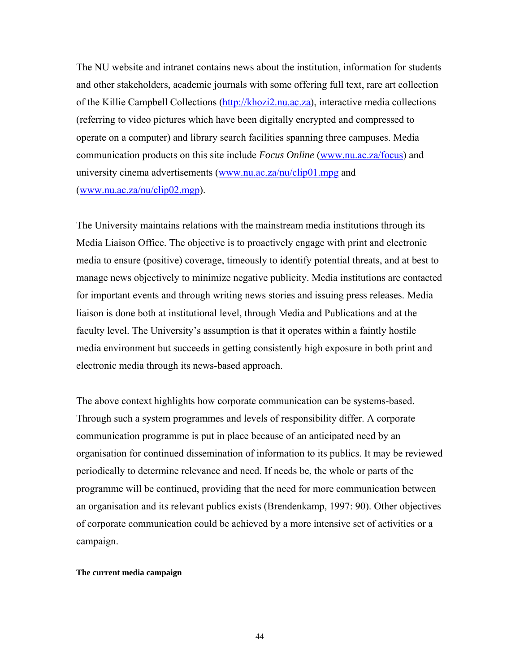The NU website and intranet contains news about the institution, information for students and other stakeholders, academic journals with some offering full text, rare art collection of the Killie Campbell Collections [\(http://khozi2.nu.ac.za\)](http://khozi2.nu.ac.za/), interactive media collections (referring to video pictures which have been digitally encrypted and compressed to operate on a computer) and library search facilities spanning three campuses. Media communication products on this site include *Focus Online* [\(www.nu.ac.za/focus\)](http://www.nu.ac.za/focus) and university cinema advertisements [\(www.nu.ac.za/nu/clip01.mpg](http://www.nu.ac.za/nu/clip01.mpg) and  $(www.nu.ac.za/nu/clip02.mgp)$  $(www.nu.ac.za/nu/clip02.mgp)$  $(www.nu.ac.za/nu/clip02.mgp)$ .

The University maintains relations with the mainstream media institutions through its Media Liaison Office. The objective is to proactively engage with print and electronic media to ensure (positive) coverage, timeously to identify potential threats, and at best to manage news objectively to minimize negative publicity. Media institutions are contacted for important events and through writing news stories and issuing press releases. Media liaison is done both at institutional level, through Media and Publications and at the faculty level. The University's assumption is that it operates within a faintly hostile media environment but succeeds in getting consistently high exposure in both print and electronic media through its news-based approach.

The above context highlights how corporate communication can be systems-based. Through such a system programmes and levels of responsibility differ. A corporate communication programme is put in place because of an anticipated need by an organisation for continued dissemination of information to its publics. It may be reviewed periodically to determine relevance and need. If needs be, the whole or parts of the programme will be continued, providing that the need for more communication between an organisation and its relevant publics exists (Brendenkamp, 1997: 90). Other objectives of corporate communication could be achieved by a more intensive set of activities or a campaign.

#### **The current media campaign**

44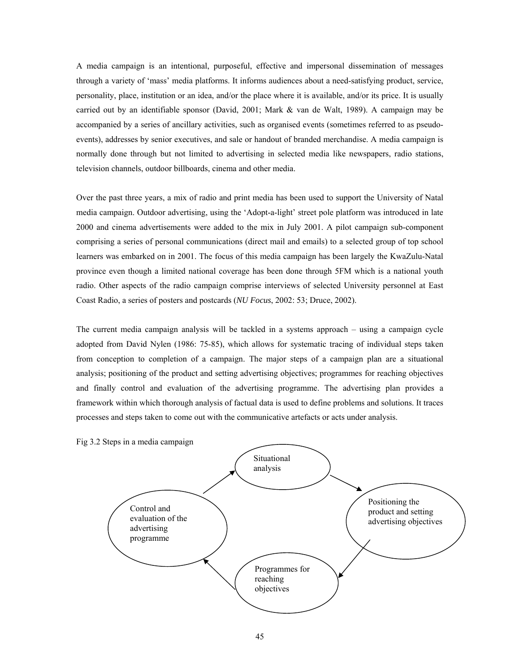A media campaign is an intentional, purposeful, effective and impersonal dissemination of messages through a variety of 'mass' media platforms. It informs audiences about a need-satisfying product, service, personality, place, institution or an idea, and/or the place where it is available, and/or its price. It is usually carried out by an identifiable sponsor (David, 2001; Mark & van de Walt, 1989). A campaign may be accompanied by a series of ancillary activities, such as organised events (sometimes referred to as pseudoevents), addresses by senior executives, and sale or handout of branded merchandise. A media campaign is normally done through but not limited to advertising in selected media like newspapers, radio stations, television channels, outdoor billboards, cinema and other media.

Over the past three years, a mix of radio and print media has been used to support the University of Natal media campaign. Outdoor advertising, using the 'Adopt-a-light' street pole platform was introduced in late 2000 and cinema advertisements were added to the mix in July 2001. A pilot campaign sub-component comprising a series of personal communications (direct mail and emails) to a selected group of top school learners was embarked on in 2001. The focus of this media campaign has been largely the KwaZulu-Natal province even though a limited national coverage has been done through 5FM which is a national youth radio. Other aspects of the radio campaign comprise interviews of selected University personnel at East Coast Radio, a series of posters and postcards (*NU Focus*, 2002: 53; Druce, 2002).

The current media campaign analysis will be tackled in a systems approach – using a campaign cycle adopted from David Nylen (1986: 75-85), which allows for systematic tracing of individual steps taken from conception to completion of a campaign. The major steps of a campaign plan are a situational analysis; positioning of the product and setting advertising objectives; programmes for reaching objectives and finally control and evaluation of the advertising programme. The advertising plan provides a framework within which thorough analysis of factual data is used to define problems and solutions. It traces processes and steps taken to come out with the communicative artefacts or acts under analysis.

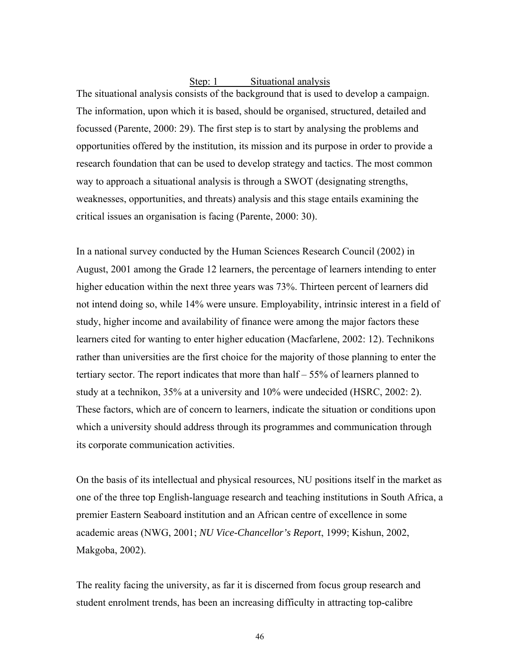# Step: 1 Situational analysis

The situational analysis consists of the background that is used to develop a campaign. The information, upon which it is based, should be organised, structured, detailed and focussed (Parente, 2000: 29). The first step is to start by analysing the problems and opportunities offered by the institution, its mission and its purpose in order to provide a research foundation that can be used to develop strategy and tactics. The most common way to approach a situational analysis is through a SWOT (designating strengths, weaknesses, opportunities, and threats) analysis and this stage entails examining the critical issues an organisation is facing (Parente, 2000: 30).

In a national survey conducted by the Human Sciences Research Council (2002) in August, 2001 among the Grade 12 learners, the percentage of learners intending to enter higher education within the next three years was 73%. Thirteen percent of learners did not intend doing so, while 14% were unsure. Employability, intrinsic interest in a field of study, higher income and availability of finance were among the major factors these learners cited for wanting to enter higher education (Macfarlene, 2002: 12). Technikons rather than universities are the first choice for the majority of those planning to enter the tertiary sector. The report indicates that more than half – 55% of learners planned to study at a technikon, 35% at a university and 10% were undecided (HSRC, 2002: 2). These factors, which are of concern to learners, indicate the situation or conditions upon which a university should address through its programmes and communication through its corporate communication activities.

On the basis of its intellectual and physical resources, NU positions itself in the market as one of the three top English-language research and teaching institutions in South Africa, a premier Eastern Seaboard institution and an African centre of excellence in some academic areas (NWG, 2001; *NU Vice-Chancellor's Report*, 1999; Kishun, 2002, Makgoba, 2002).

The reality facing the university, as far it is discerned from focus group research and student enrolment trends, has been an increasing difficulty in attracting top-calibre

46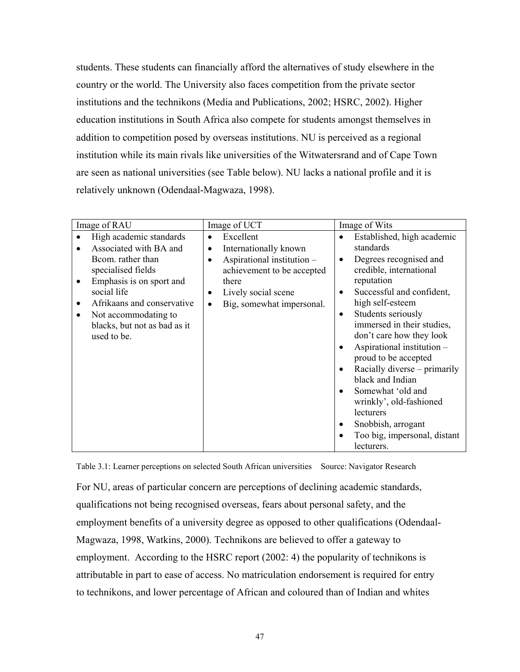students. These students can financially afford the alternatives of study elsewhere in the country or the world. The University also faces competition from the private sector institutions and the technikons (Media and Publications, 2002; HSRC, 2002). Higher education institutions in South Africa also compete for students amongst themselves in addition to competition posed by overseas institutions. NU is perceived as a regional institution while its main rivals like universities of the Witwatersrand and of Cape Town are seen as national universities (see Table below). NU lacks a national profile and it is relatively unknown (Odendaal-Magwaza, 1998).

| Image of RAU                                                                                                                                                                                                                       | Image of UCT                                                                                                                                                                                            | Image of Wits                                                                                                                                                                                                                                  |
|------------------------------------------------------------------------------------------------------------------------------------------------------------------------------------------------------------------------------------|---------------------------------------------------------------------------------------------------------------------------------------------------------------------------------------------------------|------------------------------------------------------------------------------------------------------------------------------------------------------------------------------------------------------------------------------------------------|
| High academic standards<br>Associated with BA and<br>Bcom. rather than<br>specialised fields<br>Emphasis is on sport and<br>social life<br>Afrikaans and conservative<br>Not accommodating to<br>٠<br>blacks, but not as bad as it | Excellent<br>$\bullet$<br>Internationally known<br>$\bullet$<br>Aspirational institution -<br>achievement to be accepted<br>there<br>Lively social scene<br>٠<br>Big, somewhat impersonal.<br>$\bullet$ | Established, high academic<br>$\bullet$<br>standards<br>Degrees recognised and<br>٠<br>credible, international<br>reputation<br>Successful and confident,<br>high self-esteem<br>Students seriously<br>$\bullet$<br>immersed in their studies, |
| used to be.                                                                                                                                                                                                                        |                                                                                                                                                                                                         | don't care how they look<br>Aspirational institution -<br>proud to be accepted<br>Racially diverse – primarily<br>black and Indian<br>Somewhat 'old and<br>wrinkly', old-fashioned<br>lecturers<br>Snobbish, arrogant<br>٠                     |
|                                                                                                                                                                                                                                    |                                                                                                                                                                                                         | Too big, impersonal, distant<br>lecturers.                                                                                                                                                                                                     |

Table 3.1: Learner perceptions on selected South African universities Source: Navigator Research

For NU, areas of particular concern are perceptions of declining academic standards, qualifications not being recognised overseas, fears about personal safety, and the employment benefits of a university degree as opposed to other qualifications (Odendaal-Magwaza, 1998, Watkins, 2000). Technikons are believed to offer a gateway to employment. According to the HSRC report (2002: 4) the popularity of technikons is attributable in part to ease of access. No matriculation endorsement is required for entry to technikons, and lower percentage of African and coloured than of Indian and whites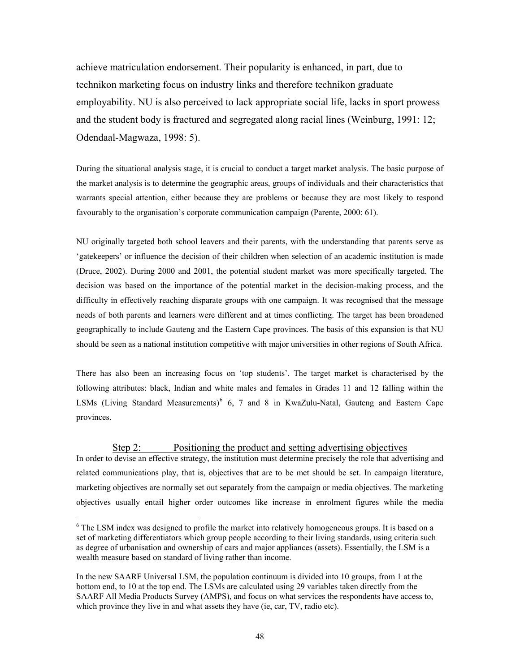achieve matriculation endorsement. Their popularity is enhanced, in part, due to technikon marketing focus on industry links and therefore technikon graduate employability. NU is also perceived to lack appropriate social life, lacks in sport prowess and the student body is fractured and segregated along racial lines (Weinburg, 1991: 12; Odendaal-Magwaza, 1998: 5).

During the situational analysis stage, it is crucial to conduct a target market analysis. The basic purpose of the market analysis is to determine the geographic areas, groups of individuals and their characteristics that warrants special attention, either because they are problems or because they are most likely to respond favourably to the organisation's corporate communication campaign (Parente, 2000: 61).

NU originally targeted both school leavers and their parents, with the understanding that parents serve as 'gatekeepers' or influence the decision of their children when selection of an academic institution is made (Druce, 2002). During 2000 and 2001, the potential student market was more specifically targeted. The decision was based on the importance of the potential market in the decision-making process, and the difficulty in effectively reaching disparate groups with one campaign. It was recognised that the message needs of both parents and learners were different and at times conflicting. The target has been broadened geographically to include Gauteng and the Eastern Cape provinces. The basis of this expansion is that NU should be seen as a national institution competitive with major universities in other regions of South Africa.

There has also been an increasing focus on 'top students'. The target market is characterised by the following attributes: black, Indian and white males and females in Grades 11 and 12 falling within the LSMs (Living Standard Measurements)<sup>[6](#page-34-0)</sup> 6, 7 and 8 in KwaZulu-Natal, Gauteng and Eastern Cape provinces.

#### Step 2: Positioning the product and setting advertising objectives In order to devise an effective strategy, the institution must determine precisely the role that advertising and

related communications play, that is, objectives that are to be met should be set. In campaign literature, marketing objectives are normally set out separately from the campaign or media objectives. The marketing objectives usually entail higher order outcomes like increase in enrolment figures while the media

l

<sup>&</sup>lt;sup>6</sup> The LSM index was designed to profile the market into relatively homogeneous groups. It is based on a set of marketing differentiators which group people according to their living standards, using criteria such as degree of urbanisation and ownership of cars and major appliances (assets). Essentially, the LSM is a wealth measure based on standard of living rather than income.

In the new SAARF Universal LSM, the population continuum is divided into 10 groups, from 1 at the bottom end, to 10 at the top end. The LSMs are calculated using 29 variables taken directly from the SAARF All Media Products Survey (AMPS), and focus on what services the respondents have access to, which province they live in and what assets they have (ie, car, TV, radio etc).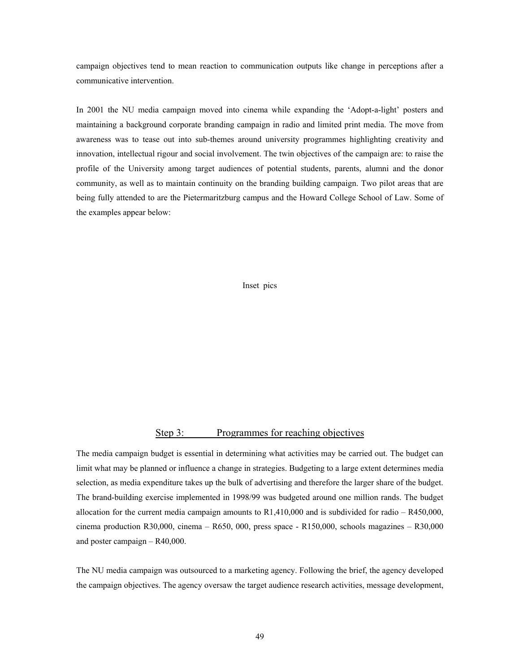campaign objectives tend to mean reaction to communication outputs like change in perceptions after a communicative intervention.

In 2001 the NU media campaign moved into cinema while expanding the 'Adopt-a-light' posters and maintaining a background corporate branding campaign in radio and limited print media. The move from awareness was to tease out into sub-themes around university programmes highlighting creativity and innovation, intellectual rigour and social involvement. The twin objectives of the campaign are: to raise the profile of the University among target audiences of potential students, parents, alumni and the donor community, as well as to maintain continuity on the branding building campaign. Two pilot areas that are being fully attended to are the Pietermaritzburg campus and the Howard College School of Law. Some of the examples appear below:

Inset pics

### Step 3: Programmes for reaching objectives

The media campaign budget is essential in determining what activities may be carried out. The budget can limit what may be planned or influence a change in strategies. Budgeting to a large extent determines media selection, as media expenditure takes up the bulk of advertising and therefore the larger share of the budget. The brand-building exercise implemented in 1998/99 was budgeted around one million rands. The budget allocation for the current media campaign amounts to R1,410,000 and is subdivided for radio – R450,000, cinema production R30,000, cinema – R650, 000, press space - R150,000, schools magazines – R30,000 and poster campaign – R40,000.

The NU media campaign was outsourced to a marketing agency. Following the brief, the agency developed the campaign objectives. The agency oversaw the target audience research activities, message development,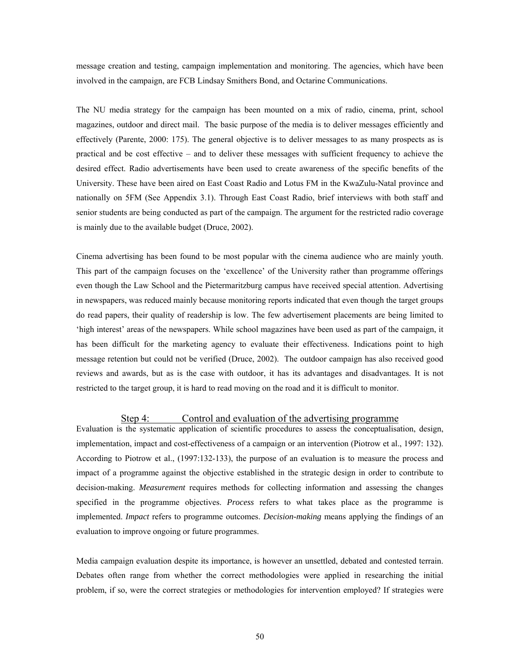message creation and testing, campaign implementation and monitoring. The agencies, which have been involved in the campaign, are FCB Lindsay Smithers Bond, and Octarine Communications.

The NU media strategy for the campaign has been mounted on a mix of radio, cinema, print, school magazines, outdoor and direct mail. The basic purpose of the media is to deliver messages efficiently and effectively (Parente, 2000: 175). The general objective is to deliver messages to as many prospects as is practical and be cost effective – and to deliver these messages with sufficient frequency to achieve the desired effect. Radio advertisements have been used to create awareness of the specific benefits of the University. These have been aired on East Coast Radio and Lotus FM in the KwaZulu-Natal province and nationally on 5FM (See Appendix 3.1). Through East Coast Radio, brief interviews with both staff and senior students are being conducted as part of the campaign. The argument for the restricted radio coverage is mainly due to the available budget (Druce, 2002).

Cinema advertising has been found to be most popular with the cinema audience who are mainly youth. This part of the campaign focuses on the 'excellence' of the University rather than programme offerings even though the Law School and the Pietermaritzburg campus have received special attention. Advertising in newspapers, was reduced mainly because monitoring reports indicated that even though the target groups do read papers, their quality of readership is low. The few advertisement placements are being limited to 'high interest' areas of the newspapers. While school magazines have been used as part of the campaign, it has been difficult for the marketing agency to evaluate their effectiveness. Indications point to high message retention but could not be verified (Druce, 2002). The outdoor campaign has also received good reviews and awards, but as is the case with outdoor, it has its advantages and disadvantages. It is not restricted to the target group, it is hard to read moving on the road and it is difficult to monitor.

#### Step 4: Control and evaluation of the advertising programme

Evaluation is the systematic application of scientific procedures to assess the conceptualisation, design, implementation, impact and cost-effectiveness of a campaign or an intervention (Piotrow et al., 1997: 132). According to Piotrow et al., (1997:132-133), the purpose of an evaluation is to measure the process and impact of a programme against the objective established in the strategic design in order to contribute to decision-making. *Measurement* requires methods for collecting information and assessing the changes specified in the programme objectives. *Process* refers to what takes place as the programme is implemented. *Impact* refers to programme outcomes. *Decision-making* means applying the findings of an evaluation to improve ongoing or future programmes.

Media campaign evaluation despite its importance, is however an unsettled, debated and contested terrain. Debates often range from whether the correct methodologies were applied in researching the initial problem, if so, were the correct strategies or methodologies for intervention employed? If strategies were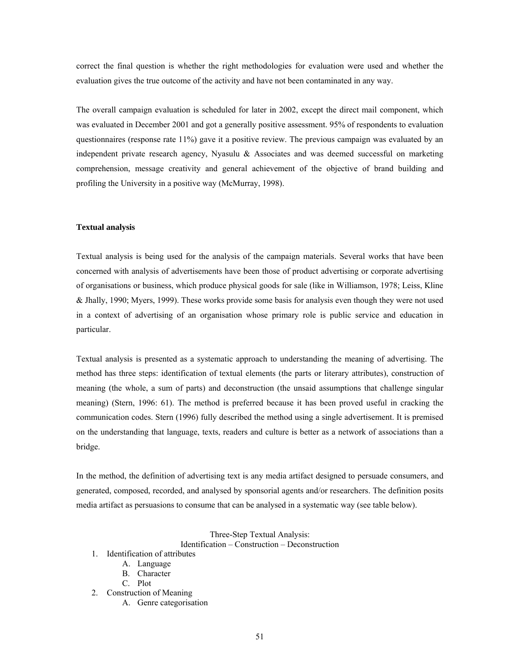correct the final question is whether the right methodologies for evaluation were used and whether the evaluation gives the true outcome of the activity and have not been contaminated in any way.

The overall campaign evaluation is scheduled for later in 2002, except the direct mail component, which was evaluated in December 2001 and got a generally positive assessment. 95% of respondents to evaluation questionnaires (response rate 11%) gave it a positive review. The previous campaign was evaluated by an independent private research agency, Nyasulu & Associates and was deemed successful on marketing comprehension, message creativity and general achievement of the objective of brand building and profiling the University in a positive way (McMurray, 1998).

#### **Textual analysis**

Textual analysis is being used for the analysis of the campaign materials. Several works that have been concerned with analysis of advertisements have been those of product advertising or corporate advertising of organisations or business, which produce physical goods for sale (like in Williamson, 1978; Leiss, Kline & Jhally, 1990; Myers, 1999). These works provide some basis for analysis even though they were not used in a context of advertising of an organisation whose primary role is public service and education in particular.

Textual analysis is presented as a systematic approach to understanding the meaning of advertising. The method has three steps: identification of textual elements (the parts or literary attributes), construction of meaning (the whole, a sum of parts) and deconstruction (the unsaid assumptions that challenge singular meaning) (Stern, 1996: 61). The method is preferred because it has been proved useful in cracking the communication codes. Stern (1996) fully described the method using a single advertisement. It is premised on the understanding that language, texts, readers and culture is better as a network of associations than a bridge.

In the method, the definition of advertising text is any media artifact designed to persuade consumers, and generated, composed, recorded, and analysed by sponsorial agents and/or researchers. The definition posits media artifact as persuasions to consume that can be analysed in a systematic way (see table below).

#### Three-Step Textual Analysis:

Identification – Construction – Deconstruction

- 1. Identification of attributes
	- A. Language
	- B. Character
	- C. Plot
- 2. Construction of Meaning
	- A. Genre categorisation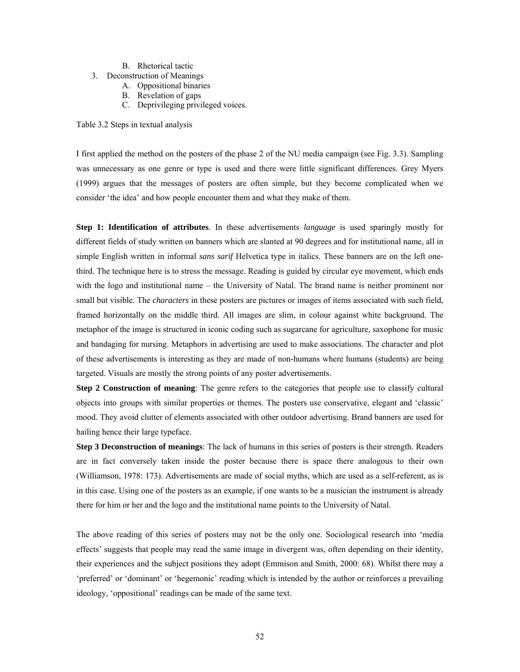- B. Rhetorical tactic
- 3. Deconstruction of Meanings
	- A. Oppositional binaries
	- B. Revelation of gaps
	- C. Deprivileging privileged voices.

Table 3.2 Steps in textual analysis

I first applied the method on the posters of the phase 2 of the NU media campaign (see Fig. 3.3). Sampling was unnecessary as one genre or type is used and there were little significant differences. Grey Myers (1999) argues that the messages of posters are often simple, but they become complicated when we consider 'the idea' and how people encounter them and what they make of them.

**Step 1: Identification of attributes**. In these advertisements *language* is used sparingly mostly for different fields of study written on banners which are slanted at 90 degrees and for institutional name, all in simple English written in informal *sans sarif* Helvetica type in italics. These banners are on the left onethird. The technique here is to stress the message. Reading is guided by circular eye movement, which ends with the logo and institutional name – the University of Natal. The brand name is neither prominent nor small but visible. The *characters* in these posters are pictures or images of items associated with such field, framed horizontally on the middle third. All images are slim, in colour against white background. The metaphor of the image is structured in iconic coding such as sugarcane for agriculture, saxophone for music and bandaging for nursing. Metaphors in advertising are used to make associations. The character and plot of these advertisements is interesting as they are made of non-humans where humans (students) are being targeted. Visuals are mostly the strong points of any poster advertisements.

**Step 2 Construction of meaning**: The genre refers to the categories that people use to classify cultural objects into groups with similar properties or themes. The posters use conservative, elegant and 'classic' mood. They avoid clutter of elements associated with other outdoor advertising. Brand banners are used for hailing hence their large typeface.

**Step 3 Deconstruction of meanings**: The lack of humans in this series of posters is their strength. Readers are in fact conversely taken inside the poster because there is space there analogous to their own (Williamson, 1978: 173). Advertisements are made of social myths, which are used as a self-referent, as is in this case. Using one of the posters as an example, if one wants to be a musician the instrument is already there for him or her and the logo and the institutional name points to the University of Natal.

The above reading of this series of posters may not be the only one. Sociological research into 'media effects' suggests that people may read the same image in divergent was, often depending on their identity, their experiences and the subject positions they adopt (Emmison and Smith, 2000: 68). Whilst there may a 'preferred' or 'dominant' or 'hegemonic' reading which is intended by the author or reinforces a prevailing ideology, 'oppositional' readings can be made of the same text.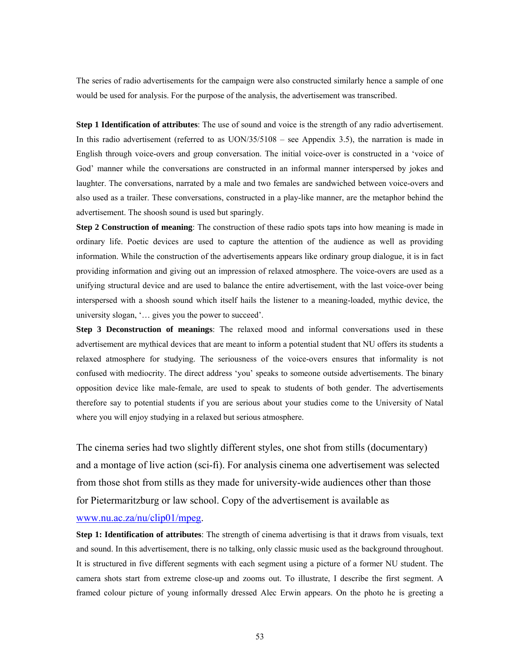The series of radio advertisements for the campaign were also constructed similarly hence a sample of one would be used for analysis. For the purpose of the analysis, the advertisement was transcribed.

**Step 1 Identification of attributes**: The use of sound and voice is the strength of any radio advertisement. In this radio advertisement (referred to as UON/35/5108 – see Appendix 3.5), the narration is made in English through voice-overs and group conversation. The initial voice-over is constructed in a 'voice of God' manner while the conversations are constructed in an informal manner interspersed by jokes and laughter. The conversations, narrated by a male and two females are sandwiched between voice-overs and also used as a trailer. These conversations, constructed in a play-like manner, are the metaphor behind the advertisement. The shoosh sound is used but sparingly.

**Step 2 Construction of meaning**: The construction of these radio spots taps into how meaning is made in ordinary life. Poetic devices are used to capture the attention of the audience as well as providing information. While the construction of the advertisements appears like ordinary group dialogue, it is in fact providing information and giving out an impression of relaxed atmosphere. The voice-overs are used as a unifying structural device and are used to balance the entire advertisement, with the last voice-over being interspersed with a shoosh sound which itself hails the listener to a meaning-loaded, mythic device, the university slogan, '… gives you the power to succeed'.

**Step 3 Deconstruction of meanings**: The relaxed mood and informal conversations used in these advertisement are mythical devices that are meant to inform a potential student that NU offers its students a relaxed atmosphere for studying. The seriousness of the voice-overs ensures that informality is not confused with mediocrity. The direct address 'you' speaks to someone outside advertisements. The binary opposition device like male-female, are used to speak to students of both gender. The advertisements therefore say to potential students if you are serious about your studies come to the University of Natal where you will enjoy studying in a relaxed but serious atmosphere.

The cinema series had two slightly different styles, one shot from stills (documentary) and a montage of live action (sci-fi). For analysis cinema one advertisement was selected from those shot from stills as they made for university-wide audiences other than those for Pietermaritzburg or law school. Copy of the advertisement is available as

#### [www.nu.ac.za/nu/clip01/mpeg.](http://www.nu.ac.za/nu/clip01/mpeg)

**Step 1: Identification of attributes**: The strength of cinema advertising is that it draws from visuals, text and sound. In this advertisement, there is no talking, only classic music used as the background throughout. It is structured in five different segments with each segment using a picture of a former NU student. The camera shots start from extreme close-up and zooms out. To illustrate, I describe the first segment. A framed colour picture of young informally dressed Alec Erwin appears. On the photo he is greeting a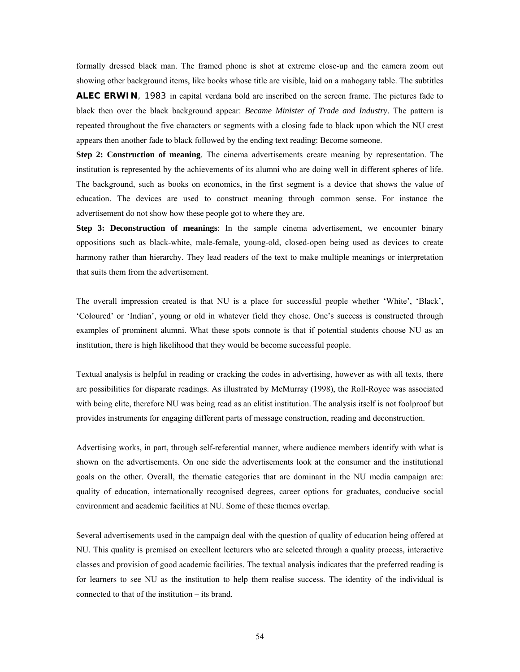formally dressed black man. The framed phone is shot at extreme close-up and the camera zoom out showing other background items, like books whose title are visible, laid on a mahogany table. The subtitles **ALEC ERWIN**, 1983 in capital verdana bold are inscribed on the screen frame. The pictures fade to black then over the black background appear: *Became Minister of Trade and Industry*. The pattern is repeated throughout the five characters or segments with a closing fade to black upon which the NU crest appears then another fade to black followed by the ending text reading: Become someone.

**Step 2: Construction of meaning**. The cinema advertisements create meaning by representation. The institution is represented by the achievements of its alumni who are doing well in different spheres of life. The background, such as books on economics, in the first segment is a device that shows the value of education. The devices are used to construct meaning through common sense. For instance the advertisement do not show how these people got to where they are.

**Step 3: Deconstruction of meanings**: In the sample cinema advertisement, we encounter binary oppositions such as black-white, male-female, young-old, closed-open being used as devices to create harmony rather than hierarchy. They lead readers of the text to make multiple meanings or interpretation that suits them from the advertisement.

The overall impression created is that NU is a place for successful people whether 'White', 'Black', 'Coloured' or 'Indian', young or old in whatever field they chose. One's success is constructed through examples of prominent alumni. What these spots connote is that if potential students choose NU as an institution, there is high likelihood that they would be become successful people.

Textual analysis is helpful in reading or cracking the codes in advertising, however as with all texts, there are possibilities for disparate readings. As illustrated by McMurray (1998), the Roll-Royce was associated with being elite, therefore NU was being read as an elitist institution. The analysis itself is not foolproof but provides instruments for engaging different parts of message construction, reading and deconstruction.

Advertising works, in part, through self-referential manner, where audience members identify with what is shown on the advertisements. On one side the advertisements look at the consumer and the institutional goals on the other. Overall, the thematic categories that are dominant in the NU media campaign are: quality of education, internationally recognised degrees, career options for graduates, conducive social environment and academic facilities at NU. Some of these themes overlap.

Several advertisements used in the campaign deal with the question of quality of education being offered at NU. This quality is premised on excellent lecturers who are selected through a quality process, interactive classes and provision of good academic facilities. The textual analysis indicates that the preferred reading is for learners to see NU as the institution to help them realise success. The identity of the individual is connected to that of the institution – its brand.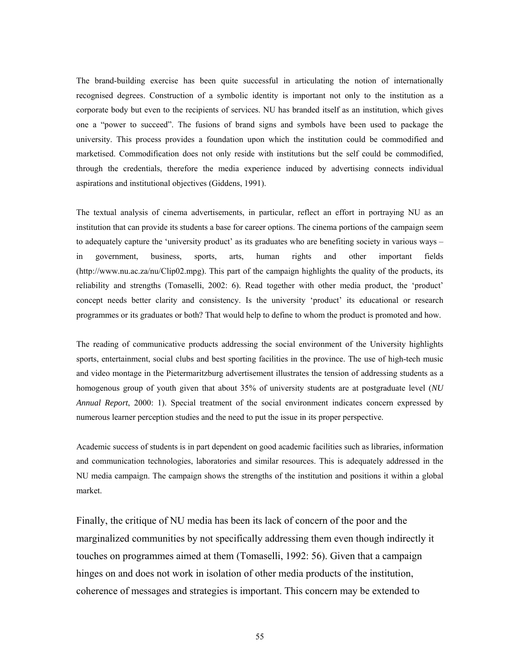The brand-building exercise has been quite successful in articulating the notion of internationally recognised degrees. Construction of a symbolic identity is important not only to the institution as a corporate body but even to the recipients of services. NU has branded itself as an institution, which gives one a "power to succeed". The fusions of brand signs and symbols have been used to package the university. This process provides a foundation upon which the institution could be commodified and marketised. Commodification does not only reside with institutions but the self could be commodified, through the credentials, therefore the media experience induced by advertising connects individual aspirations and institutional objectives (Giddens, 1991).

The textual analysis of cinema advertisements, in particular, reflect an effort in portraying NU as an institution that can provide its students a base for career options. The cinema portions of the campaign seem to adequately capture the 'university product' as its graduates who are benefiting society in various ways – in government, business, sports, arts, human rights and other important fields (http://www.nu.ac.za/nu/Clip02.mpg). This part of the campaign highlights the quality of the products, its reliability and strengths (Tomaselli, 2002: 6). Read together with other media product, the 'product' concept needs better clarity and consistency. Is the university 'product' its educational or research programmes or its graduates or both? That would help to define to whom the product is promoted and how.

The reading of communicative products addressing the social environment of the University highlights sports, entertainment, social clubs and best sporting facilities in the province. The use of high-tech music and video montage in the Pietermaritzburg advertisement illustrates the tension of addressing students as a homogenous group of youth given that about 35% of university students are at postgraduate level (*NU Annual Report*, 2000: 1). Special treatment of the social environment indicates concern expressed by numerous learner perception studies and the need to put the issue in its proper perspective.

Academic success of students is in part dependent on good academic facilities such as libraries, information and communication technologies, laboratories and similar resources. This is adequately addressed in the NU media campaign. The campaign shows the strengths of the institution and positions it within a global market.

Finally, the critique of NU media has been its lack of concern of the poor and the marginalized communities by not specifically addressing them even though indirectly it touches on programmes aimed at them (Tomaselli, 1992: 56). Given that a campaign hinges on and does not work in isolation of other media products of the institution, coherence of messages and strategies is important. This concern may be extended to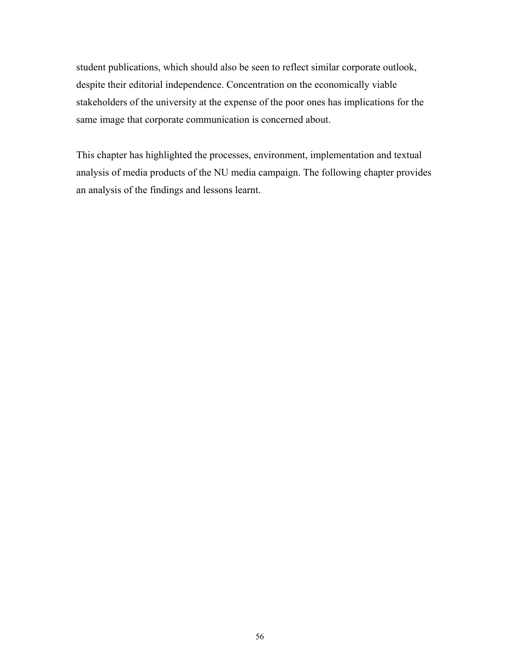student publications, which should also be seen to reflect similar corporate outlook, despite their editorial independence. Concentration on the economically viable stakeholders of the university at the expense of the poor ones has implications for the same image that corporate communication is concerned about.

This chapter has highlighted the processes, environment, implementation and textual analysis of media products of the NU media campaign. The following chapter provides an analysis of the findings and lessons learnt.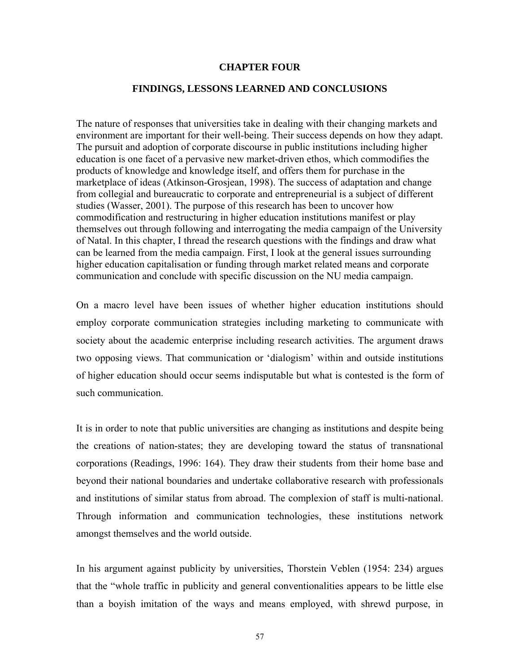## **CHAPTER FOUR**

# **FINDINGS, LESSONS LEARNED AND CONCLUSIONS**

The nature of responses that universities take in dealing with their changing markets and environment are important for their well-being. Their success depends on how they adapt. The pursuit and adoption of corporate discourse in public institutions including higher education is one facet of a pervasive new market-driven ethos, which commodifies the products of knowledge and knowledge itself, and offers them for purchase in the marketplace of ideas (Atkinson-Grosjean, 1998). The success of adaptation and change from collegial and bureaucratic to corporate and entrepreneurial is a subject of different studies (Wasser, 2001). The purpose of this research has been to uncover how commodification and restructuring in higher education institutions manifest or play themselves out through following and interrogating the media campaign of the University of Natal. In this chapter, I thread the research questions with the findings and draw what can be learned from the media campaign. First, I look at the general issues surrounding higher education capitalisation or funding through market related means and corporate communication and conclude with specific discussion on the NU media campaign.

On a macro level have been issues of whether higher education institutions should employ corporate communication strategies including marketing to communicate with society about the academic enterprise including research activities. The argument draws two opposing views. That communication or 'dialogism' within and outside institutions of higher education should occur seems indisputable but what is contested is the form of such communication.

It is in order to note that public universities are changing as institutions and despite being the creations of nation-states; they are developing toward the status of transnational corporations (Readings, 1996: 164). They draw their students from their home base and beyond their national boundaries and undertake collaborative research with professionals and institutions of similar status from abroad. The complexion of staff is multi-national. Through information and communication technologies, these institutions network amongst themselves and the world outside.

In his argument against publicity by universities, Thorstein Veblen (1954: 234) argues that the "whole traffic in publicity and general conventionalities appears to be little else than a boyish imitation of the ways and means employed, with shrewd purpose, in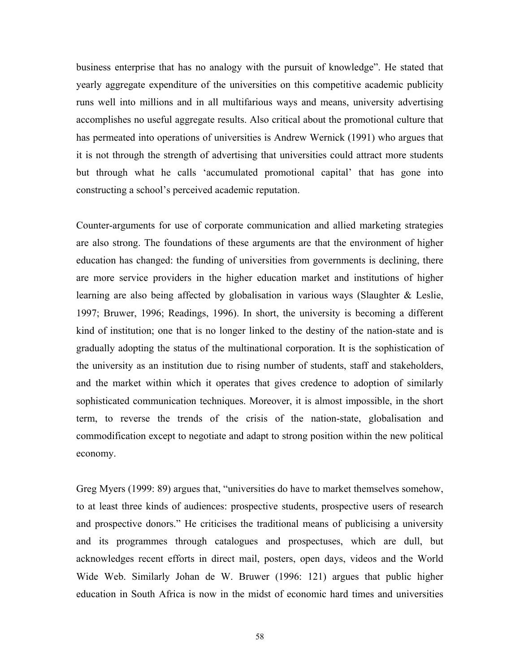business enterprise that has no analogy with the pursuit of knowledge". He stated that yearly aggregate expenditure of the universities on this competitive academic publicity runs well into millions and in all multifarious ways and means, university advertising accomplishes no useful aggregate results. Also critical about the promotional culture that has permeated into operations of universities is Andrew Wernick (1991) who argues that it is not through the strength of advertising that universities could attract more students but through what he calls 'accumulated promotional capital' that has gone into constructing a school's perceived academic reputation.

Counter-arguments for use of corporate communication and allied marketing strategies are also strong. The foundations of these arguments are that the environment of higher education has changed: the funding of universities from governments is declining, there are more service providers in the higher education market and institutions of higher learning are also being affected by globalisation in various ways (Slaughter & Leslie, 1997; Bruwer, 1996; Readings, 1996). In short, the university is becoming a different kind of institution; one that is no longer linked to the destiny of the nation-state and is gradually adopting the status of the multinational corporation. It is the sophistication of the university as an institution due to rising number of students, staff and stakeholders, and the market within which it operates that gives credence to adoption of similarly sophisticated communication techniques. Moreover, it is almost impossible, in the short term, to reverse the trends of the crisis of the nation-state, globalisation and commodification except to negotiate and adapt to strong position within the new political economy.

Greg Myers (1999: 89) argues that, "universities do have to market themselves somehow, to at least three kinds of audiences: prospective students, prospective users of research and prospective donors." He criticises the traditional means of publicising a university and its programmes through catalogues and prospectuses, which are dull, but acknowledges recent efforts in direct mail, posters, open days, videos and the World Wide Web. Similarly Johan de W. Bruwer (1996: 121) argues that public higher education in South Africa is now in the midst of economic hard times and universities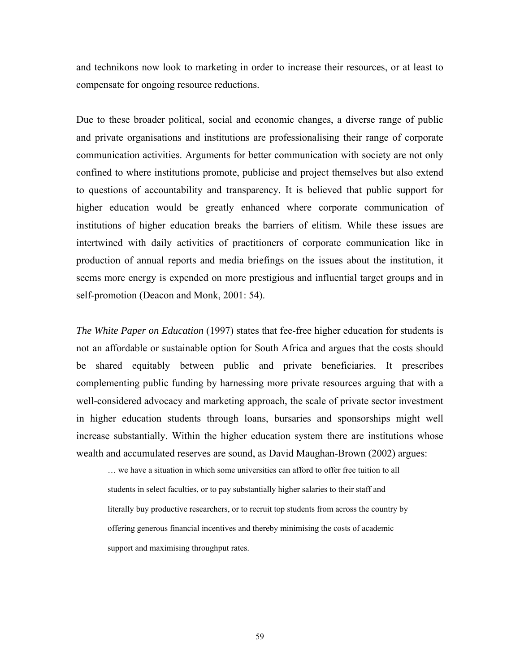and technikons now look to marketing in order to increase their resources, or at least to compensate for ongoing resource reductions.

Due to these broader political, social and economic changes, a diverse range of public and private organisations and institutions are professionalising their range of corporate communication activities. Arguments for better communication with society are not only confined to where institutions promote, publicise and project themselves but also extend to questions of accountability and transparency. It is believed that public support for higher education would be greatly enhanced where corporate communication of institutions of higher education breaks the barriers of elitism. While these issues are intertwined with daily activities of practitioners of corporate communication like in production of annual reports and media briefings on the issues about the institution, it seems more energy is expended on more prestigious and influential target groups and in self-promotion (Deacon and Monk, 2001: 54).

*The White Paper on Education* (1997) states that fee-free higher education for students is not an affordable or sustainable option for South Africa and argues that the costs should be shared equitably between public and private beneficiaries. It prescribes complementing public funding by harnessing more private resources arguing that with a well-considered advocacy and marketing approach, the scale of private sector investment in higher education students through loans, bursaries and sponsorships might well increase substantially. Within the higher education system there are institutions whose wealth and accumulated reserves are sound, as David Maughan-Brown (2002) argues:

… we have a situation in which some universities can afford to offer free tuition to all students in select faculties, or to pay substantially higher salaries to their staff and literally buy productive researchers, or to recruit top students from across the country by offering generous financial incentives and thereby minimising the costs of academic support and maximising throughput rates.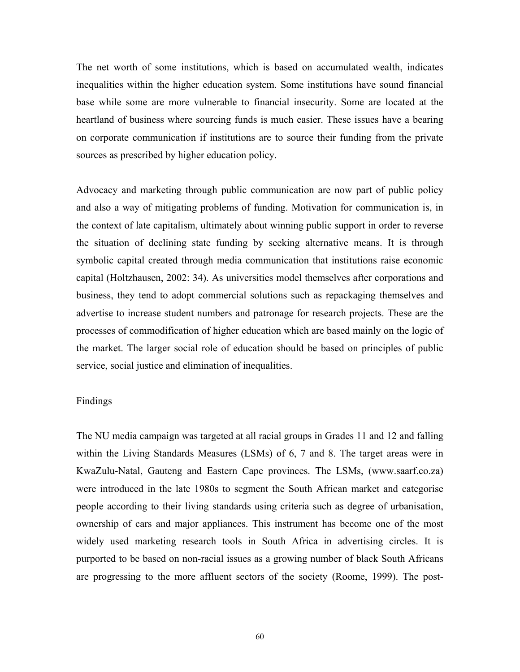The net worth of some institutions, which is based on accumulated wealth, indicates inequalities within the higher education system. Some institutions have sound financial base while some are more vulnerable to financial insecurity. Some are located at the heartland of business where sourcing funds is much easier. These issues have a bearing on corporate communication if institutions are to source their funding from the private sources as prescribed by higher education policy.

Advocacy and marketing through public communication are now part of public policy and also a way of mitigating problems of funding. Motivation for communication is, in the context of late capitalism, ultimately about winning public support in order to reverse the situation of declining state funding by seeking alternative means. It is through symbolic capital created through media communication that institutions raise economic capital (Holtzhausen, 2002: 34). As universities model themselves after corporations and business, they tend to adopt commercial solutions such as repackaging themselves and advertise to increase student numbers and patronage for research projects. These are the processes of commodification of higher education which are based mainly on the logic of the market. The larger social role of education should be based on principles of public service, social justice and elimination of inequalities.

## Findings

The NU media campaign was targeted at all racial groups in Grades 11 and 12 and falling within the Living Standards Measures (LSMs) of 6, 7 and 8. The target areas were in KwaZulu-Natal, Gauteng and Eastern Cape provinces. The LSMs, (www.saarf.co.za) were introduced in the late 1980s to segment the South African market and categorise people according to their living standards using criteria such as degree of urbanisation, ownership of cars and major appliances. This instrument has become one of the most widely used marketing research tools in South Africa in advertising circles. It is purported to be based on non-racial issues as a growing number of black South Africans are progressing to the more affluent sectors of the society (Roome, 1999). The post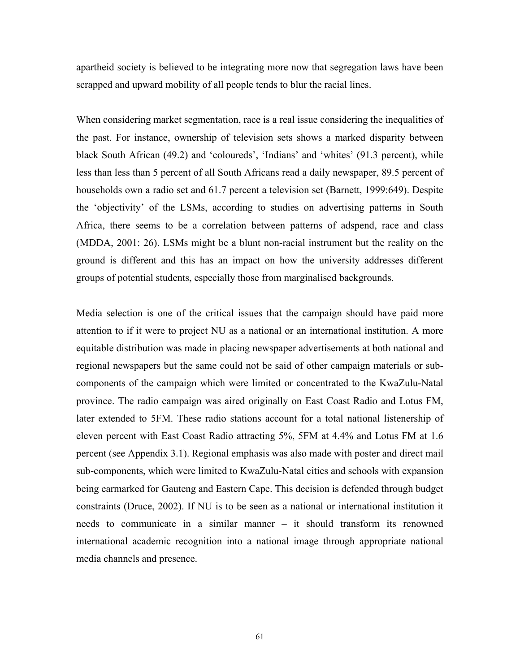apartheid society is believed to be integrating more now that segregation laws have been scrapped and upward mobility of all people tends to blur the racial lines.

When considering market segmentation, race is a real issue considering the inequalities of the past. For instance, ownership of television sets shows a marked disparity between black South African (49.2) and 'coloureds', 'Indians' and 'whites' (91.3 percent), while less than less than 5 percent of all South Africans read a daily newspaper, 89.5 percent of households own a radio set and 61.7 percent a television set (Barnett, 1999:649). Despite the 'objectivity' of the LSMs, according to studies on advertising patterns in South Africa, there seems to be a correlation between patterns of adspend, race and class (MDDA, 2001: 26). LSMs might be a blunt non-racial instrument but the reality on the ground is different and this has an impact on how the university addresses different groups of potential students, especially those from marginalised backgrounds.

Media selection is one of the critical issues that the campaign should have paid more attention to if it were to project NU as a national or an international institution. A more equitable distribution was made in placing newspaper advertisements at both national and regional newspapers but the same could not be said of other campaign materials or subcomponents of the campaign which were limited or concentrated to the KwaZulu-Natal province. The radio campaign was aired originally on East Coast Radio and Lotus FM, later extended to 5FM. These radio stations account for a total national listenership of eleven percent with East Coast Radio attracting 5%, 5FM at 4.4% and Lotus FM at 1.6 percent (see Appendix 3.1). Regional emphasis was also made with poster and direct mail sub-components, which were limited to KwaZulu-Natal cities and schools with expansion being earmarked for Gauteng and Eastern Cape. This decision is defended through budget constraints (Druce, 2002). If NU is to be seen as a national or international institution it needs to communicate in a similar manner – it should transform its renowned international academic recognition into a national image through appropriate national media channels and presence.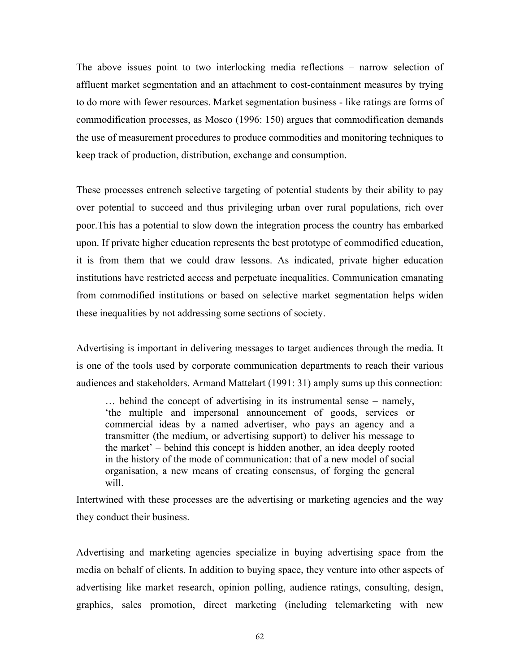The above issues point to two interlocking media reflections – narrow selection of affluent market segmentation and an attachment to cost-containment measures by trying to do more with fewer resources. Market segmentation business - like ratings are forms of commodification processes, as Mosco (1996: 150) argues that commodification demands the use of measurement procedures to produce commodities and monitoring techniques to keep track of production, distribution, exchange and consumption.

These processes entrench selective targeting of potential students by their ability to pay over potential to succeed and thus privileging urban over rural populations, rich over poor.This has a potential to slow down the integration process the country has embarked upon. If private higher education represents the best prototype of commodified education, it is from them that we could draw lessons. As indicated, private higher education institutions have restricted access and perpetuate inequalities. Communication emanating from commodified institutions or based on selective market segmentation helps widen these inequalities by not addressing some sections of society.

Advertising is important in delivering messages to target audiences through the media. It is one of the tools used by corporate communication departments to reach their various audiences and stakeholders. Armand Mattelart (1991: 31) amply sums up this connection:

… behind the concept of advertising in its instrumental sense – namely, 'the multiple and impersonal announcement of goods, services or commercial ideas by a named advertiser, who pays an agency and a transmitter (the medium, or advertising support) to deliver his message to the market' – behind this concept is hidden another, an idea deeply rooted in the history of the mode of communication: that of a new model of social organisation, a new means of creating consensus, of forging the general will.

Intertwined with these processes are the advertising or marketing agencies and the way they conduct their business.

Advertising and marketing agencies specialize in buying advertising space from the media on behalf of clients. In addition to buying space, they venture into other aspects of advertising like market research, opinion polling, audience ratings, consulting, design, graphics, sales promotion, direct marketing (including telemarketing with new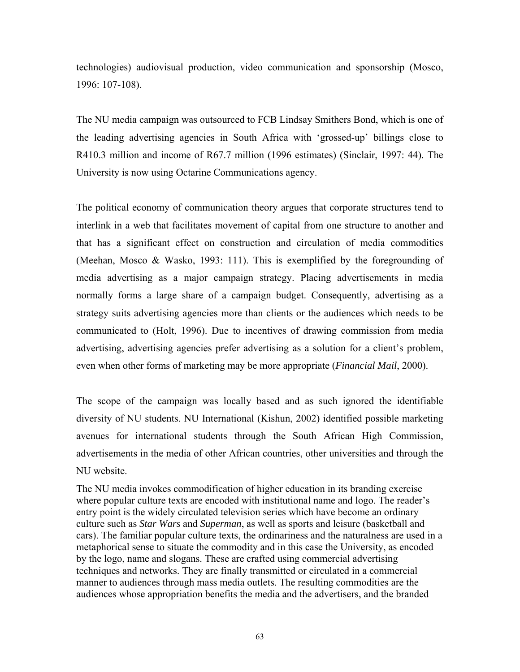technologies) audiovisual production, video communication and sponsorship (Mosco, 1996: 107-108).

The NU media campaign was outsourced to FCB Lindsay Smithers Bond, which is one of the leading advertising agencies in South Africa with 'grossed-up' billings close to R410.3 million and income of R67.7 million (1996 estimates) (Sinclair, 1997: 44). The University is now using Octarine Communications agency.

The political economy of communication theory argues that corporate structures tend to interlink in a web that facilitates movement of capital from one structure to another and that has a significant effect on construction and circulation of media commodities (Meehan, Mosco & Wasko, 1993: 111). This is exemplified by the foregrounding of media advertising as a major campaign strategy. Placing advertisements in media normally forms a large share of a campaign budget. Consequently, advertising as a strategy suits advertising agencies more than clients or the audiences which needs to be communicated to (Holt, 1996). Due to incentives of drawing commission from media advertising, advertising agencies prefer advertising as a solution for a client's problem, even when other forms of marketing may be more appropriate (*Financial Mail*, 2000).

The scope of the campaign was locally based and as such ignored the identifiable diversity of NU students. NU International (Kishun, 2002) identified possible marketing avenues for international students through the South African High Commission, advertisements in the media of other African countries, other universities and through the NU website.

The NU media invokes commodification of higher education in its branding exercise where popular culture texts are encoded with institutional name and logo. The reader's entry point is the widely circulated television series which have become an ordinary culture such as *Star Wars* and *Superman*, as well as sports and leisure (basketball and cars). The familiar popular culture texts, the ordinariness and the naturalness are used in a metaphorical sense to situate the commodity and in this case the University, as encoded by the logo, name and slogans. These are crafted using commercial advertising techniques and networks. They are finally transmitted or circulated in a commercial manner to audiences through mass media outlets. The resulting commodities are the audiences whose appropriation benefits the media and the advertisers, and the branded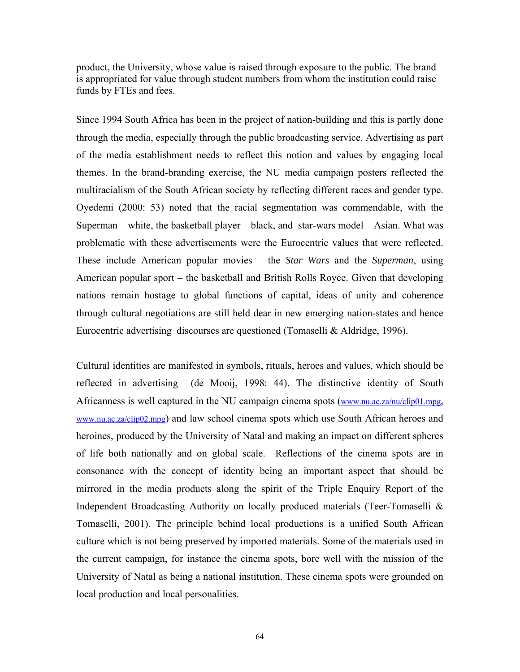product, the University, whose value is raised through exposure to the public. The brand is appropriated for value through student numbers from whom the institution could raise funds by FTEs and fees.

Since 1994 South Africa has been in the project of nation-building and this is partly done through the media, especially through the public broadcasting service. Advertising as part of the media establishment needs to reflect this notion and values by engaging local themes. In the brand-branding exercise, the NU media campaign posters reflected the multiracialism of the South African society by reflecting different races and gender type. Oyedemi (2000: 53) noted that the racial segmentation was commendable, with the Superman – white, the basketball player – black, and star-wars model – Asian. What was problematic with these advertisements were the Eurocentric values that were reflected. These include American popular movies – the *Star Wars* and the *Superman*, using American popular sport – the basketball and British Rolls Royce. Given that developing nations remain hostage to global functions of capital, ideas of unity and coherence through cultural negotiations are still held dear in new emerging nation-states and hence Eurocentric advertising discourses are questioned (Tomaselli & Aldridge, 1996).

Cultural identities are manifested in symbols, rituals, heroes and values, which should be reflected in advertising (de Mooij, 1998: 44). The distinctive identity of South Africanness is well captured in the NU campaign cinema spots [\(www.nu.ac.za/nu/clip01.mpg](http://www.nu.ac.za/nu/clip01.mpg), [www.nu.ac.za/clip02.mpg\)](http://www.nu.ac.za/clip02.mpg) and law school cinema spots which use South African heroes and heroines, produced by the University of Natal and making an impact on different spheres of life both nationally and on global scale. Reflections of the cinema spots are in consonance with the concept of identity being an important aspect that should be mirrored in the media products along the spirit of the Triple Enquiry Report of the Independent Broadcasting Authority on locally produced materials (Teer-Tomaselli & Tomaselli, 2001). The principle behind local productions is a unified South African culture which is not being preserved by imported materials. Some of the materials used in the current campaign, for instance the cinema spots, bore well with the mission of the University of Natal as being a national institution. These cinema spots were grounded on local production and local personalities.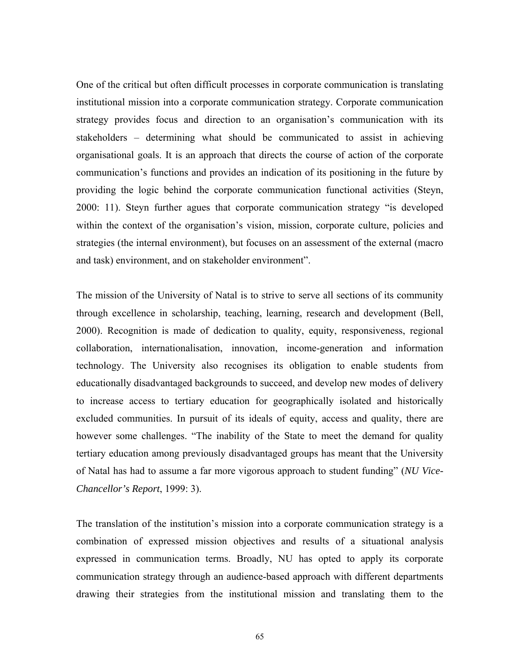One of the critical but often difficult processes in corporate communication is translating institutional mission into a corporate communication strategy. Corporate communication strategy provides focus and direction to an organisation's communication with its stakeholders – determining what should be communicated to assist in achieving organisational goals. It is an approach that directs the course of action of the corporate communication's functions and provides an indication of its positioning in the future by providing the logic behind the corporate communication functional activities (Steyn, 2000: 11). Steyn further agues that corporate communication strategy "is developed within the context of the organisation's vision, mission, corporate culture, policies and strategies (the internal environment), but focuses on an assessment of the external (macro and task) environment, and on stakeholder environment".

The mission of the University of Natal is to strive to serve all sections of its community through excellence in scholarship, teaching, learning, research and development (Bell, 2000). Recognition is made of dedication to quality, equity, responsiveness, regional collaboration, internationalisation, innovation, income-generation and information technology. The University also recognises its obligation to enable students from educationally disadvantaged backgrounds to succeed, and develop new modes of delivery to increase access to tertiary education for geographically isolated and historically excluded communities. In pursuit of its ideals of equity, access and quality, there are however some challenges. "The inability of the State to meet the demand for quality tertiary education among previously disadvantaged groups has meant that the University of Natal has had to assume a far more vigorous approach to student funding" (*NU Vice-Chancellor's Report*, 1999: 3).

The translation of the institution's mission into a corporate communication strategy is a combination of expressed mission objectives and results of a situational analysis expressed in communication terms. Broadly, NU has opted to apply its corporate communication strategy through an audience-based approach with different departments drawing their strategies from the institutional mission and translating them to the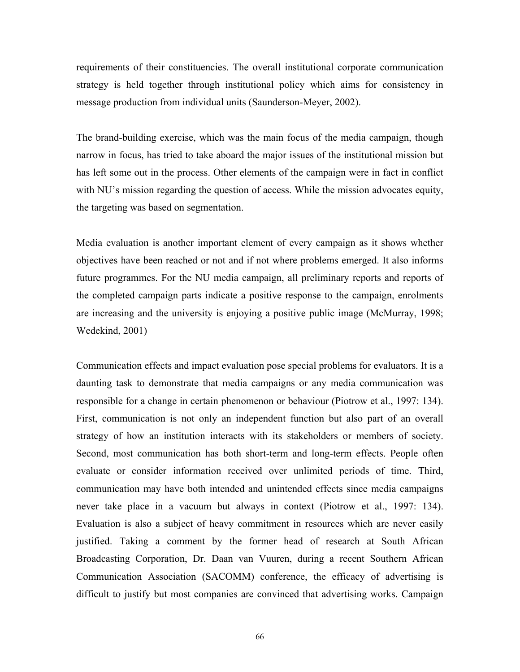requirements of their constituencies. The overall institutional corporate communication strategy is held together through institutional policy which aims for consistency in message production from individual units (Saunderson-Meyer, 2002).

The brand-building exercise, which was the main focus of the media campaign, though narrow in focus, has tried to take aboard the major issues of the institutional mission but has left some out in the process. Other elements of the campaign were in fact in conflict with NU's mission regarding the question of access. While the mission advocates equity, the targeting was based on segmentation.

Media evaluation is another important element of every campaign as it shows whether objectives have been reached or not and if not where problems emerged. It also informs future programmes. For the NU media campaign, all preliminary reports and reports of the completed campaign parts indicate a positive response to the campaign, enrolments are increasing and the university is enjoying a positive public image (McMurray, 1998; Wedekind, 2001)

Communication effects and impact evaluation pose special problems for evaluators. It is a daunting task to demonstrate that media campaigns or any media communication was responsible for a change in certain phenomenon or behaviour (Piotrow et al., 1997: 134). First, communication is not only an independent function but also part of an overall strategy of how an institution interacts with its stakeholders or members of society. Second, most communication has both short-term and long-term effects. People often evaluate or consider information received over unlimited periods of time. Third, communication may have both intended and unintended effects since media campaigns never take place in a vacuum but always in context (Piotrow et al., 1997: 134). Evaluation is also a subject of heavy commitment in resources which are never easily justified. Taking a comment by the former head of research at South African Broadcasting Corporation, Dr. Daan van Vuuren, during a recent Southern African Communication Association (SACOMM) conference, the efficacy of advertising is difficult to justify but most companies are convinced that advertising works. Campaign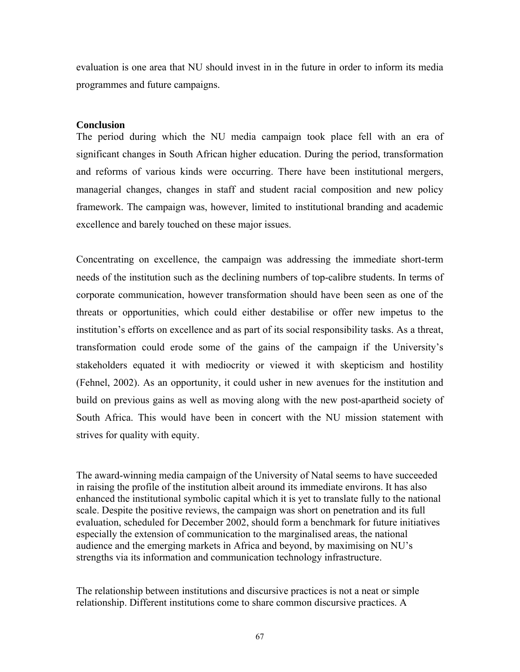evaluation is one area that NU should invest in in the future in order to inform its media programmes and future campaigns.

#### **Conclusion**

The period during which the NU media campaign took place fell with an era of significant changes in South African higher education. During the period, transformation and reforms of various kinds were occurring. There have been institutional mergers, managerial changes, changes in staff and student racial composition and new policy framework. The campaign was, however, limited to institutional branding and academic excellence and barely touched on these major issues.

Concentrating on excellence, the campaign was addressing the immediate short-term needs of the institution such as the declining numbers of top-calibre students. In terms of corporate communication, however transformation should have been seen as one of the threats or opportunities, which could either destabilise or offer new impetus to the institution's efforts on excellence and as part of its social responsibility tasks. As a threat, transformation could erode some of the gains of the campaign if the University's stakeholders equated it with mediocrity or viewed it with skepticism and hostility (Fehnel, 2002). As an opportunity, it could usher in new avenues for the institution and build on previous gains as well as moving along with the new post-apartheid society of South Africa. This would have been in concert with the NU mission statement with strives for quality with equity.

The award-winning media campaign of the University of Natal seems to have succeeded in raising the profile of the institution albeit around its immediate environs. It has also enhanced the institutional symbolic capital which it is yet to translate fully to the national scale. Despite the positive reviews, the campaign was short on penetration and its full evaluation, scheduled for December 2002, should form a benchmark for future initiatives especially the extension of communication to the marginalised areas, the national audience and the emerging markets in Africa and beyond, by maximising on NU's strengths via its information and communication technology infrastructure.

The relationship between institutions and discursive practices is not a neat or simple relationship. Different institutions come to share common discursive practices. A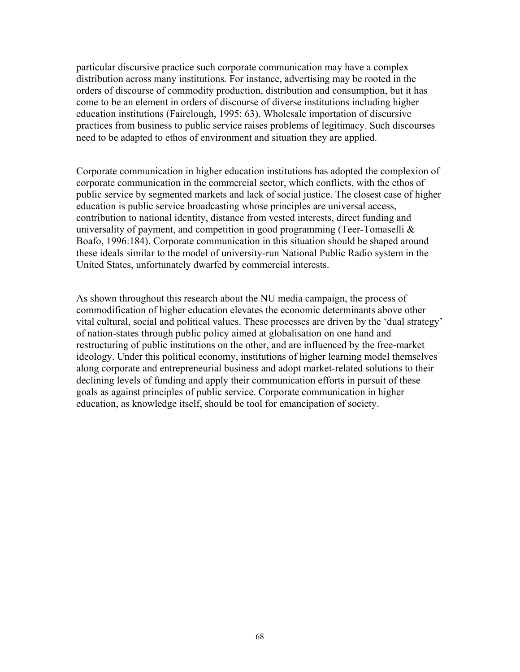particular discursive practice such corporate communication may have a complex distribution across many institutions. For instance, advertising may be rooted in the orders of discourse of commodity production, distribution and consumption, but it has come to be an element in orders of discourse of diverse institutions including higher education institutions (Fairclough, 1995: 63). Wholesale importation of discursive practices from business to public service raises problems of legitimacy. Such discourses need to be adapted to ethos of environment and situation they are applied.

Corporate communication in higher education institutions has adopted the complexion of corporate communication in the commercial sector, which conflicts, with the ethos of public service by segmented markets and lack of social justice. The closest case of higher education is public service broadcasting whose principles are universal access, contribution to national identity, distance from vested interests, direct funding and universality of payment, and competition in good programming (Teer-Tomaselli  $\&$ Boafo, 1996:184). Corporate communication in this situation should be shaped around these ideals similar to the model of university-run National Public Radio system in the United States, unfortunately dwarfed by commercial interests.

As shown throughout this research about the NU media campaign, the process of commodification of higher education elevates the economic determinants above other vital cultural, social and political values. These processes are driven by the 'dual strategy' of nation-states through public policy aimed at globalisation on one hand and restructuring of public institutions on the other, and are influenced by the free-market ideology. Under this political economy, institutions of higher learning model themselves along corporate and entrepreneurial business and adopt market-related solutions to their declining levels of funding and apply their communication efforts in pursuit of these goals as against principles of public service. Corporate communication in higher education, as knowledge itself, should be tool for emancipation of society.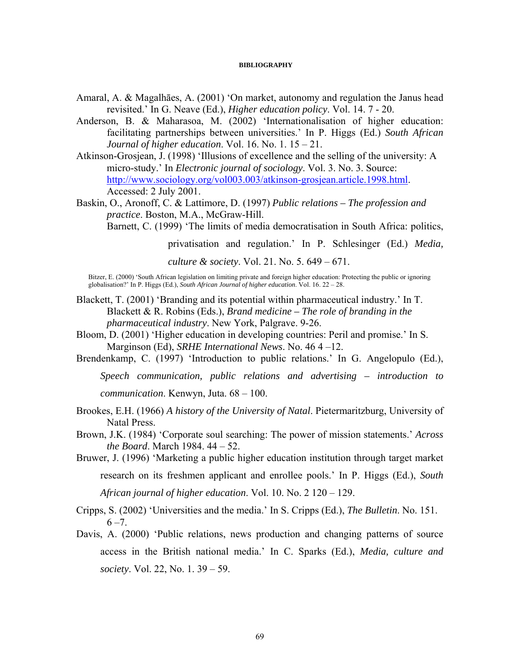#### **BIBLIOGRAPHY**

- Amaral, A. & Magalhāes, A. (2001) 'On market, autonomy and regulation the Janus head revisited.' In G. Neave (Ed.), *Higher education policy*. Vol. 14. 7 - 20.
- Anderson, B. & Maharasoa, M. (2002) 'Internationalisation of higher education: facilitating partnerships between universities.' In P. Higgs (Ed.) *South African Journal of higher education*. Vol. 16. No. 1. 15 – 21.
- Atkinson-Grosjean, J. (1998) 'Illusions of excellence and the selling of the university: A micro-study.' In *Electronic journal of sociology*. Vol. 3. No. 3. Source: [http://www.sociology.org/vol003.003/atkinson-grosjean.article.1998.html.](http://www.sociology.org/vol003.003/atkinson-grosjean.article.1998.html) Accessed: 2 July 2001.
- Baskin, O., Aronoff, C. & Lattimore, D. (1997) *Public relations The profession and practice*. Boston, M.A., McGraw-Hill.

Barnett, C. (1999) 'The limits of media democratisation in South Africa: politics,

privatisation and regulation.' In P. Schlesinger (Ed.) *Media,* 

*culture & society*. Vol. 21. No. 5. 649 – 671.

Bitzer, E. (2000) 'South African legislation on limiting private and foreign higher education: Protecting the public or ignoring globalisation?' In P. Higgs (Ed.), *South African Journal of higher education*. Vol. 16. 22 – 28.

- Blackett, T. (2001) 'Branding and its potential within pharmaceutical industry.' In T. Blackett & R. Robins (Eds.), *Brand medicine – The role of branding in the pharmaceutical industry*. New York, Palgrave. 9-26.
- Bloom, D. (2001) 'Higher education in developing countries: Peril and promise.' In S. Marginson (Ed), *SRHE International News*. No. 46 4 –12.

Brendenkamp, C. (1997) 'Introduction to public relations.' In G. Angelopulo (Ed.),

*Speech communication, public relations and advertising – introduction to communication*. Kenwyn, Juta. 68 – 100.

- Brookes, E.H. (1966) *A history of the University of Natal*. Pietermaritzburg, University of Natal Press.
- Brown, J.K. (1984) 'Corporate soul searching: The power of mission statements.' *Across the Board*. March 1984. 44 – 52.
- Bruwer, J. (1996) 'Marketing a public higher education institution through target market research on its freshmen applicant and enrollee pools.' In P. Higgs (Ed.), *South*

*African journal of higher education*. Vol. 10. No. 2 120 – 129.

- Cripps, S. (2002) 'Universities and the media.' In S. Cripps (Ed.), *The Bulletin*. No. 151.  $6 - 7$ .
- Davis, A. (2000) 'Public relations, news production and changing patterns of source access in the British national media.' In C. Sparks (Ed.), *Media, culture and society*. Vol. 22, No. 1. 39 – 59.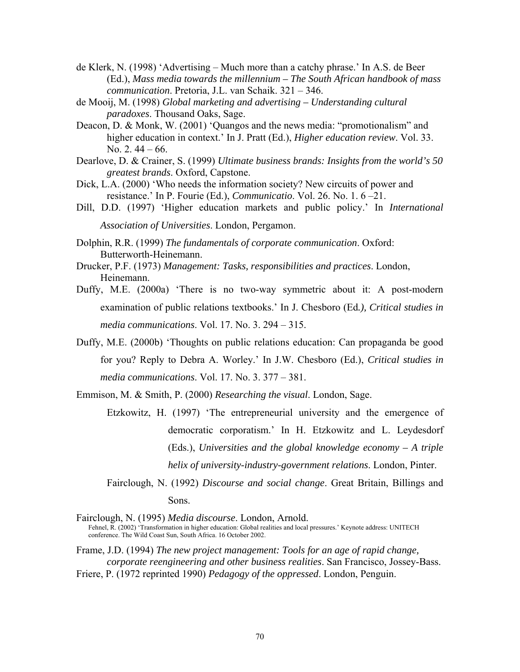- de Klerk, N. (1998) 'Advertising Much more than a catchy phrase.' In A.S. de Beer (Ed.), *Mass media towards the millennium – The South African handbook of mass communication*. Pretoria, J.L. van Schaik. 321 – 346.
- de Mooij, M. (1998) *Global marketing and advertising Understanding cultural paradoxes*. Thousand Oaks, Sage.
- Deacon, D. & Monk, W. (2001) 'Quangos and the news media: "promotionalism" and higher education in context.' In J. Pratt (Ed.), *Higher education review*. Vol. 33. No. 2. 44 – 66.
- Dearlove, D. & Crainer, S. (1999) *Ultimate business brands: Insights from the world's 50 greatest brands*. Oxford, Capstone.
- Dick, L.A. (2000) 'Who needs the information society? New circuits of power and resistance.' In P. Fourie (Ed.), *Communicatio*. Vol. 26. No. 1. 6 –21.
- Dill, D.D. (1997) 'Higher education markets and public policy.' In *International Association of Universities*. London, Pergamon.
- Dolphin, R.R. (1999) *The fundamentals of corporate communication*. Oxford: Butterworth-Heinemann.
- Drucker, P.F. (1973) *Management: Tasks, responsibilities and practices*. London, Heinemann.
- Duffy, M.E. (2000a) 'There is no two-way symmetric about it: A post-modern examination of public relations textbooks.' In J. Chesboro (Ed*.), Critical studies in media communications*. Vol. 17. No. 3. 294 – 315.
- Duffy, M.E. (2000b) 'Thoughts on public relations education: Can propaganda be good for you? Reply to Debra A. Worley.' In J.W. Chesboro (Ed.), *Critical studies in media communications*. Vol. 17. No. 3. 377 – 381.
- Emmison, M. & Smith, P. (2000) *Researching the visual*. London, Sage.
	- Etzkowitz, H. (1997) 'The entrepreneurial university and the emergence of democratic corporatism.' In H. Etzkowitz and L. Leydesdorf (Eds.), *Universities and the global knowledge economy – A triple helix of university-industry-government relations*. London, Pinter.
	- Fairclough, N. (1992) *Discourse and social change*. Great Britain, Billings and Sons.
- Fairclough, N. (1995) *Media discourse*. London, Arnold. Fehnel, R. (2002) 'Transformation in higher education: Global realities and local pressures.' Keynote address: UNITECH conference. The Wild Coast Sun, South Africa. 16 October 2002.
- Frame, J.D. (1994) *The new project management: Tools for an age of rapid change, corporate reengineering and other business realities*. San Francisco, Jossey-Bass. Friere, P. (1972 reprinted 1990) *Pedagogy of the oppressed*. London, Penguin.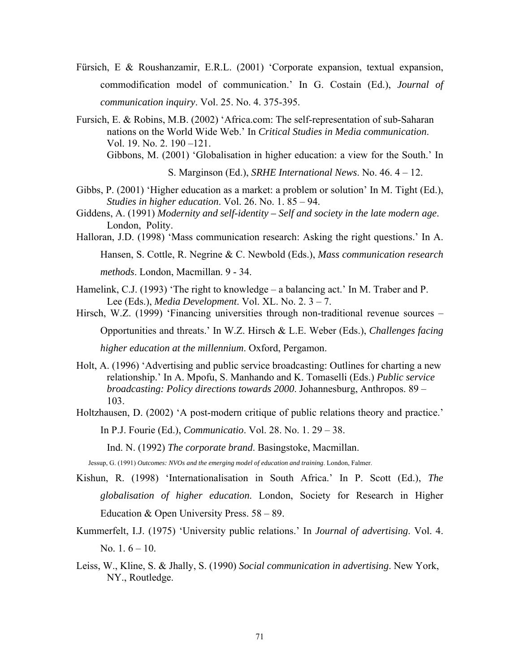- Fürsich, E & Roushanzamir, E.R.L. (2001) 'Corporate expansion, textual expansion, commodification model of communication.' In G. Costain (Ed.), *Journal of communication inquiry*. Vol. 25. No. 4. 375-395.
- Fursich, E. & Robins, M.B. (2002) 'Africa.com: The self-representation of sub-Saharan nations on the World Wide Web.' In *Critical Studies in Media communication*. Vol. 19. No. 2. 190 –121. Gibbons, M. (2001) 'Globalisation in higher education: a view for the South.' In

S. Marginson (Ed.), *SRHE International News*. No. 46. 4 – 12.

- Gibbs, P. (2001) 'Higher education as a market: a problem or solution' In M. Tight (Ed.), *Studies in higher education*. Vol. 26. No. 1. 85 – 94.
- Giddens, A. (1991) *Modernity and self-identity Self and society in the late modern age*. London, Polity.
- Halloran, J.D. (1998) 'Mass communication research: Asking the right questions.' In A.

Hansen, S. Cottle, R. Negrine & C. Newbold (Eds.), *Mass communication research* 

*methods*. London, Macmillan. 9 - 34.

Hamelink, C.J. (1993) 'The right to knowledge – a balancing act.' In M. Traber and P. Lee (Eds.), *Media Development*. Vol. XL. No. 2. 3 – 7.

Hirsch, W.Z. (1999) 'Financing universities through non-traditional revenue sources –

Opportunities and threats.' In W.Z. Hirsch & L.E. Weber (Eds.), *Challenges facing* 

*higher education at the millennium*. Oxford, Pergamon.

- Holt, A. (1996) 'Advertising and public service broadcasting: Outlines for charting a new relationship.' In A. Mpofu, S. Manhando and K. Tomaselli (Eds.) *Public service broadcasting: Policy directions towards 2000*. Johannesburg, Anthropos. 89 – 103.
- Holtzhausen, D. (2002) 'A post-modern critique of public relations theory and practice.'

In P.J. Fourie (Ed.), *Communicatio*. Vol. 28. No. 1. 29 – 38.

Ind. N. (1992) *The corporate brand*. Basingstoke, Macmillan.

Jessup, G. (1991) *Outcomes: NVOs and the emerging model of education and training*. London, Falmer.

- Kishun, R. (1998) 'Internationalisation in South Africa.' In P. Scott (Ed.), *The globalisation of higher education*. London, Society for Research in Higher Education & Open University Press.  $58 - 89$ .
- Kummerfelt, I.J. (1975) 'University public relations.' In *Journal of advertising*. Vol. 4. No. 1.  $6 - 10$ .
- Leiss, W., Kline, S. & Jhally, S. (1990) *Social communication in advertising*. New York, NY., Routledge.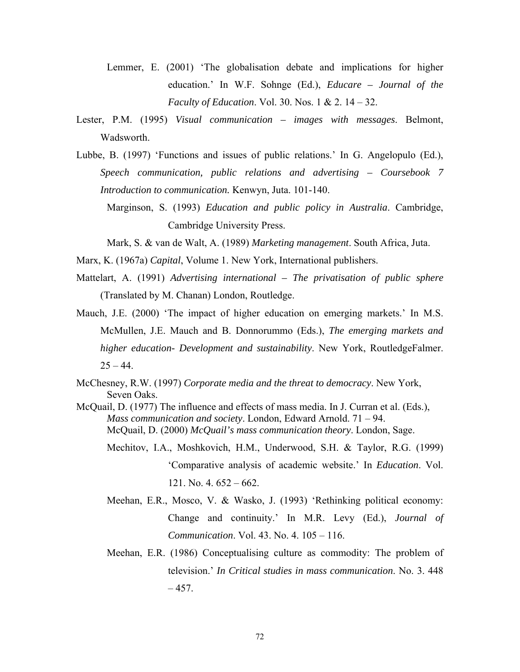- Lemmer, E. (2001) 'The globalisation debate and implications for higher education.' In W.F. Sohnge (Ed.), *Educare – Journal of the Faculty of Education*. Vol. 30. Nos. 1 & 2. 14 – 32.
- Lester, P.M. (1995) *Visual communication images with messages*. Belmont, Wadsworth.
- Lubbe, B. (1997) 'Functions and issues of public relations.' In G. Angelopulo (Ed.), *Speech communication, public relations and advertising – Coursebook 7 Introduction to communication.* Kenwyn, Juta. 101-140.
	- Marginson, S. (1993) *Education and public policy in Australia*. Cambridge, Cambridge University Press.

Mark, S. & van de Walt, A. (1989) *Marketing management*. South Africa, Juta.

Marx, K. (1967a) *Capital*, Volume 1. New York, International publishers.

- Mattelart, A. (1991) *Advertising international The privatisation of public sphere* (Translated by M. Chanan) London, Routledge.
- Mauch, J.E. (2000) 'The impact of higher education on emerging markets.' In M.S. McMullen, J.E. Mauch and B. Donnorummo (Eds.), *The emerging markets and higher education- Development and sustainability*. New York, RoutledgeFalmer.  $25 - 44.$
- McChesney, R.W. (1997) *Corporate media and the threat to democracy*. New York, Seven Oaks.
- McQuail, D. (1977) The influence and effects of mass media. In J. Curran et al. (Eds.), *Mass communication and society*. London, Edward Arnold. 71 – 94. McQuail, D. (2000) *McQuail's mass communication theory*. London, Sage.
	- Mechitov, I.A., Moshkovich, H.M., Underwood, S.H. & Taylor, R.G. (1999) 'Comparative analysis of academic website.' In *Education*. Vol. 121. No. 4. 652 – 662.
	- Meehan, E.R., Mosco, V. & Wasko, J. (1993) 'Rethinking political economy: Change and continuity.' In M.R. Levy (Ed.), *Journal of Communication*. Vol. 43. No. 4. 105 – 116.
	- Meehan, E.R. (1986) Conceptualising culture as commodity: The problem of television.' *In Critical studies in mass communication*. No. 3. 448  $-457.$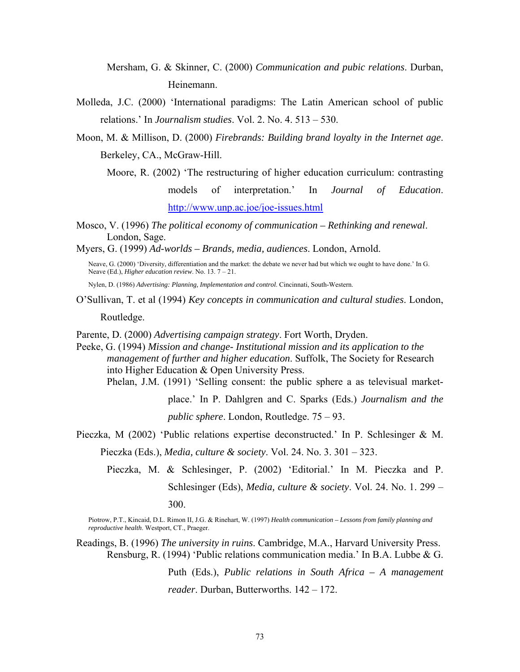Mersham, G. & Skinner, C. (2000) *Communication and pubic relations*. Durban, Heinemann.

Molleda, J.C. (2000) 'International paradigms: The Latin American school of public relations.' In *Journalism studies*. Vol. 2. No. 4. 513 – 530.

Moon, M. & Millison, D. (2000) *Firebrands: Building brand loyalty in the Internet age*. Berkeley, CA., McGraw-Hill.

- Moore, R. (2002) 'The restructuring of higher education curriculum: contrasting models of interpretation.' In *Journal of Education*. <http://www.unp.ac.joe/joe-issues.html>
- Mosco, V. (1996) *The political economy of communication Rethinking and renewal*. London, Sage.

Myers, G. (1999) *Ad-worlds – Brands, media, audiences*. London, Arnold.

Neave, G. (2000) 'Diversity, differentiation and the market: the debate we never had but which we ought to have done.' In G. Neave (Ed.), *Higher education review*. No. 13. 7 – 21.

Nylen, D. (1986) *Advertising: Planning, Implementation and control*. Cincinnati, South-Western.

O'Sullivan, T. et al (1994) *Key concepts in communication and cultural studies*. London,

Routledge.

Parente, D. (2000) *Advertising campaign strategy*. Fort Worth, Dryden.

Peeke, G. (1994) *Mission and change- Institutional mission and its application to the management of further and higher education*. Suffolk, The Society for Research into Higher Education & Open University Press.

Phelan, J.M. (1991) 'Selling consent: the public sphere a as televisual market-

place.' In P. Dahlgren and C. Sparks (Eds.) *Journalism and the public sphere*. London, Routledge. 75 – 93.

- Pieczka, M (2002) 'Public relations expertise deconstructed.' In P. Schlesinger & M. Pieczka (Eds.), *Media, culture & society*. Vol. 24. No. 3. 301 – 323.
	- Pieczka, M. & Schlesinger, P. (2002) 'Editorial.' In M. Pieczka and P. Schlesinger (Eds), *Media, culture & society*. Vol. 24. No. 1. 299 – 300.

Piotrow, P.T., Kincaid, D.L. Rimon II, J.G. & Rinehart, W. (1997) *Health communication – Lessons from family planning and reproductive health*. Westport, CT., Praeger.

Readings, B. (1996) *The university in ruins*. Cambridge, M.A., Harvard University Press. Rensburg, R. (1994) 'Public relations communication media.' In B.A. Lubbe & G.

> Puth (Eds.), *Public relations in South Africa – A management reader*. Durban, Butterworths. 142 – 172.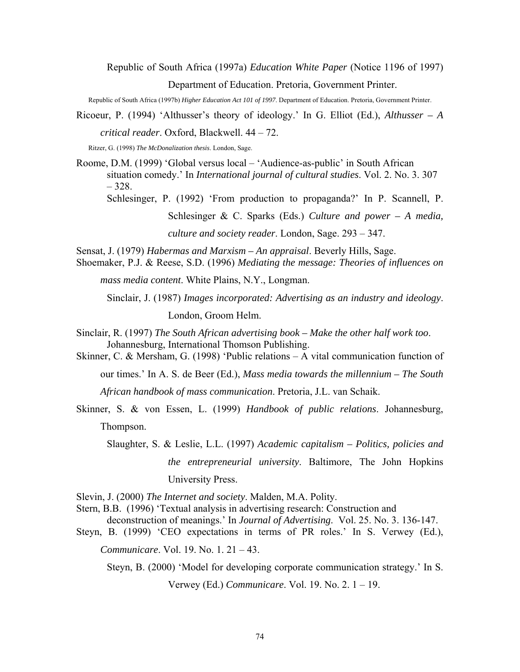Republic of South Africa (1997a) *Education White Paper* (Notice 1196 of 1997) Department of Education. Pretoria, Government Printer.

Republic of South Africa (1997b) *Higher Education Act 101 of 1997*. Department of Education. Pretoria, Government Printer.

Ricoeur, P. (1994) 'Althusser's theory of ideology.' In G. Elliot (Ed.), *Althusser – A* 

*critical reader*. Oxford, Blackwell. 44 – 72.

Ritzer, G. (1998) *The McDonalization thesis*. London, Sage.

Roome, D.M. (1999) 'Global versus local – 'Audience-as-public' in South African situation comedy.' In *International journal of cultural studies*. Vol. 2. No. 3. 307 – 328.

Schlesinger, P. (1992) 'From production to propaganda?' In P. Scannell, P.

Schlesinger & C. Sparks (Eds.) *Culture and power – A media,* 

*culture and society reader*. London, Sage. 293 – 347.

Sensat, J. (1979) *Habermas and Marxism – An appraisal*. Beverly Hills, Sage.

Shoemaker, P.J. & Reese, S.D. (1996) *Mediating the message: Theories of influences on* 

*mass media content*. White Plains, N.Y., Longman.

Sinclair, J. (1987) *Images incorporated: Advertising as an industry and ideology*.

London, Groom Helm.

- Sinclair, R. (1997) *The South African advertising book Make the other half work too*. Johannesburg, International Thomson Publishing.
- Skinner, C. & Mersham, G. (1998) 'Public relations A vital communication function of

our times.' In A. S. de Beer (Ed.), *Mass media towards the millennium – The South* 

*African handbook of mass communication*. Pretoria, J.L. van Schaik.

Skinner, S. & von Essen, L. (1999) *Handbook of public relations*. Johannesburg, Thompson.

Slaughter, S. & Leslie, L.L. (1997) *Academic capitalism – Politics, policies and the entrepreneurial university*. Baltimore, The John Hopkins University Press.

Slevin, J. (2000) *The Internet and society*. Malden, M.A. Polity.

Stern, B.B. (1996) 'Textual analysis in advertising research: Construction and

deconstruction of meanings.' In *Journal of Advertising*. Vol. 25. No. 3. 136-147.

Steyn, B. (1999) 'CEO expectations in terms of PR roles.' In S. Verwey (Ed.),

*Communicare*. Vol. 19. No. 1. 21 – 43.

Steyn, B. (2000) 'Model for developing corporate communication strategy.' In S.

Verwey (Ed.) *Communicare*. Vol. 19. No. 2. 1 – 19.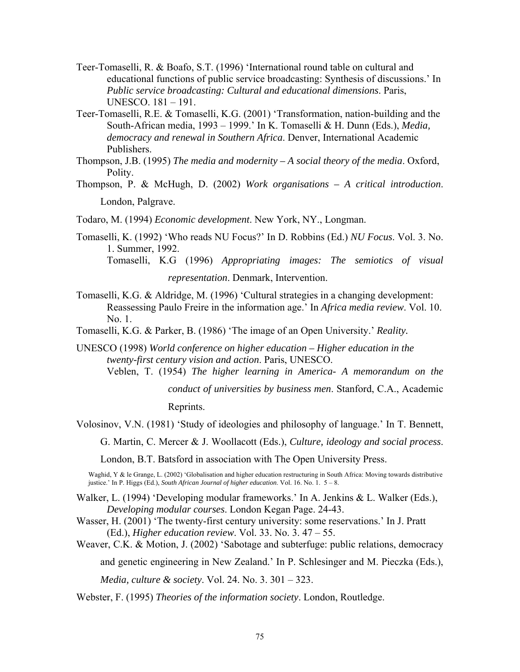- Teer-Tomaselli, R. & Boafo, S.T. (1996) 'International round table on cultural and educational functions of public service broadcasting: Synthesis of discussions.' In *Public service broadcasting: Cultural and educational dimensions*. Paris, UNESCO. 181 – 191.
- Teer-Tomaselli, R.E. & Tomaselli, K.G. (2001) 'Transformation, nation-building and the South-African media, 1993 – 1999.' In K. Tomaselli & H. Dunn (Eds.), *Media, democracy and renewal in Southern Africa*. Denver, International Academic Publishers.
- Thompson, J.B. (1995) *The media and modernity A social theory of the media*. Oxford, Polity.
- Thompson, P. & McHugh, D. (2002) *Work organisations A critical introduction*. London, Palgrave.

Todaro, M. (1994) *Economic development*. New York, NY., Longman.

Tomaselli, K. (1992) 'Who reads NU Focus?' In D. Robbins (Ed.) *NU Focus*. Vol. 3. No. 1. Summer, 1992. Tomaselli, K.G (1996) *Appropriating images: The semiotics of visual* 

*representation*. Denmark, Intervention.

- Tomaselli, K.G. & Aldridge, M. (1996) 'Cultural strategies in a changing development: Reassessing Paulo Freire in the information age.' In *Africa media review*. Vol. 10.  $N<sub>0</sub>$  1.
- Tomaselli, K.G. & Parker, B. (1986) 'The image of an Open University.' *Reality.*
- UNESCO (1998) *World conference on higher education Higher education in the twenty-first century vision and action*. Paris, UNESCO.
	- Veblen, T. (1954) *The higher learning in America- A memorandum on the*

*conduct of universities by business men*. Stanford, C.A., Academic Reprints.

Volosinov, V.N. (1981) 'Study of ideologies and philosophy of language.' In T. Bennett,

G. Martin, C. Mercer & J. Woollacott (Eds.), *Culture, ideology and social process*.

London, B.T. Batsford in association with The Open University Press.

Waghid, Y & le Grange, L. (2002) 'Globalisation and higher education restructuring in South Africa: Moving towards distributive justice.' In P. Higgs (Ed.), *South African Journal of higher education*. Vol. 16. No. 1. 5 – 8.

- Walker, L. (1994) 'Developing modular frameworks.' In A. Jenkins & L. Walker (Eds.), *Developing modular courses*. London Kegan Page. 24-43.
- Wasser, H. (2001) 'The twenty-first century university: some reservations.' In J. Pratt (Ed.), *Higher education review*. Vol. 33. No. 3. 47 – 55.

Weaver, C.K. & Motion, J. (2002) 'Sabotage and subterfuge: public relations, democracy

and genetic engineering in New Zealand.' In P. Schlesinger and M. Pieczka (Eds.),

*Media, culture & society*. Vol. 24. No. 3. 301 – 323.

Webster, F. (1995) *Theories of the information society*. London, Routledge.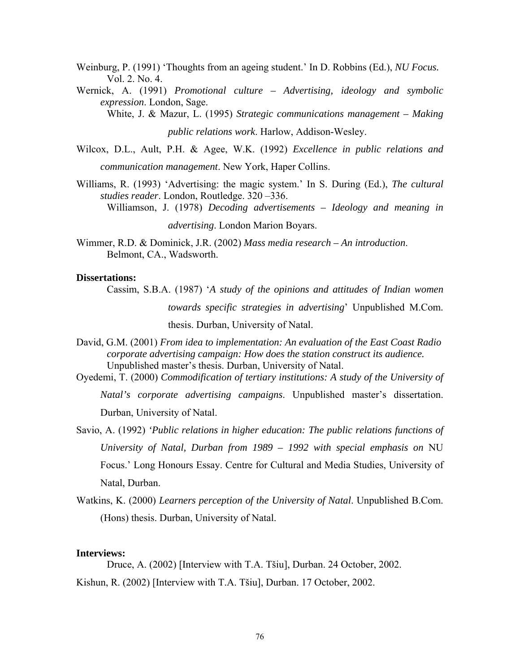- Weinburg, P. (1991) 'Thoughts from an ageing student.' In D. Robbins (Ed.), *NU Focus.* Vol. 2. No. 4.
- Wernick, A. (1991) *Promotional culture Advertising, ideology and symbolic expression*. London, Sage.

White, J. & Mazur, L. (1995) *Strategic communications management – Making* 

*public relations work*. Harlow, Addison-Wesley.

Wilcox, D.L., Ault, P.H. & Agee, W.K. (1992) *Excellence in public relations and communication management*. New York, Haper Collins.

Williams, R. (1993) 'Advertising: the magic system.' In S. During (Ed.), *The cultural studies reader*. London, Routledge. 320 –336. Williamson, J. (1978) *Decoding advertisements – Ideology and meaning in* 

*advertising*. London Marion Boyars.

Wimmer, R.D. & Dominick, J.R. (2002) *Mass media research – An introduction*. Belmont, CA., Wadsworth.

#### **Dissertations:**

- Cassim, S.B.A. (1987) '*A study of the opinions and attitudes of Indian women towards specific strategies in advertising*' Unpublished M.Com. thesis. Durban, University of Natal.
- David, G.M. (2001) *From idea to implementation: An evaluation of the East Coast Radio corporate advertising campaign: How does the station construct its audience.*  Unpublished master's thesis. Durban, University of Natal.
- Oyedemi, T. (2000) *Commodification of tertiary institutions: A study of the University of Natal's corporate advertising campaigns*. Unpublished master's dissertation. Durban, University of Natal.
- Savio, A. (1992) *'Public relations in higher education: The public relations functions of University of Natal, Durban from 1989 – 1992 with special emphasis on* NU Focus.' Long Honours Essay. Centre for Cultural and Media Studies, University of Natal, Durban.
- Watkins, K. (2000) *Learners perception of the University of Natal*. Unpublished B.Com. (Hons) thesis. Durban, University of Natal.

#### **Interviews:**

Druce, A. (2002) [Interview with T.A. Tšiu], Durban. 24 October, 2002. Kishun, R. (2002) [Interview with T.A. Tšiu], Durban. 17 October, 2002.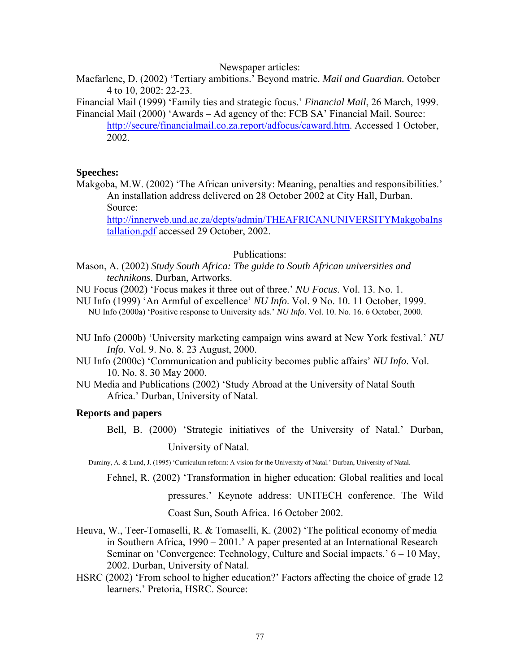#### Newspaper articles:

Macfarlene, D. (2002) 'Tertiary ambitions.' Beyond matric. *Mail and Guardian.* October 4 to 10, 2002: 22-23.

Financial Mail (1999) 'Family ties and strategic focus.' *Financial Mail*, 26 March, 1999. Financial Mail (2000) 'Awards – Ad agency of the: FCB SA' Financial Mail. Source:

[http://secure/financialmail.co.za.report/adfocus/caward.htm.](http://secure/financialmail.co.za.report/adfocus/caward.htm) Accessed 1 October, 2002.

## **Speeches:**

Makgoba, M.W. (2002) 'The African university: Meaning, penalties and responsibilities.' An installation address delivered on 28 October 2002 at City Hall, Durban. Source:

[http://innerweb.und.ac.za/depts/admin/THEAFRICANUNIVERSITYMakgobaIns](http://innerweb.und.ac.za/depts/admin/THEAFRICANUNIVERSITYMakgobaInstallation.pdf) [tallation.pdf](http://innerweb.und.ac.za/depts/admin/THEAFRICANUNIVERSITYMakgobaInstallation.pdf) accessed 29 October, 2002.

Publications:

Mason, A. (2002) *Study South Africa: The guide to South African universities and technikons*. Durban, Artworks.

NU Focus (2002) 'Focus makes it three out of three.' *NU Focus*. Vol. 13. No. 1.

NU Info (1999) 'An Armful of excellence' *NU Info*. Vol. 9 No. 10. 11 October, 1999. NU Info (2000a) 'Positive response to University ads.' *NU Info*. Vol. 10. No. 16. 6 October, 2000.

- NU Info (2000b) 'University marketing campaign wins award at New York festival.' *NU Info*. Vol. 9. No. 8. 23 August, 2000.
- NU Info (2000c) 'Communication and publicity becomes public affairs' *NU Info*. Vol. 10. No. 8. 30 May 2000.
- NU Media and Publications (2002) 'Study Abroad at the University of Natal South Africa.' Durban, University of Natal.

## **Reports and papers**

Bell, B. (2000) 'Strategic initiatives of the University of Natal.' Durban, University of Natal.

Duminy, A. & Lund, J. (1995) 'Curriculum reform: A vision for the University of Natal.' Durban, University of Natal.

Fehnel, R. (2002) 'Transformation in higher education: Global realities and local

pressures.' Keynote address: UNITECH conference. The Wild

Coast Sun, South Africa. 16 October 2002.

- Heuva, W., Teer-Tomaselli, R. & Tomaselli, K. (2002) 'The political economy of media in Southern Africa, 1990 – 2001.' A paper presented at an International Research Seminar on 'Convergence: Technology, Culture and Social impacts.' 6 – 10 May, 2002. Durban, University of Natal.
- HSRC (2002) 'From school to higher education?' Factors affecting the choice of grade 12 learners.' Pretoria, HSRC. Source: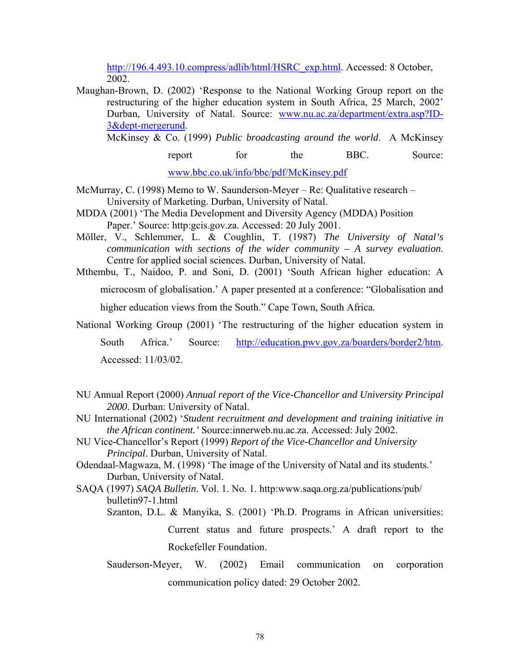[http://196.4.493.10.compress/adlib/html/HSRC\\_exp.html.](http://196.4.493.10.compress/adlib/html/HSRC_exp.html) Accessed: 8 October, 2002.

Maughan-Brown, D. (2002) 'Response to the National Working Group report on the restructuring of the higher education system in South Africa, 25 March, 2002' Durban, University of Natal. Source: [www.nu.ac.za/department/extra.asp?ID-](http://www.nu.ac.za/department/extra.asp?ID-3&dept-mergerund)[3&dept-mergerund.](http://www.nu.ac.za/department/extra.asp?ID-3&dept-mergerund)

McKinsey & Co. (1999) *Public broadcasting around the world*. A McKinsey

report for the BBC. Source: [www.bbc.co.uk/info/bbc/pdf/McKinsey.pdf](http://www.bbc.co.uk/info/bbc/pdf/McKinsey.pdf) 

- McMurray, C. (1998) Memo to W. Saunderson-Meyer Re: Qualitative research University of Marketing. Durban, University of Natal.
- MDDA (2001) 'The Media Development and Diversity Agency (MDDA) Position Paper.' Source: http:gcis.gov.za. Accessed: 20 July 2001.
- Mőller, V., Schlemmer, L. & Coughlin, T. (1987) *The University of Natal's communication with sections of the wider community – A survey evaluation*. Centre for applied social sciences. Durban, University of Natal.
- Mthembu, T., Naidoo, P. and Soni, D. (2001) 'South African higher education: A microcosm of globalisation.' A paper presented at a conference: "Globalisation and higher education views from the South." Cape Town, South Africa.
- National Working Group (2001) 'The restructuring of the higher education system in South Africa.' Source: <http://education.pwv.gov.za/boarders/border2/htm>. Accessed: 11/03/02.
- NU Annual Report (2000) *Annual report of the Vice-Chancellor and University Principal 2000*. Durban: University of Natal.
- NU International (2002) '*Student recruitment and development and training initiative in the African continent.'* Source:innerweb.nu.ac.za. Accessed: July 2002.
- NU Vice-Chancellor's Report (1999) *Report of the Vice-Chancellor and University Principal*. Durban, University of Natal.
- Odendaal-Magwaza, M. (1998) 'The image of the University of Natal and its students.' Durban, University of Natal.
- SAQA (1997) *SAQA Bulletin*. Vol. 1. No. 1. http:www.saqa.org.za/publications/pub/ bulletin97-1.html
	- Szanton, D.L. & Manyika, S. (2001) 'Ph.D. Programs in African universities: Current status and future prospects.' A draft report to the Rockefeller Foundation.
	- Sauderson-Meyer, W. (2002) Email communication on corporation communication policy dated: 29 October 2002.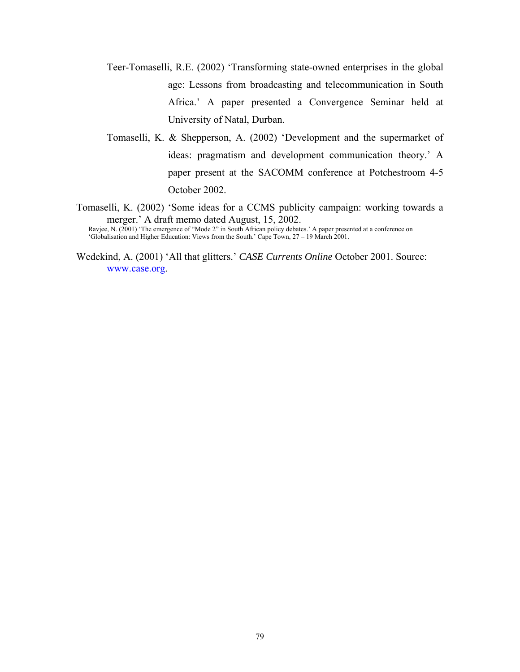- Teer-Tomaselli, R.E. (2002) 'Transforming state-owned enterprises in the global age: Lessons from broadcasting and telecommunication in South Africa.' A paper presented a Convergence Seminar held at University of Natal, Durban.
- Tomaselli, K. & Shepperson, A. (2002) 'Development and the supermarket of ideas: pragmatism and development communication theory.' A paper present at the SACOMM conference at Potchestroom 4-5 October 2002.
- Tomaselli, K. (2002) 'Some ideas for a CCMS publicity campaign: working towards a merger.' A draft memo dated August, 15, 2002.

Ravjee, N. (2001) 'The emergence of "Mode 2" in South African policy debates.' A paper presented at a conference on 'Globalisation and Higher Education: Views from the South.' Cape Town, 27 – 19 March 2001.

Wedekind, A. (2001) 'All that glitters.' *CASE Currents Online* October 2001. Source: [www.case.org.](http://www.case.org/)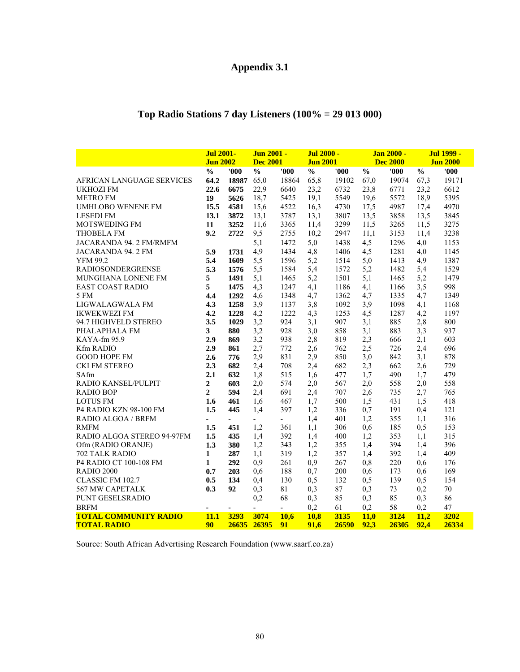# **Appendix 3.1**

# **Top Radio Stations 7 day Listeners (100% = 29 013 000)**

|                              | <b>Jul 2001-</b><br><b>Jun 2002</b> |                | Jun 2001 -<br><b>Dec 2001</b> |                          | Jul 2000 -<br><b>Jun 2001</b> |       | Jan 2000 -<br><b>Dec 2000</b> |       | <b>Jul 1999 -</b><br><b>Jun 2000</b> |       |
|------------------------------|-------------------------------------|----------------|-------------------------------|--------------------------|-------------------------------|-------|-------------------------------|-------|--------------------------------------|-------|
|                              | $\frac{0}{0}$                       | '000'          | $\frac{0}{0}$                 | '000                     | $\frac{0}{0}$                 | '000' | $\frac{0}{0}$                 | '000' | $\frac{0}{0}$                        | '000' |
| AFRICAN LANGUAGE SERVICES    | 64.2                                | 18987          | 65,0                          | 18864                    | 65,8                          | 19102 | 67,0                          | 19074 | 67,3                                 | 19171 |
| <b>UKHOZI FM</b>             | 22.6                                | 6675           | 22,9                          | 6640                     | 23,2                          | 6732  | 23,8                          | 6771  | 23,2                                 | 6612  |
| <b>METRO FM</b>              | 19                                  | 5626           | 18,7                          | 5425                     | 19,1                          | 5549  | 19,6                          | 5572  | 18,9                                 | 5395  |
| <b>UMHLOBO WENENE FM</b>     | 15.5                                | 4581           | 15,6                          | 4522                     | 16,3                          | 4730  | 17,5                          | 4987  | 17,4                                 | 4970  |
| <b>LESEDI FM</b>             | 13.1                                | 3872           | 13,1                          | 3787                     | 13,1                          | 3807  | 13,5                          | 3858  | 13,5                                 | 3845  |
| MOTSWEDING FM                | 11                                  | 3252           | 11,6                          | 3365                     | 11,4                          | 3299  | 11,5                          | 3265  | 11,5                                 | 3275  |
| <b>THOBELA FM</b>            | 9.2                                 | 2722           | 9,5                           | 2755                     | 10,2                          | 2947  | 11,1                          | 3153  | 11,4                                 | 3238  |
| JACARANDA 94. 2 FM/RMFM      |                                     |                | 5,1                           | 1472                     | 5,0                           | 1438  | 4,5                           | 1296  | 4,0                                  | 1153  |
| JACARANDA 94.2 FM            | 5.9                                 | 1731           | 4,9                           | 1434                     | 4,8                           | 1406  | 4,5                           | 1281  | 4,0                                  | 1145  |
| <b>YFM 99.2</b>              | 5.4                                 | 1609           | 5,5                           | 1596                     | 5,2                           | 1514  | 5,0                           | 1413  | 4,9                                  | 1387  |
| <b>RADIOSONDERGRENSE</b>     | 5.3                                 | 1576           | 5,5                           | 1584                     | 5,4                           | 1572  | 5,2                           | 1482  | 5,4                                  | 1529  |
| MUNGHANA LONENE FM           | 5                                   | 1491           | 5,1                           | 1465                     | 5,2                           | 1501  | 5,1                           | 1465  | 5,2                                  | 1479  |
| <b>EAST COAST RADIO</b>      | 5                                   | 1475           | 4,3                           | 1247                     | 4,1                           | 1186  | 4,1                           | 1166  | 3,5                                  | 998   |
| 5 FM                         | 4.4                                 | 1292           | 4,6                           | 1348                     | 4,7                           | 1362  | 4,7                           | 1335  | 4,7                                  | 1349  |
| LIGWALAGWALA FM              | 4.3                                 | 1258           | 3,9                           | 1137                     | 3,8                           | 1092  | 3,9                           | 1098  | 4,1                                  | 1168  |
| <b>IKWEKWEZI FM</b>          | 4.2                                 | 1228           | 4,2                           | 1222                     | 4,3                           | 1253  | 4,5                           | 1287  | 4,2                                  | 1197  |
| 94.7 HIGHVELD STEREO         | 3.5                                 | 1029           | 3,2                           | 924                      | 3,1                           | 907   | 3,1                           | 885   | 2,8                                  | 800   |
| PHALAPHALA FM                | $\mathbf{3}$                        | 880            | 3,2                           | 928                      | 3,0                           | 858   | 3,1                           | 883   | 3,3                                  | 937   |
| KAYA-fm 95.9                 | 2.9                                 | 869            | 3,2                           | 938                      | 2,8                           | 819   | 2,3                           | 666   | 2,1                                  | 603   |
| Kfm RADIO                    | 2.9                                 | 861            | 2,7                           | 772                      | 2,6                           | 762   | 2,5                           | 726   | 2,4                                  | 696   |
| <b>GOOD HOPE FM</b>          | 2.6                                 | 776            | 2,9                           | 831                      | 2,9                           | 850   | 3,0                           | 842   | 3,1                                  | 878   |
| CKI FM STEREO                | 2.3                                 | 682            | 2,4                           | 708                      | 2,4                           | 682   | 2,3                           | 662   | 2,6                                  | 729   |
| SAfm                         | 2.1                                 | 632            | 1,8                           | 515                      | 1,6                           | 477   | 1,7                           | 490   | 1,7                                  | 479   |
| RADIO KANSEL/PULPIT          | $\boldsymbol{2}$                    | 603            | 2,0                           | 574                      | 2,0                           | 567   | 2,0                           | 558   | 2,0                                  | 558   |
| <b>RADIO BOP</b>             | $\overline{2}$                      | 594            | 2,4                           | 691                      | 2,4                           | 707   | 2,6                           | 735   | 2,7                                  | 765   |
| <b>LOTUS FM</b>              | 1.6                                 | 461            | 1,6                           | 467                      | 1,7                           | 500   | 1,5                           | 431   | 1,5                                  | 418   |
| P4 RADIO KZN 98-100 FM       | 1.5                                 | 445            | 1,4                           | 397                      | 1,2                           | 336   | 0,7                           | 191   | 0,4                                  | 121   |
| <b>RADIO ALGOA / BRFM</b>    |                                     | $\blacksquare$ | $\overline{\phantom{0}}$      | $\overline{\phantom{a}}$ | 1,4                           | 401   | 1,2                           | 355   | 1,1                                  | 316   |
| <b>RMFM</b>                  | 1.5                                 | 451            | 1,2                           | 361                      | 1,1                           | 306   | 0,6                           | 185   | 0,5                                  | 153   |
| RADIO ALGOA STEREO 94-97FM   | 1.5                                 | 435            | 1,4                           | 392                      | 1,4                           | 400   | 1,2                           | 353   | 1,1                                  | 315   |
| Ofm (RADIO ORANJE)           | 1.3                                 | 380            | 1,2                           | 343                      | 1,2                           | 355   | 1,4                           | 394   | 1,4                                  | 396   |
| 702 TALK RADIO               | 1                                   | 287            | 1,1                           | 319                      | 1,2                           | 357   | 1,4                           | 392   | 1,4                                  | 409   |
| P4 RADIO CT 100-108 FM       | $\mathbf{1}$                        | 292            | 0,9                           | 261                      | 0,9                           | 267   | 0,8                           | 220   | 0,6                                  | 176   |
| <b>RADIO 2000</b>            | 0.7                                 | 203            | 0,6                           | 188                      | 0,7                           | 200   | 0,6                           | 173   | 0,6                                  | 169   |
| CLASSIC FM 102.7             | 0.5                                 | 134            | 0,4                           | 130                      | 0,5                           | 132   | 0,5                           | 139   | 0,5                                  | 154   |
| 567 MW CAPETALK              | 0.3                                 | 92             | 0,3                           | 81                       | 0,3                           | 87    | 0,3                           | 73    | 0,2                                  | 70    |
| PUNT GESELSRADIO             |                                     |                | 0,2                           | 68                       | 0,3                           | 85    | 0,3                           | 85    | 0,3                                  | 86    |
| <b>BRFM</b>                  |                                     | ä,             | $\overline{a}$                | $\blacksquare$           | 0,2                           | 61    | 0,2                           | 58    | 0,2                                  | 47    |
| <b>TOTAL COMMUNITY RADIO</b> | 11.1                                | 3293           | 3074                          | 10.6                     | 10,8                          | 3135  | 11.0                          | 3124  | 11,2                                 | 3202  |
| <b>TOTAL RADIO</b>           | 90                                  | 26635 26395    |                               | 91                       | 91.6                          | 26590 | 92,3                          | 26305 | 92.4                                 | 26334 |

Source: South African Advertising Research Foundation (www.saarf.co.za)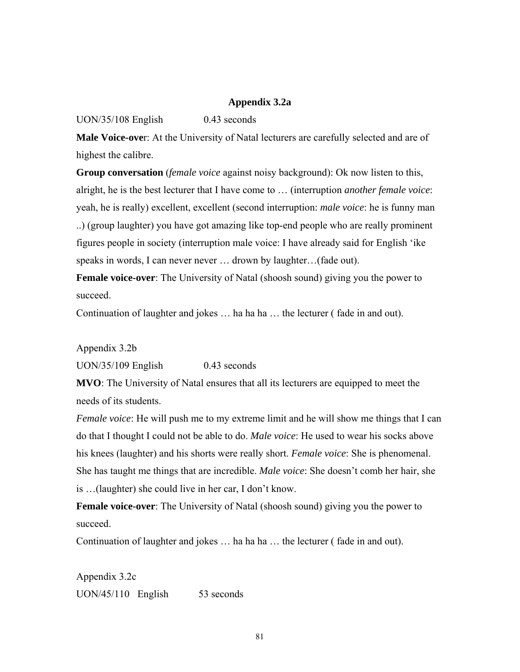## **Appendix 3.2a**

## UON/35/108 English 0.43 seconds

**Male Voice-ove**r: At the University of Natal lecturers are carefully selected and are of highest the calibre.

**Group conversation** (*female voice* against noisy background): Ok now listen to this, alright, he is the best lecturer that I have come to … (interruption *another female voice*: yeah, he is really) excellent, excellent (second interruption: *male voice*: he is funny man ..) (group laughter) you have got amazing like top-end people who are really prominent figures people in society (interruption male voice: I have already said for English 'ike speaks in words, I can never never ... drown by laughter...(fade out).

**Female voice-over**: The University of Natal (shoosh sound) giving you the power to succeed.

Continuation of laughter and jokes ... ha ha ha ... the lecturer (fade in and out).

Appendix 3.2b

UON/35/109 English 0.43 seconds

**MVO**: The University of Natal ensures that all its lecturers are equipped to meet the needs of its students.

*Female voice*: He will push me to my extreme limit and he will show me things that I can do that I thought I could not be able to do. *Male voice*: He used to wear his socks above his knees (laughter) and his shorts were really short. *Female voice*: She is phenomenal. She has taught me things that are incredible. *Male voice*: She doesn't comb her hair, she is …(laughter) she could live in her car, I don't know.

**Female voice-over**: The University of Natal (shoosh sound) giving you the power to succeed.

Continuation of laughter and jokes ... ha ha ha ... the lecturer (fade in and out).

Appendix 3.2c UON/45/110 English 53 seconds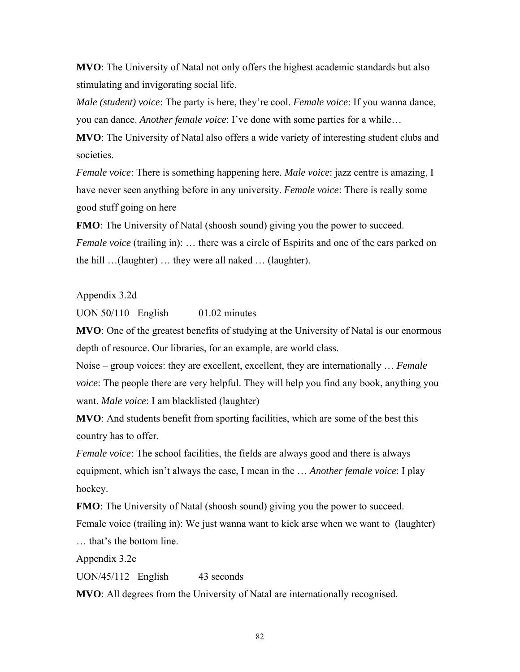**MVO**: The University of Natal not only offers the highest academic standards but also stimulating and invigorating social life.

*Male (student) voice*: The party is here, they're cool. *Female voice*: If you wanna dance, you can dance. *Another female voice*: I've done with some parties for a while…

**MVO**: The University of Natal also offers a wide variety of interesting student clubs and societies.

*Female voice*: There is something happening here. *Male voice*: jazz centre is amazing, I have never seen anything before in any university. *Female voice*: There is really some good stuff going on here

**FMO**: The University of Natal (shoosh sound) giving you the power to succeed. *Female voice* (trailing in): ... there was a circle of Espirits and one of the cars parked on the hill …(laughter) … they were all naked … (laughter).

Appendix 3.2d

UON 50/110 English 01.02 minutes

**MVO**: One of the greatest benefits of studying at the University of Natal is our enormous depth of resource. Our libraries, for an example, are world class.

Noise – group voices: they are excellent, excellent, they are internationally … *Female voice*: The people there are very helpful. They will help you find any book, anything you want. *Male voice*: I am blacklisted (laughter)

**MVO**: And students benefit from sporting facilities, which are some of the best this country has to offer.

*Female voice*: The school facilities, the fields are always good and there is always equipment, which isn't always the case, I mean in the … *Another female voice*: I play hockey.

**FMO**: The University of Natal (shoosh sound) giving you the power to succeed. Female voice (trailing in): We just wanna want to kick arse when we want to (laughter) … that's the bottom line.

Appendix 3.2e

UON/45/112 English 43 seconds

**MVO**: All degrees from the University of Natal are internationally recognised.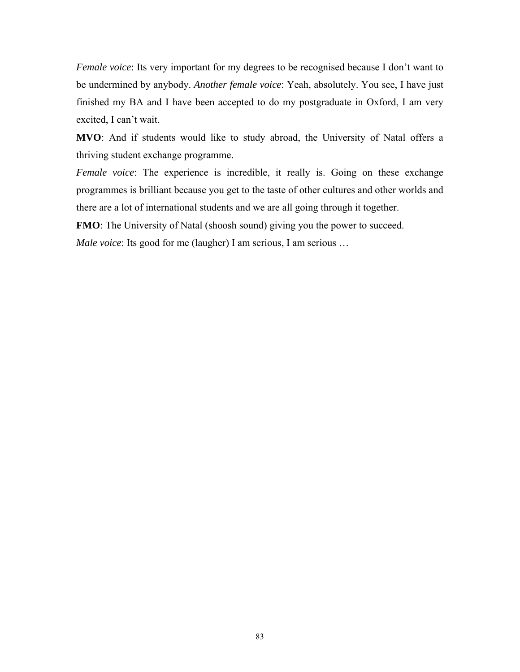*Female voice*: Its very important for my degrees to be recognised because I don't want to be undermined by anybody. *Another female voice*: Yeah, absolutely. You see, I have just finished my BA and I have been accepted to do my postgraduate in Oxford, I am very excited, I can't wait.

**MVO**: And if students would like to study abroad, the University of Natal offers a thriving student exchange programme.

*Female voice*: The experience is incredible, it really is. Going on these exchange programmes is brilliant because you get to the taste of other cultures and other worlds and there are a lot of international students and we are all going through it together.

**FMO**: The University of Natal (shoosh sound) giving you the power to succeed.

*Male voice*: Its good for me (laugher) I am serious, I am serious …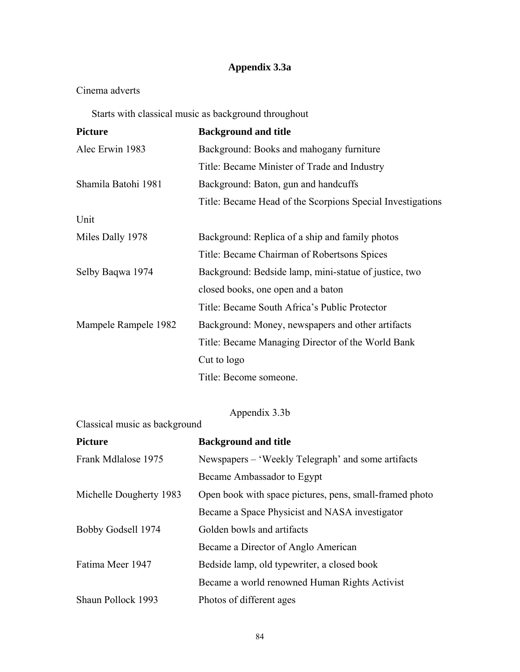# **Appendix 3.3a**

# Cinema adverts

Starts with classical music as background throughout

| <b>Picture</b>       | <b>Background and title</b>                                |  |  |
|----------------------|------------------------------------------------------------|--|--|
| Alec Erwin 1983      | Background: Books and mahogany furniture                   |  |  |
|                      | Title: Became Minister of Trade and Industry               |  |  |
| Shamila Batohi 1981  | Background: Baton, gun and handcuffs                       |  |  |
|                      | Title: Became Head of the Scorpions Special Investigations |  |  |
| Unit                 |                                                            |  |  |
| Miles Dally 1978     | Background: Replica of a ship and family photos            |  |  |
|                      | Title: Became Chairman of Robertsons Spices                |  |  |
| Selby Baqwa 1974     | Background: Bedside lamp, mini-statue of justice, two      |  |  |
|                      | closed books, one open and a baton                         |  |  |
|                      | Title: Became South Africa's Public Protector              |  |  |
| Mampele Rampele 1982 | Background: Money, newspapers and other artifacts          |  |  |
|                      | Title: Became Managing Director of the World Bank          |  |  |
|                      | Cut to logo                                                |  |  |
|                      | Title: Become someone.                                     |  |  |

Appendix 3.3b

# Classical music as background

| <b>Picture</b>          | <b>Background and title</b>                             |
|-------------------------|---------------------------------------------------------|
| Frank Mdlalose 1975     | Newspapers – 'Weekly Telegraph' and some artifacts      |
|                         | Became Ambassador to Egypt                              |
| Michelle Dougherty 1983 | Open book with space pictures, pens, small-framed photo |
|                         | Became a Space Physicist and NASA investigator          |
| Bobby Godsell 1974      | Golden bowls and artifacts                              |
|                         | Became a Director of Anglo American                     |
| Fatima Meer 1947        | Bedside lamp, old typewriter, a closed book             |
|                         | Became a world renowned Human Rights Activist           |
| Shaun Pollock 1993      | Photos of different ages                                |
|                         |                                                         |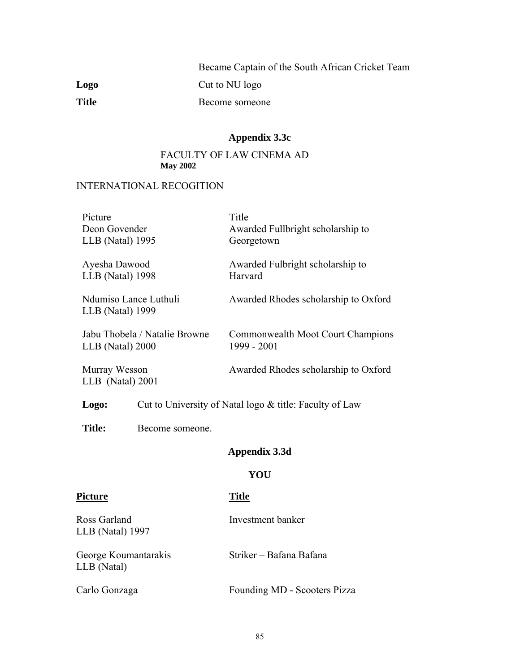|              | Became Captain of the South African Cricket Team |
|--------------|--------------------------------------------------|
| Logo         | Cut to NU logo                                   |
| <b>Title</b> | Become someone                                   |

## **Appendix 3.3c**

## FACULTY OF LAW CINEMA AD **May 2002**

## INTERNATIONAL RECOGITION

| Picture                                   | Title                                |
|-------------------------------------------|--------------------------------------|
| Deon Govender                             | Awarded Fullbright scholarship to    |
| LLB (Natal) 1995                          | Georgetown                           |
| Ayesha Dawood                             | Awarded Fulbright scholarship to     |
| LLB (Natal) 1998                          | Harvard                              |
| Ndumiso Lance Luthuli<br>LLB (Natal) 1999 | Awarded Rhodes scholarship to Oxford |
| Jabu Thobela / Natalie Browne             | Commonwealth Moot Court Champions    |
| LLB (Natal) 2000                          | 1999 - 2001                          |
| Murray Wesson<br>$LLB$ (Natal) 2001       | Awarded Rhodes scholarship to Oxford |

Logo: Cut to University of Natal logo & title: Faculty of Law

**Title:** Become someone.

## **Appendix 3.3d**

#### **YOU**

## Picture Title

Ross Garland Investment banker LLB (Natal) 1997

George Koumantarakis Striker – Bafana Bafana LLB (Natal)

Carlo Gonzaga Founding MD - Scooters Pizza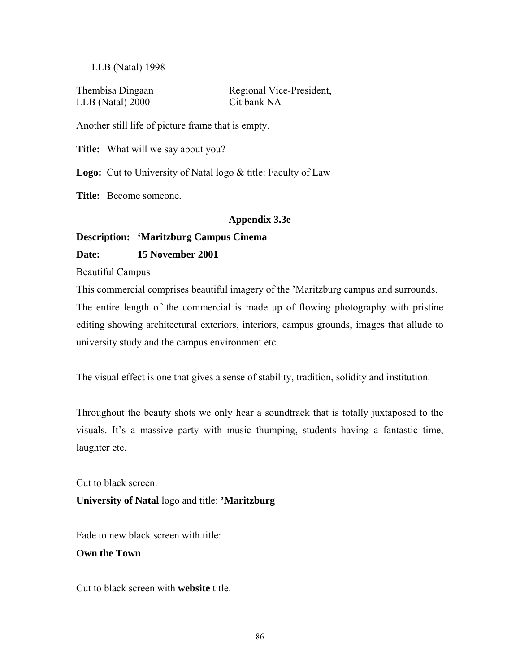## LLB (Natal) 1998

LLB (Natal) 2000 Citibank NA

Thembisa Dingaan Regional Vice-President,

Another still life of picture frame that is empty.

**Title:** What will we say about you?

**Logo:** Cut to University of Natal logo & title: Faculty of Law

**Title:** Become someone.

#### **Appendix 3.3e**

#### **Description: 'Maritzburg Campus Cinema**

## **Date: 15 November 2001**

Beautiful Campus

This commercial comprises beautiful imagery of the 'Maritzburg campus and surrounds. The entire length of the commercial is made up of flowing photography with pristine editing showing architectural exteriors, interiors, campus grounds, images that allude to university study and the campus environment etc.

The visual effect is one that gives a sense of stability, tradition, solidity and institution.

Throughout the beauty shots we only hear a soundtrack that is totally juxtaposed to the visuals. It's a massive party with music thumping, students having a fantastic time, laughter etc.

Cut to black screen: **University of Natal** logo and title: **'Maritzburg** 

Fade to new black screen with title:

#### **Own the Town**

Cut to black screen with **website** title.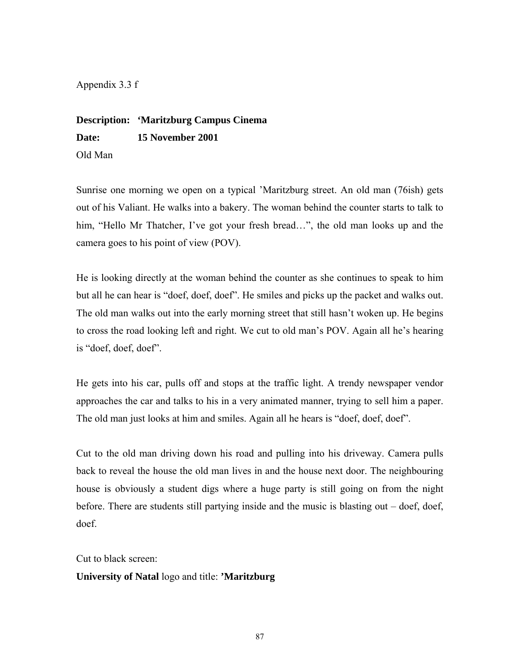Appendix 3.3 f

**Description: 'Maritzburg Campus Cinema Date: 15 November 2001**  Old Man

Sunrise one morning we open on a typical 'Maritzburg street. An old man (76ish) gets out of his Valiant. He walks into a bakery. The woman behind the counter starts to talk to him, "Hello Mr Thatcher, I've got your fresh bread...", the old man looks up and the camera goes to his point of view (POV).

He is looking directly at the woman behind the counter as she continues to speak to him but all he can hear is "doef, doef, doef". He smiles and picks up the packet and walks out. The old man walks out into the early morning street that still hasn't woken up. He begins to cross the road looking left and right. We cut to old man's POV. Again all he's hearing is "doef, doef, doef".

He gets into his car, pulls off and stops at the traffic light. A trendy newspaper vendor approaches the car and talks to his in a very animated manner, trying to sell him a paper. The old man just looks at him and smiles. Again all he hears is "doef, doef, doef".

Cut to the old man driving down his road and pulling into his driveway. Camera pulls back to reveal the house the old man lives in and the house next door. The neighbouring house is obviously a student digs where a huge party is still going on from the night before. There are students still partying inside and the music is blasting out – doef, doef, doef.

Cut to black screen:

## **University of Natal** logo and title: **'Maritzburg**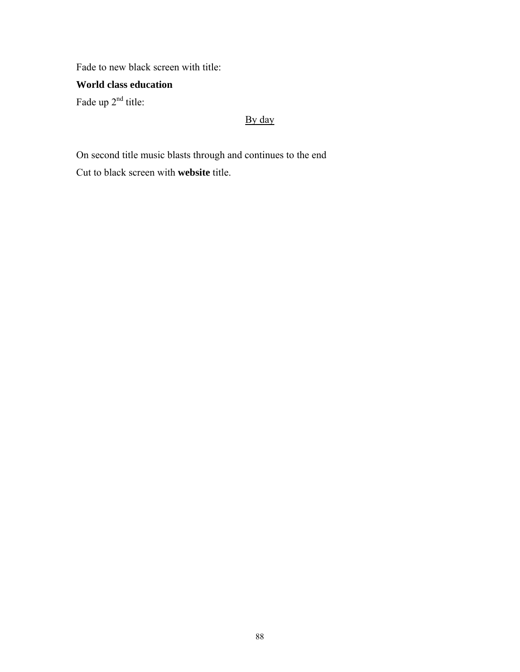Fade to new black screen with title:

# **World class education**

Fade up  $2<sup>nd</sup>$  title:

# By day

On second title music blasts through and continues to the end Cut to black screen with **website** title.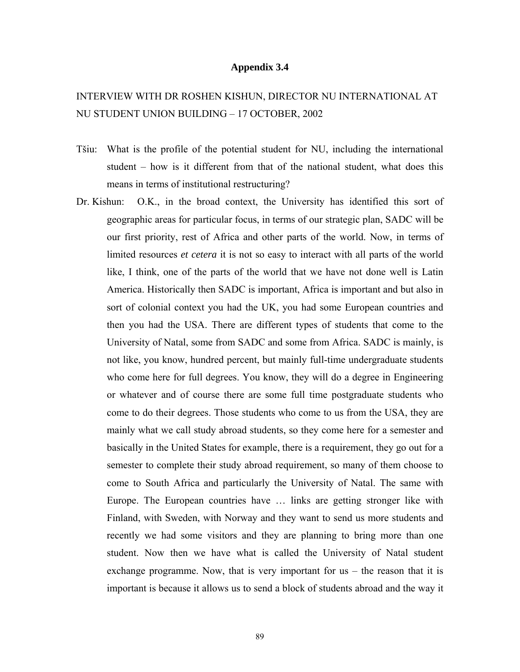#### **Appendix 3.4**

# INTERVIEW WITH DR ROSHEN KISHUN, DIRECTOR NU INTERNATIONAL AT NU STUDENT UNION BUILDING – 17 OCTOBER, 2002

- Tšiu: What is the profile of the potential student for NU, including the international student – how is it different from that of the national student, what does this means in terms of institutional restructuring?
- Dr. Kishun: O.K., in the broad context, the University has identified this sort of geographic areas for particular focus, in terms of our strategic plan, SADC will be our first priority, rest of Africa and other parts of the world. Now, in terms of limited resources *et cetera* it is not so easy to interact with all parts of the world like, I think, one of the parts of the world that we have not done well is Latin America. Historically then SADC is important, Africa is important and but also in sort of colonial context you had the UK, you had some European countries and then you had the USA. There are different types of students that come to the University of Natal, some from SADC and some from Africa. SADC is mainly, is not like, you know, hundred percent, but mainly full-time undergraduate students who come here for full degrees. You know, they will do a degree in Engineering or whatever and of course there are some full time postgraduate students who come to do their degrees. Those students who come to us from the USA, they are mainly what we call study abroad students, so they come here for a semester and basically in the United States for example, there is a requirement, they go out for a semester to complete their study abroad requirement, so many of them choose to come to South Africa and particularly the University of Natal. The same with Europe. The European countries have … links are getting stronger like with Finland, with Sweden, with Norway and they want to send us more students and recently we had some visitors and they are planning to bring more than one student. Now then we have what is called the University of Natal student exchange programme. Now, that is very important for us – the reason that it is important is because it allows us to send a block of students abroad and the way it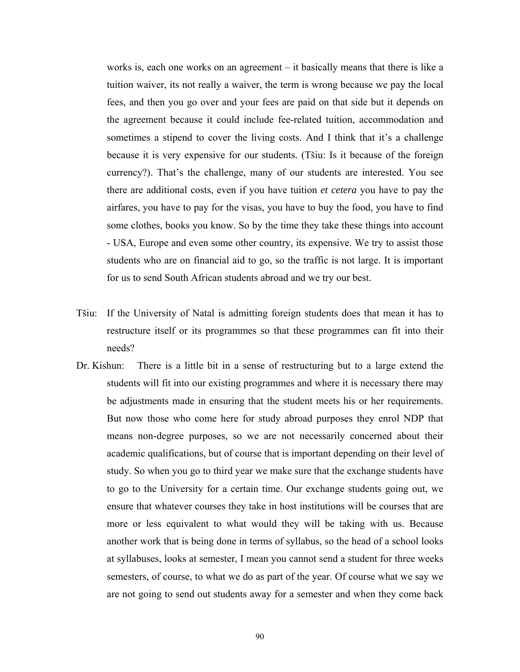works is, each one works on an agreement – it basically means that there is like a tuition waiver, its not really a waiver, the term is wrong because we pay the local fees, and then you go over and your fees are paid on that side but it depends on the agreement because it could include fee-related tuition, accommodation and sometimes a stipend to cover the living costs. And I think that it's a challenge because it is very expensive for our students. (Tšiu: Is it because of the foreign currency?). That's the challenge, many of our students are interested. You see there are additional costs, even if you have tuition *et cetera* you have to pay the airfares, you have to pay for the visas, you have to buy the food, you have to find some clothes, books you know. So by the time they take these things into account - USA, Europe and even some other country, its expensive. We try to assist those students who are on financial aid to go, so the traffic is not large. It is important for us to send South African students abroad and we try our best.

- Tšiu: If the University of Natal is admitting foreign students does that mean it has to restructure itself or its programmes so that these programmes can fit into their needs?
- Dr. Kishun: There is a little bit in a sense of restructuring but to a large extend the students will fit into our existing programmes and where it is necessary there may be adjustments made in ensuring that the student meets his or her requirements. But now those who come here for study abroad purposes they enrol NDP that means non-degree purposes, so we are not necessarily concerned about their academic qualifications, but of course that is important depending on their level of study. So when you go to third year we make sure that the exchange students have to go to the University for a certain time. Our exchange students going out, we ensure that whatever courses they take in host institutions will be courses that are more or less equivalent to what would they will be taking with us. Because another work that is being done in terms of syllabus, so the head of a school looks at syllabuses, looks at semester, I mean you cannot send a student for three weeks semesters, of course, to what we do as part of the year. Of course what we say we are not going to send out students away for a semester and when they come back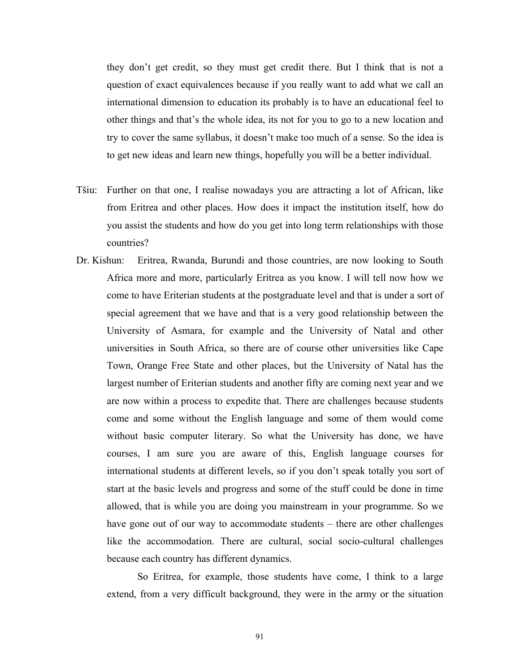they don't get credit, so they must get credit there. But I think that is not a question of exact equivalences because if you really want to add what we call an international dimension to education its probably is to have an educational feel to other things and that's the whole idea, its not for you to go to a new location and try to cover the same syllabus, it doesn't make too much of a sense. So the idea is to get new ideas and learn new things, hopefully you will be a better individual.

- Tšiu: Further on that one, I realise nowadays you are attracting a lot of African, like from Eritrea and other places. How does it impact the institution itself, how do you assist the students and how do you get into long term relationships with those countries?
- Dr. Kishun: Eritrea, Rwanda, Burundi and those countries, are now looking to South Africa more and more, particularly Eritrea as you know. I will tell now how we come to have Eriterian students at the postgraduate level and that is under a sort of special agreement that we have and that is a very good relationship between the University of Asmara, for example and the University of Natal and other universities in South Africa, so there are of course other universities like Cape Town, Orange Free State and other places, but the University of Natal has the largest number of Eriterian students and another fifty are coming next year and we are now within a process to expedite that. There are challenges because students come and some without the English language and some of them would come without basic computer literary. So what the University has done, we have courses, I am sure you are aware of this, English language courses for international students at different levels, so if you don't speak totally you sort of start at the basic levels and progress and some of the stuff could be done in time allowed, that is while you are doing you mainstream in your programme. So we have gone out of our way to accommodate students – there are other challenges like the accommodation. There are cultural, social socio-cultural challenges because each country has different dynamics.

So Eritrea, for example, those students have come, I think to a large extend, from a very difficult background, they were in the army or the situation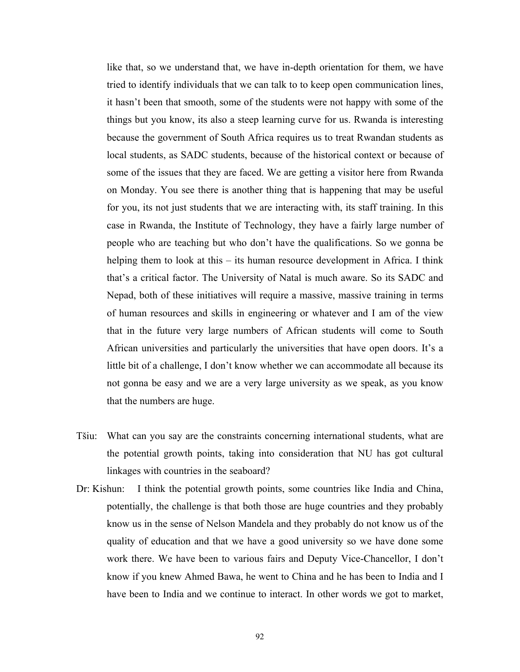like that, so we understand that, we have in-depth orientation for them, we have tried to identify individuals that we can talk to to keep open communication lines, it hasn't been that smooth, some of the students were not happy with some of the things but you know, its also a steep learning curve for us. Rwanda is interesting because the government of South Africa requires us to treat Rwandan students as local students, as SADC students, because of the historical context or because of some of the issues that they are faced. We are getting a visitor here from Rwanda on Monday. You see there is another thing that is happening that may be useful for you, its not just students that we are interacting with, its staff training. In this case in Rwanda, the Institute of Technology, they have a fairly large number of people who are teaching but who don't have the qualifications. So we gonna be helping them to look at this – its human resource development in Africa. I think that's a critical factor. The University of Natal is much aware. So its SADC and Nepad, both of these initiatives will require a massive, massive training in terms of human resources and skills in engineering or whatever and I am of the view that in the future very large numbers of African students will come to South African universities and particularly the universities that have open doors. It's a little bit of a challenge, I don't know whether we can accommodate all because its not gonna be easy and we are a very large university as we speak, as you know that the numbers are huge.

- Tšiu: What can you say are the constraints concerning international students, what are the potential growth points, taking into consideration that NU has got cultural linkages with countries in the seaboard?
- Dr: Kishun: I think the potential growth points, some countries like India and China, potentially, the challenge is that both those are huge countries and they probably know us in the sense of Nelson Mandela and they probably do not know us of the quality of education and that we have a good university so we have done some work there. We have been to various fairs and Deputy Vice-Chancellor, I don't know if you knew Ahmed Bawa, he went to China and he has been to India and I have been to India and we continue to interact. In other words we got to market,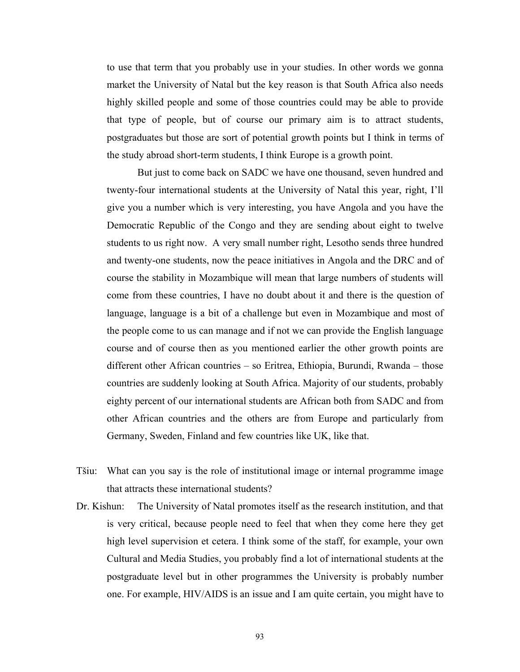to use that term that you probably use in your studies. In other words we gonna market the University of Natal but the key reason is that South Africa also needs highly skilled people and some of those countries could may be able to provide that type of people, but of course our primary aim is to attract students, postgraduates but those are sort of potential growth points but I think in terms of the study abroad short-term students, I think Europe is a growth point.

But just to come back on SADC we have one thousand, seven hundred and twenty-four international students at the University of Natal this year, right, I'll give you a number which is very interesting, you have Angola and you have the Democratic Republic of the Congo and they are sending about eight to twelve students to us right now. A very small number right, Lesotho sends three hundred and twenty-one students, now the peace initiatives in Angola and the DRC and of course the stability in Mozambique will mean that large numbers of students will come from these countries, I have no doubt about it and there is the question of language, language is a bit of a challenge but even in Mozambique and most of the people come to us can manage and if not we can provide the English language course and of course then as you mentioned earlier the other growth points are different other African countries – so Eritrea, Ethiopia, Burundi, Rwanda – those countries are suddenly looking at South Africa. Majority of our students, probably eighty percent of our international students are African both from SADC and from other African countries and the others are from Europe and particularly from Germany, Sweden, Finland and few countries like UK, like that.

- Tšiu: What can you say is the role of institutional image or internal programme image that attracts these international students?
- Dr. Kishun: The University of Natal promotes itself as the research institution, and that is very critical, because people need to feel that when they come here they get high level supervision et cetera. I think some of the staff, for example, your own Cultural and Media Studies, you probably find a lot of international students at the postgraduate level but in other programmes the University is probably number one. For example, HIV/AIDS is an issue and I am quite certain, you might have to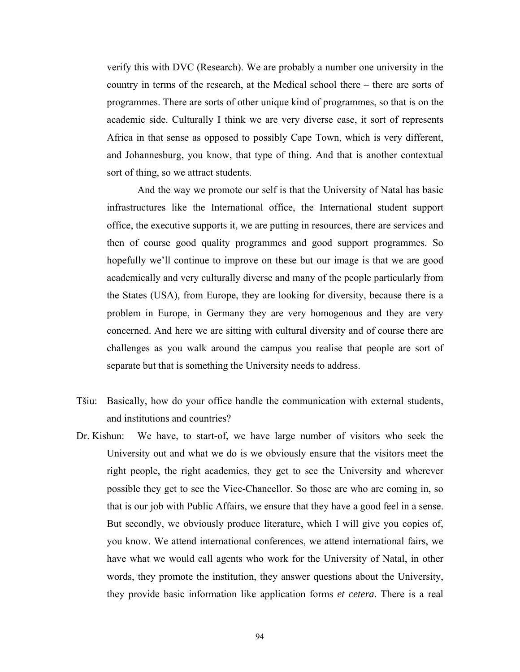verify this with DVC (Research). We are probably a number one university in the country in terms of the research, at the Medical school there – there are sorts of programmes. There are sorts of other unique kind of programmes, so that is on the academic side. Culturally I think we are very diverse case, it sort of represents Africa in that sense as opposed to possibly Cape Town, which is very different, and Johannesburg, you know, that type of thing. And that is another contextual sort of thing, so we attract students.

And the way we promote our self is that the University of Natal has basic infrastructures like the International office, the International student support office, the executive supports it, we are putting in resources, there are services and then of course good quality programmes and good support programmes. So hopefully we'll continue to improve on these but our image is that we are good academically and very culturally diverse and many of the people particularly from the States (USA), from Europe, they are looking for diversity, because there is a problem in Europe, in Germany they are very homogenous and they are very concerned. And here we are sitting with cultural diversity and of course there are challenges as you walk around the campus you realise that people are sort of separate but that is something the University needs to address.

- Tšiu: Basically, how do your office handle the communication with external students, and institutions and countries?
- Dr. Kishun: We have, to start-of, we have large number of visitors who seek the University out and what we do is we obviously ensure that the visitors meet the right people, the right academics, they get to see the University and wherever possible they get to see the Vice-Chancellor. So those are who are coming in, so that is our job with Public Affairs, we ensure that they have a good feel in a sense. But secondly, we obviously produce literature, which I will give you copies of, you know. We attend international conferences, we attend international fairs, we have what we would call agents who work for the University of Natal, in other words, they promote the institution, they answer questions about the University, they provide basic information like application forms *et cetera*. There is a real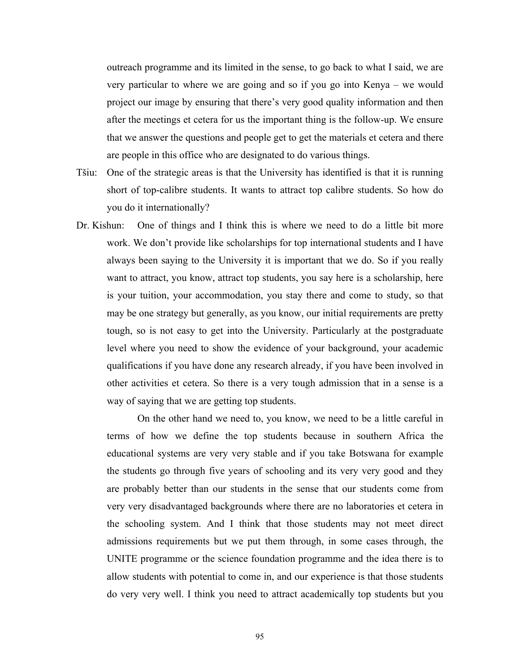outreach programme and its limited in the sense, to go back to what I said, we are very particular to where we are going and so if you go into Kenya – we would project our image by ensuring that there's very good quality information and then after the meetings et cetera for us the important thing is the follow-up. We ensure that we answer the questions and people get to get the materials et cetera and there are people in this office who are designated to do various things.

- Tšiu: One of the strategic areas is that the University has identified is that it is running short of top-calibre students. It wants to attract top calibre students. So how do you do it internationally?
- Dr. Kishun: One of things and I think this is where we need to do a little bit more work. We don't provide like scholarships for top international students and I have always been saying to the University it is important that we do. So if you really want to attract, you know, attract top students, you say here is a scholarship, here is your tuition, your accommodation, you stay there and come to study, so that may be one strategy but generally, as you know, our initial requirements are pretty tough, so is not easy to get into the University. Particularly at the postgraduate level where you need to show the evidence of your background, your academic qualifications if you have done any research already, if you have been involved in other activities et cetera. So there is a very tough admission that in a sense is a way of saying that we are getting top students.

On the other hand we need to, you know, we need to be a little careful in terms of how we define the top students because in southern Africa the educational systems are very very stable and if you take Botswana for example the students go through five years of schooling and its very very good and they are probably better than our students in the sense that our students come from very very disadvantaged backgrounds where there are no laboratories et cetera in the schooling system. And I think that those students may not meet direct admissions requirements but we put them through, in some cases through, the UNITE programme or the science foundation programme and the idea there is to allow students with potential to come in, and our experience is that those students do very very well. I think you need to attract academically top students but you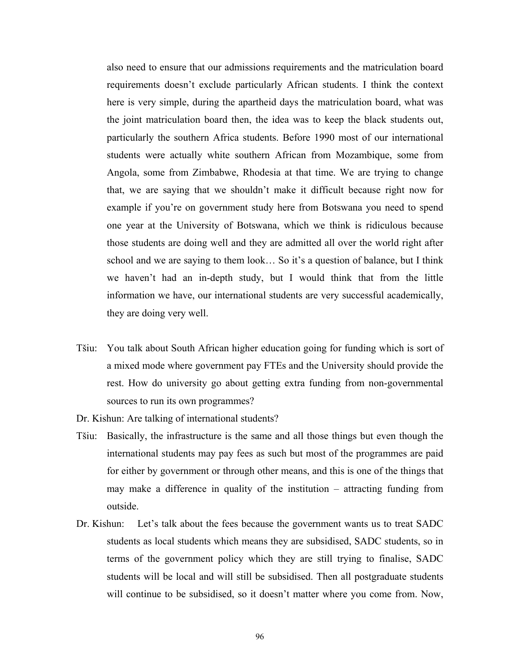also need to ensure that our admissions requirements and the matriculation board requirements doesn't exclude particularly African students. I think the context here is very simple, during the apartheid days the matriculation board, what was the joint matriculation board then, the idea was to keep the black students out, particularly the southern Africa students. Before 1990 most of our international students were actually white southern African from Mozambique, some from Angola, some from Zimbabwe, Rhodesia at that time. We are trying to change that, we are saying that we shouldn't make it difficult because right now for example if you're on government study here from Botswana you need to spend one year at the University of Botswana, which we think is ridiculous because those students are doing well and they are admitted all over the world right after school and we are saying to them look… So it's a question of balance, but I think we haven't had an in-depth study, but I would think that from the little information we have, our international students are very successful academically, they are doing very well.

Tšiu: You talk about South African higher education going for funding which is sort of a mixed mode where government pay FTEs and the University should provide the rest. How do university go about getting extra funding from non-governmental sources to run its own programmes?

Dr. Kishun: Are talking of international students?

- Tšiu: Basically, the infrastructure is the same and all those things but even though the international students may pay fees as such but most of the programmes are paid for either by government or through other means, and this is one of the things that may make a difference in quality of the institution – attracting funding from outside.
- Dr. Kishun: Let's talk about the fees because the government wants us to treat SADC students as local students which means they are subsidised, SADC students, so in terms of the government policy which they are still trying to finalise, SADC students will be local and will still be subsidised. Then all postgraduate students will continue to be subsidised, so it doesn't matter where you come from. Now,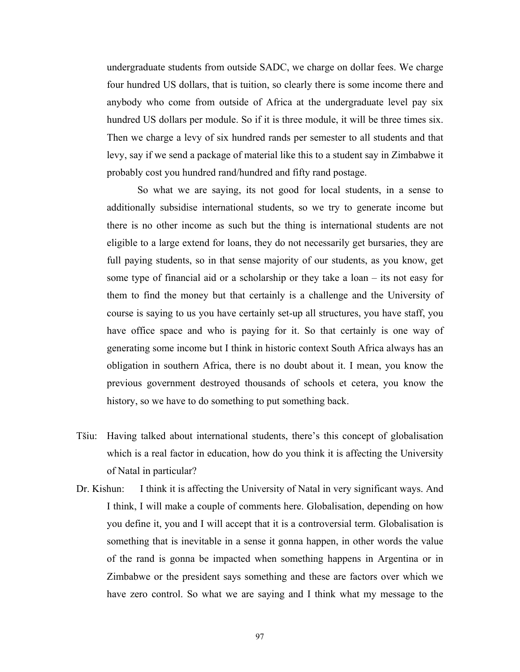undergraduate students from outside SADC, we charge on dollar fees. We charge four hundred US dollars, that is tuition, so clearly there is some income there and anybody who come from outside of Africa at the undergraduate level pay six hundred US dollars per module. So if it is three module, it will be three times six. Then we charge a levy of six hundred rands per semester to all students and that levy, say if we send a package of material like this to a student say in Zimbabwe it probably cost you hundred rand/hundred and fifty rand postage.

So what we are saying, its not good for local students, in a sense to additionally subsidise international students, so we try to generate income but there is no other income as such but the thing is international students are not eligible to a large extend for loans, they do not necessarily get bursaries, they are full paying students, so in that sense majority of our students, as you know, get some type of financial aid or a scholarship or they take a loan – its not easy for them to find the money but that certainly is a challenge and the University of course is saying to us you have certainly set-up all structures, you have staff, you have office space and who is paying for it. So that certainly is one way of generating some income but I think in historic context South Africa always has an obligation in southern Africa, there is no doubt about it. I mean, you know the previous government destroyed thousands of schools et cetera, you know the history, so we have to do something to put something back.

- Tšiu: Having talked about international students, there's this concept of globalisation which is a real factor in education, how do you think it is affecting the University of Natal in particular?
- Dr. Kishun: I think it is affecting the University of Natal in very significant ways. And I think, I will make a couple of comments here. Globalisation, depending on how you define it, you and I will accept that it is a controversial term. Globalisation is something that is inevitable in a sense it gonna happen, in other words the value of the rand is gonna be impacted when something happens in Argentina or in Zimbabwe or the president says something and these are factors over which we have zero control. So what we are saying and I think what my message to the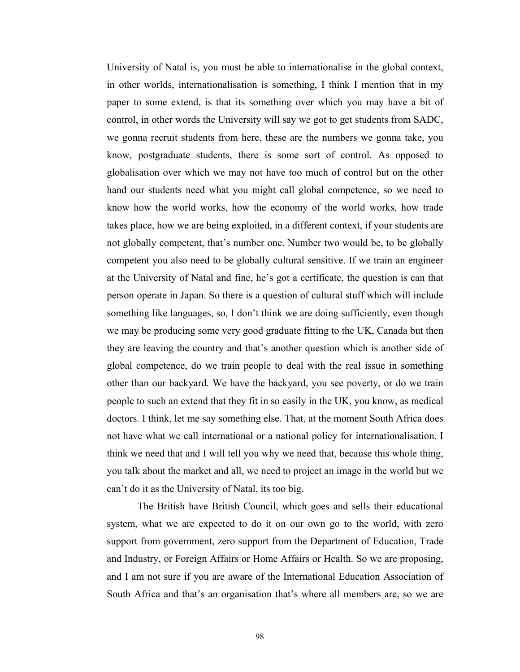University of Natal is, you must be able to internationalise in the global context, in other worlds, internationalisation is something, I think I mention that in my paper to some extend, is that its something over which you may have a bit of control, in other words the University will say we got to get students from SADC, we gonna recruit students from here, these are the numbers we gonna take, you know, postgraduate students, there is some sort of control. As opposed to globalisation over which we may not have too much of control but on the other hand our students need what you might call global competence, so we need to know how the world works, how the economy of the world works, how trade takes place, how we are being exploited, in a different context, if your students are not globally competent, that's number one. Number two would be, to be globally competent you also need to be globally cultural sensitive. If we train an engineer at the University of Natal and fine, he's got a certificate, the question is can that person operate in Japan. So there is a question of cultural stuff which will include something like languages, so, I don't think we are doing sufficiently, even though we may be producing some very good graduate fitting to the UK, Canada but then they are leaving the country and that's another question which is another side of global competence, do we train people to deal with the real issue in something other than our backyard. We have the backyard, you see poverty, or do we train people to such an extend that they fit in so easily in the UK, you know, as medical doctors. I think, let me say something else. That, at the moment South Africa does not have what we call international or a national policy for internationalisation. I think we need that and I will tell you why we need that, because this whole thing, you talk about the market and all, we need to project an image in the world but we can't do it as the University of Natal, its too big.

The British have British Council, which goes and sells their educational system, what we are expected to do it on our own go to the world, with zero support from government, zero support from the Department of Education, Trade and Industry, or Foreign Affairs or Home Affairs or Health. So we are proposing, and I am not sure if you are aware of the International Education Association of South Africa and that's an organisation that's where all members are, so we are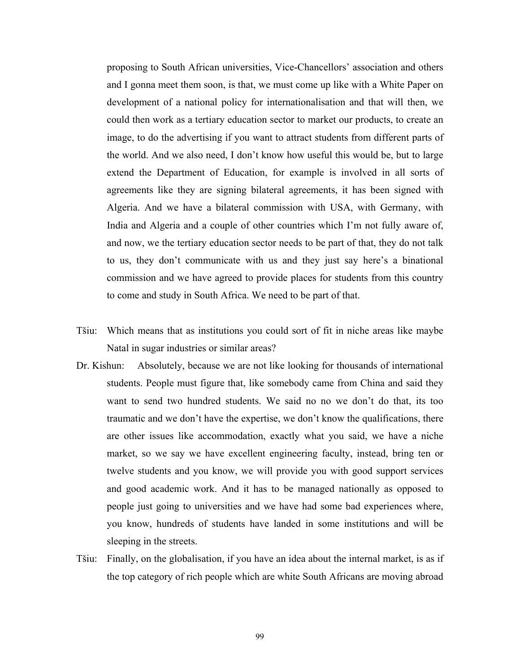proposing to South African universities, Vice-Chancellors' association and others and I gonna meet them soon, is that, we must come up like with a White Paper on development of a national policy for internationalisation and that will then, we could then work as a tertiary education sector to market our products, to create an image, to do the advertising if you want to attract students from different parts of the world. And we also need, I don't know how useful this would be, but to large extend the Department of Education, for example is involved in all sorts of agreements like they are signing bilateral agreements, it has been signed with Algeria. And we have a bilateral commission with USA, with Germany, with India and Algeria and a couple of other countries which I'm not fully aware of, and now, we the tertiary education sector needs to be part of that, they do not talk to us, they don't communicate with us and they just say here's a binational commission and we have agreed to provide places for students from this country to come and study in South Africa. We need to be part of that.

- Tšiu: Which means that as institutions you could sort of fit in niche areas like maybe Natal in sugar industries or similar areas?
- Dr. Kishun: Absolutely, because we are not like looking for thousands of international students. People must figure that, like somebody came from China and said they want to send two hundred students. We said no no we don't do that, its too traumatic and we don't have the expertise, we don't know the qualifications, there are other issues like accommodation, exactly what you said, we have a niche market, so we say we have excellent engineering faculty, instead, bring ten or twelve students and you know, we will provide you with good support services and good academic work. And it has to be managed nationally as opposed to people just going to universities and we have had some bad experiences where, you know, hundreds of students have landed in some institutions and will be sleeping in the streets.
- Tšiu: Finally, on the globalisation, if you have an idea about the internal market, is as if the top category of rich people which are white South Africans are moving abroad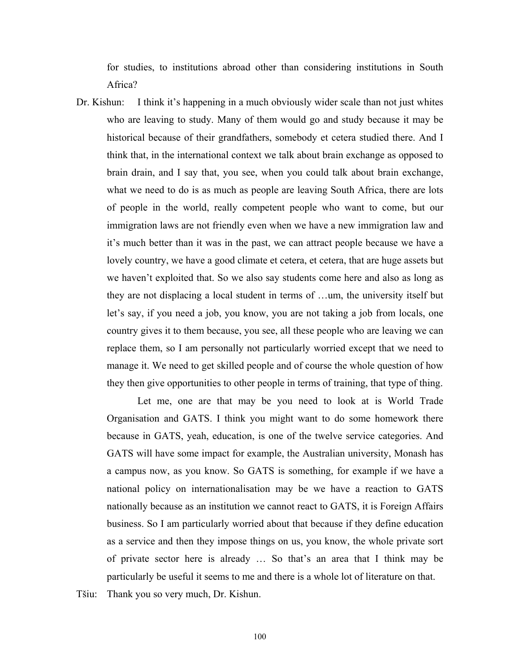for studies, to institutions abroad other than considering institutions in South Africa?

Dr. Kishun: I think it's happening in a much obviously wider scale than not just whites who are leaving to study. Many of them would go and study because it may be historical because of their grandfathers, somebody et cetera studied there. And I think that, in the international context we talk about brain exchange as opposed to brain drain, and I say that, you see, when you could talk about brain exchange, what we need to do is as much as people are leaving South Africa, there are lots of people in the world, really competent people who want to come, but our immigration laws are not friendly even when we have a new immigration law and it's much better than it was in the past, we can attract people because we have a lovely country, we have a good climate et cetera, et cetera, that are huge assets but we haven't exploited that. So we also say students come here and also as long as they are not displacing a local student in terms of …um, the university itself but let's say, if you need a job, you know, you are not taking a job from locals, one country gives it to them because, you see, all these people who are leaving we can replace them, so I am personally not particularly worried except that we need to manage it. We need to get skilled people and of course the whole question of how they then give opportunities to other people in terms of training, that type of thing.

Let me, one are that may be you need to look at is World Trade Organisation and GATS. I think you might want to do some homework there because in GATS, yeah, education, is one of the twelve service categories. And GATS will have some impact for example, the Australian university, Monash has a campus now, as you know. So GATS is something, for example if we have a national policy on internationalisation may be we have a reaction to GATS nationally because as an institution we cannot react to GATS, it is Foreign Affairs business. So I am particularly worried about that because if they define education as a service and then they impose things on us, you know, the whole private sort of private sector here is already … So that's an area that I think may be particularly be useful it seems to me and there is a whole lot of literature on that.

Tšiu: Thank you so very much, Dr. Kishun.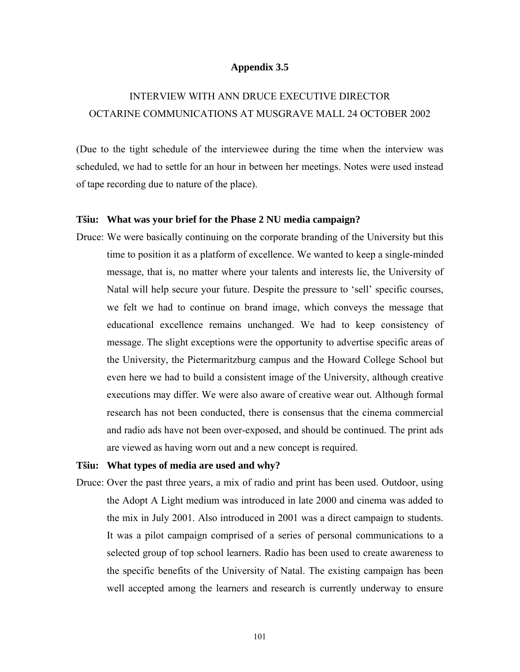#### **Appendix 3.5**

# INTERVIEW WITH ANN DRUCE EXECUTIVE DIRECTOR OCTARINE COMMUNICATIONS AT MUSGRAVE MALL 24 OCTOBER 2002

(Due to the tight schedule of the interviewee during the time when the interview was scheduled, we had to settle for an hour in between her meetings. Notes were used instead of tape recording due to nature of the place).

#### **Tšiu: What was your brief for the Phase 2 NU media campaign?**

Druce: We were basically continuing on the corporate branding of the University but this time to position it as a platform of excellence. We wanted to keep a single-minded message, that is, no matter where your talents and interests lie, the University of Natal will help secure your future. Despite the pressure to 'sell' specific courses, we felt we had to continue on brand image, which conveys the message that educational excellence remains unchanged. We had to keep consistency of message. The slight exceptions were the opportunity to advertise specific areas of the University, the Pietermaritzburg campus and the Howard College School but even here we had to build a consistent image of the University, although creative executions may differ. We were also aware of creative wear out. Although formal research has not been conducted, there is consensus that the cinema commercial and radio ads have not been over-exposed, and should be continued. The print ads are viewed as having worn out and a new concept is required.

#### **Tšiu: What types of media are used and why?**

Druce: Over the past three years, a mix of radio and print has been used. Outdoor, using the Adopt A Light medium was introduced in late 2000 and cinema was added to the mix in July 2001. Also introduced in 2001 was a direct campaign to students. It was a pilot campaign comprised of a series of personal communications to a selected group of top school learners. Radio has been used to create awareness to the specific benefits of the University of Natal. The existing campaign has been well accepted among the learners and research is currently underway to ensure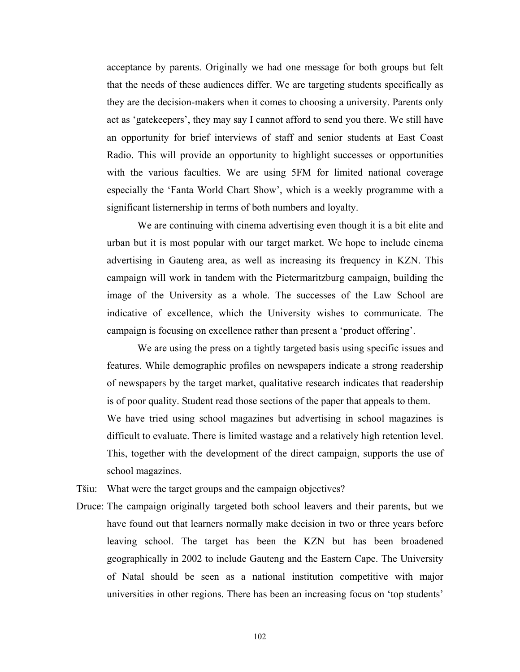acceptance by parents. Originally we had one message for both groups but felt that the needs of these audiences differ. We are targeting students specifically as they are the decision-makers when it comes to choosing a university. Parents only act as 'gatekeepers', they may say I cannot afford to send you there. We still have an opportunity for brief interviews of staff and senior students at East Coast Radio. This will provide an opportunity to highlight successes or opportunities with the various faculties. We are using 5FM for limited national coverage especially the 'Fanta World Chart Show', which is a weekly programme with a significant listernership in terms of both numbers and loyalty.

 We are continuing with cinema advertising even though it is a bit elite and urban but it is most popular with our target market. We hope to include cinema advertising in Gauteng area, as well as increasing its frequency in KZN. This campaign will work in tandem with the Pietermaritzburg campaign, building the image of the University as a whole. The successes of the Law School are indicative of excellence, which the University wishes to communicate. The campaign is focusing on excellence rather than present a 'product offering'.

 We are using the press on a tightly targeted basis using specific issues and features. While demographic profiles on newspapers indicate a strong readership of newspapers by the target market, qualitative research indicates that readership is of poor quality. Student read those sections of the paper that appeals to them. We have tried using school magazines but advertising in school magazines is difficult to evaluate. There is limited wastage and a relatively high retention level. This, together with the development of the direct campaign, supports the use of school magazines.

Tšiu: What were the target groups and the campaign objectives?

Druce: The campaign originally targeted both school leavers and their parents, but we have found out that learners normally make decision in two or three years before leaving school. The target has been the KZN but has been broadened geographically in 2002 to include Gauteng and the Eastern Cape. The University of Natal should be seen as a national institution competitive with major universities in other regions. There has been an increasing focus on 'top students'